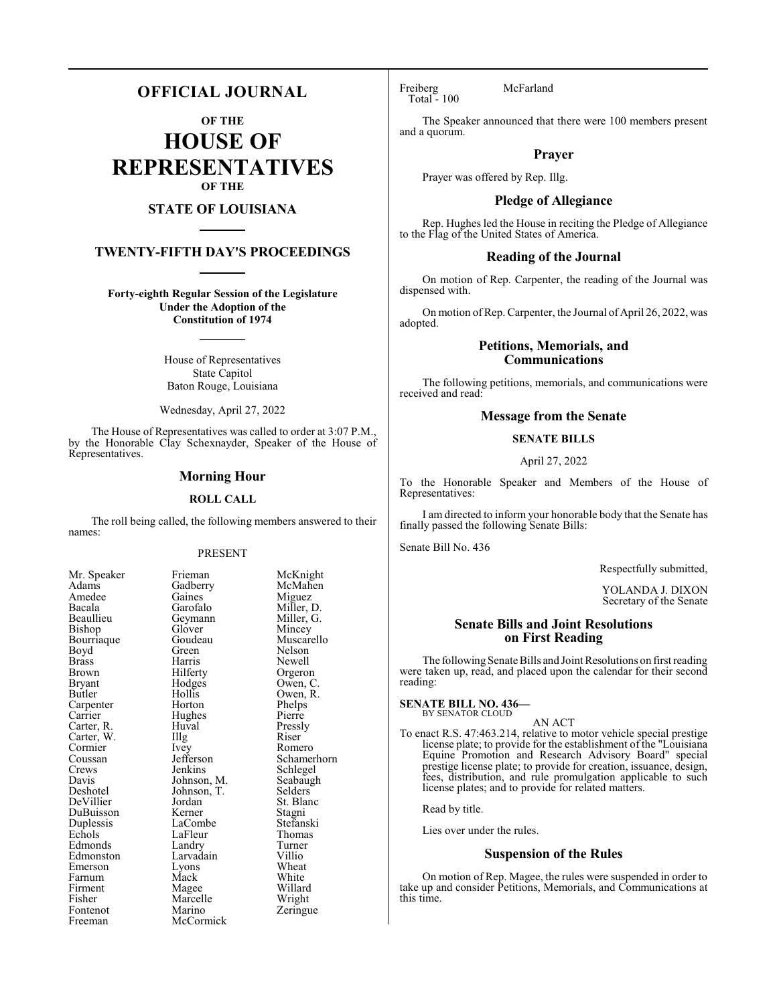### **OFFICIAL JOURNAL**

**OF THE**

**HOUSE OF REPRESENTATIVES OF THE**

#### **STATE OF LOUISIANA**

### **TWENTY-FIFTH DAY'S PROCEEDINGS**

**Forty-eighth Regular Session of the Legislature Under the Adoption of the Constitution of 1974**

> House of Representatives State Capitol Baton Rouge, Louisiana

Wednesday, April 27, 2022

The House of Representatives was called to order at 3:07 P.M., by the Honorable Clay Schexnayder, Speaker of the House of Representatives.

#### **Morning Hour**

#### **ROLL CALL**

The roll being called, the following members answered to their names:

#### PRESENT

Gaines<br>Garofalo

Glover<br>Goudeau

Hughes<br>Huval

Marcelle<br>Marino

| Mr. Speaker                      |
|----------------------------------|
| Adams                            |
| Amedee                           |
| Bacala                           |
| Beaullieu                        |
| Bishop                           |
| Bourriaque                       |
| Boyd                             |
| <b>Brass</b>                     |
| <b>Brown</b>                     |
| <b>Bryant</b>                    |
| Butler                           |
| Carpenter                        |
| Carrier<br>Carrier<br>Carter, R. |
|                                  |
| Carter, W.                       |
| Cormier                          |
| Coussan                          |
| Crews                            |
| Davis                            |
| Deshotel                         |
| DeVillier                        |
| DuBuisson                        |
| Duplessis                        |
| Echols                           |
| Edmonds                          |
| Edmonston                        |
| Emerson                          |
| Farnum                           |
| Firment                          |
| Fisher                           |
| Fontenot                         |
| Freeman                          |

Frieman McKnight<br>Gadberry McMahen McMahen<br>Miguez Miller, D.<br>Miller, G. Geymann Miller, Glover Mincey Muscarello Green Nelson<br>Harris Newell Harris Newell<br>Hilferty Orgeror Hilferty Orgeron<br>Hodges Owen, C Hodges Owen, C.<br>Hollis Owen, R. Hollis Owen, R.<br>Horton Phelps Phelps<br>Pierre Huval Pressly<br>
Illg Riser Carter, W. Illg Riser Ivey Romero<br>Jefferson Schamer Jefferson Schamerhorn<br>Jenkins Schlegel Jenkins Schlegel<br>Johnson, M. Seabaugh Seabaugh<br>Selders Johnson, T.<br>Jordan St. Blanc<br>Stagni Kerner Stagni<br>LaCombe Stefanski LaCombe Stefansk<br>LaFleur Thomas LaFleur Thoma<br>Landrv Turner Landry Turner<br>
Larvadain Villio Larvadain Villio<br>Lyons Wheat Lyons Wheat<br>
Mack White Farnum Mack White Magee Willard<br>
Marcelle Wright Zeringue McCormick

Freiberg McFarland Total - 100

The Speaker announced that there were 100 members present and a quorum.

#### **Prayer**

Prayer was offered by Rep. Illg.

#### **Pledge of Allegiance**

Rep. Hughes led the House in reciting the Pledge of Allegiance to the Flag of the United States of America.

#### **Reading of the Journal**

On motion of Rep. Carpenter, the reading of the Journal was dispensed with.

On motion of Rep. Carpenter, the Journal of April 26, 2022, was adopted.

#### **Petitions, Memorials, and Communications**

The following petitions, memorials, and communications were received and read:

#### **Message from the Senate**

#### **SENATE BILLS**

#### April 27, 2022

To the Honorable Speaker and Members of the House of Representatives:

I am directed to inform your honorable body that the Senate has finally passed the following Senate Bills:

Senate Bill No. 436

Respectfully submitted,

YOLANDA J. DIXON Secretary of the Senate

#### **Senate Bills and Joint Resolutions on First Reading**

The following Senate Bills and Joint Resolutions on first reading were taken up, read, and placed upon the calendar for their second reading:

AN ACT

#### **SENATE BILL NO. 436—** BY SENATOR CLOUD

To enact R.S. 47:463.214, relative to motor vehicle special prestige license plate; to provide for the establishment of the "Louisiana Equine Promotion and Research Advisory Board" special prestige license plate; to provide for creation, issuance, design, fees, distribution, and rule promulgation applicable to such license plates; and to provide for related matters.

Read by title.

Lies over under the rules.

#### **Suspension of the Rules**

On motion of Rep. Magee, the rules were suspended in order to take up and consider Petitions, Memorials, and Communications at this time.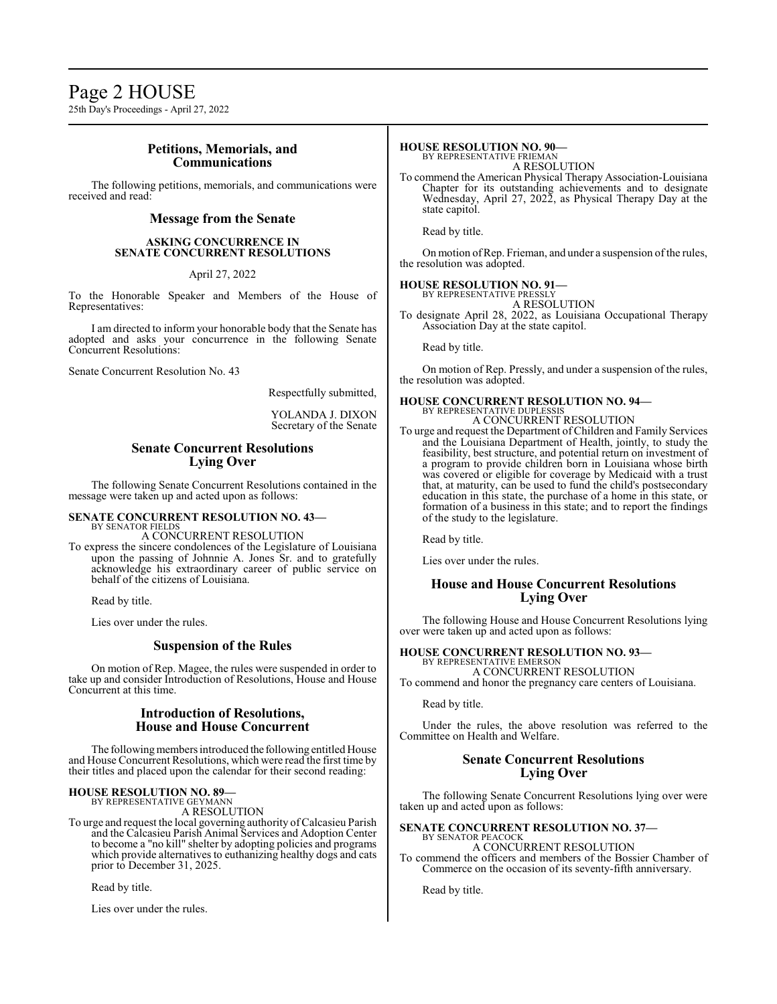### Page 2 HOUSE

25th Day's Proceedings - April 27, 2022

#### **Petitions, Memorials, and Communications**

The following petitions, memorials, and communications were received and read:

#### **Message from the Senate**

#### **ASKING CONCURRENCE IN SENATE CONCURRENT RESOLUTIONS**

April 27, 2022

To the Honorable Speaker and Members of the House of Representatives:

I am directed to inform your honorable body that the Senate has adopted and asks your concurrence in the following Senate Concurrent Resolutions:

Senate Concurrent Resolution No. 43

Respectfully submitted,

YOLANDA J. DIXON Secretary of the Senate

#### **Senate Concurrent Resolutions Lying Over**

The following Senate Concurrent Resolutions contained in the message were taken up and acted upon as follows:

#### **SENATE CONCURRENT RESOLUTION NO. 43—** BY SENATOR FIELDS

A CONCURRENT RESOLUTION

To express the sincere condolences of the Legislature of Louisiana upon the passing of Johnnie A. Jones Sr. and to gratefully acknowledge his extraordinary career of public service on behalf of the citizens of Louisiana.

Read by title.

Lies over under the rules.

#### **Suspension of the Rules**

On motion of Rep. Magee, the rules were suspended in order to take up and consider Introduction of Resolutions, House and House Concurrent at this time.

#### **Introduction of Resolutions, House and House Concurrent**

The following members introduced the following entitled House and House Concurrent Resolutions, which were read the first time by their titles and placed upon the calendar for their second reading:

### **HOUSE RESOLUTION NO. 89—** BY REPRESENTATIVE GEYMANN

A RESOLUTION

To urge and request the local governing authority ofCalcasieu Parish and the Calcasieu Parish Animal Services and Adoption Center to become a "no kill" shelter by adopting policies and programs which provide alternatives to euthanizing healthy dogs and cats prior to December 31, 2025.

Read by title.

Lies over under the rules.

#### **HOUSE RESOLUTION NO. 90—**

BY REPRESENTATIVE FRIEMAN A RESOLUTION

To commend the American Physical Therapy Association-Louisiana Chapter for its outstanding achievements and to designate Wednesday, April 27, 2022, as Physical Therapy Day at the state capitol.

Read by title.

On motion of Rep. Frieman, and under a suspension of the rules, the resolution was adopted.

### **HOUSE RESOLUTION NO. 91—**

BY REPRESENTATIVE PRESSLY A RESOLUTION

To designate April 28, 2022, as Louisiana Occupational Therapy Association Day at the state capitol.

Read by title.

On motion of Rep. Pressly, and under a suspension of the rules, the resolution was adopted.

#### **HOUSE CONCURRENT RESOLUTION NO. 94—**

BY REPRESENTATIVE DUPLESSIS A CONCURRENT RESOLUTION

To urge and request the Department of Children and Family Services and the Louisiana Department of Health, jointly, to study the feasibility, best structure, and potential return on investment of a program to provide children born in Louisiana whose birth was covered or eligible for coverage by Medicaid with a trust that, at maturity, can be used to fund the child's postsecondary education in this state, the purchase of a home in this state, or formation of a business in this state; and to report the findings of the study to the legislature.

Read by title.

Lies over under the rules.

#### **House and House Concurrent Resolutions Lying Over**

The following House and House Concurrent Resolutions lying over were taken up and acted upon as follows:

#### **HOUSE CONCURRENT RESOLUTION NO. 93—**

BY REPRESENTATIVE EMERSON A CONCURRENT RESOLUTION

To commend and honor the pregnancy care centers of Louisiana.

Read by title.

Under the rules, the above resolution was referred to the Committee on Health and Welfare.

#### **Senate Concurrent Resolutions Lying Over**

The following Senate Concurrent Resolutions lying over were taken up and acted upon as follows:

#### **SENATE CONCURRENT RESOLUTION NO. 37—** BY SENATOR PEACOCK

A CONCURRENT RESOLUTION

To commend the officers and members of the Bossier Chamber of Commerce on the occasion of its seventy-fifth anniversary.

Read by title.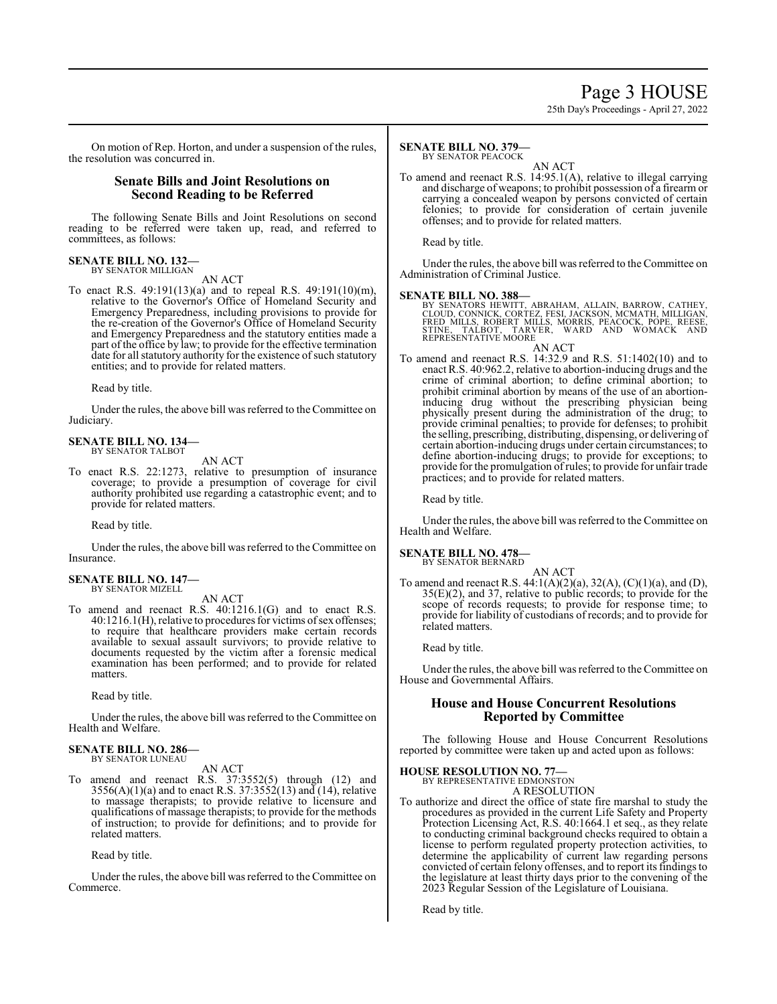## Page 3 HOUSE

25th Day's Proceedings - April 27, 2022

On motion of Rep. Horton, and under a suspension of the rules, the resolution was concurred in.

### **Senate Bills and Joint Resolutions on Second Reading to be Referred**

The following Senate Bills and Joint Resolutions on second reading to be referred were taken up, read, and referred to committees, as follows:

#### **SENATE BILL NO. 132—** BY SENATOR MILLIGAN

AN ACT

To enact R.S. 49:191(13)(a) and to repeal R.S. 49:191(10)(m), relative to the Governor's Office of Homeland Security and Emergency Preparedness, including provisions to provide for the re-creation of the Governor's Office of Homeland Security and Emergency Preparedness and the statutory entities made a part of the office by law; to provide for the effective termination date for all statutory authority for the existence of such statutory entities; and to provide for related matters.

Read by title.

Under the rules, the above bill was referred to theCommittee on Judiciary.

#### **SENATE BILL NO. 134—** BY SENATOR TALBOT

AN ACT

To enact R.S. 22:1273, relative to presumption of insurance coverage; to provide a presumption of coverage for civil authority prohibited use regarding a catastrophic event; and to provide for related matters.

Read by title.

Under the rules, the above bill was referred to the Committee on Insurance.

#### **SENATE BILL NO. 147—** BY SENATOR MIZELL

AN ACT

To amend and reenact R.S. 40:1216.1(G) and to enact R.S. 40:1216.1(H), relative to procedures for victims ofsex offenses; to require that healthcare providers make certain records available to sexual assault survivors; to provide relative to documents requested by the victim after a forensic medical examination has been performed; and to provide for related matters.

Read by title.

Under the rules, the above bill was referred to the Committee on Health and Welfare.

#### **SENATE BILL NO. 286—** BY SENATOR LUNEAU

AN ACT

To amend and reenact R.S. 37:3552(5) through (12) and  $3556(A)(1)(a)$  and to enact R.S.  $37:3552(13)$  and  $(14)$ , relative to massage therapists; to provide relative to licensure and qualifications of massage therapists; to provide for the methods of instruction; to provide for definitions; and to provide for related matters.

Read by title.

Under the rules, the above bill was referred to the Committee on Commerce.

#### **SENATE BILL NO. 379—** BY SENATOR PEACOCK

AN ACT

To amend and reenact R.S. 14:95.1(A), relative to illegal carrying and discharge of weapons; to prohibit possession of a firearm or carrying a concealed weapon by persons convicted of certain felonies; to provide for consideration of certain juvenile offenses; and to provide for related matters.

Read by title.

Under the rules, the above bill was referred to the Committee on Administration of Criminal Justice.

#### **SENATE BILL NO. 388—**

BY SENATORS HEWITT, ABRAHAM, ALLAIN, BARROW, CATHEY, CLOUD, CONNICK, CORTEZ, FESI, JACKSON, MCMATH, MILLIGAN,<br>FRED MILLS, ROBERT MILLS, MORRIS, PEACOCK, POPE, REESE,<br>STINE, TALBOT, TARVER, WARD AND WOMACK AND<br>REPRESENTATIVE MOORE

AN ACT To amend and reenact R.S. 14:32.9 and R.S. 51:1402(10) and to enact R.S. 40:962.2, relative to abortion-inducing drugs and the crime of criminal abortion; to define criminal abortion; to prohibit criminal abortion by means of the use of an abortioninducing drug without the prescribing physician being physically present during the administration of the drug; to provide criminal penalties; to provide for defenses; to prohibit the selling, prescribing, distributing, dispensing, or delivering of certain abortion-inducing drugs under certain circumstances; to define abortion-inducing drugs; to provide for exceptions; to provide for the promulgation ofrules; to provide for unfair trade practices; and to provide for related matters.

Read by title.

Under the rules, the above bill was referred to the Committee on Health and Welfare.

### **SENATE BILL NO. 478—**

BY SENATOR BERNARD

AN ACT To amend and reenact R.S. 44:1(A)(2)(a), 32(A), (C)(1)(a), and (D),  $35(E)(2)$ , and  $37$ , relative to public records; to provide for the scope of records requests; to provide for response time; to provide for liability of custodians of records; and to provide for related matters.

Read by title.

Under the rules, the above bill was referred to the Committee on House and Governmental Affairs.

#### **House and House Concurrent Resolutions Reported by Committee**

The following House and House Concurrent Resolutions reported by committee were taken up and acted upon as follows:

#### **HOUSE RESOLUTION NO. 77—**

BY REPRESENTATIVE EDMONSTON A RESOLUTION

To authorize and direct the office of state fire marshal to study the procedures as provided in the current Life Safety and Property Protection Licensing Act, R.S. 40:1664.1 et seq., as they relate to conducting criminal background checks required to obtain a license to perform regulated property protection activities, to determine the applicability of current law regarding persons convicted of certain felony offenses, and to report its findings to the legislature at least thirty days prior to the convening of the 2023 Regular Session of the Legislature of Louisiana.

Read by title.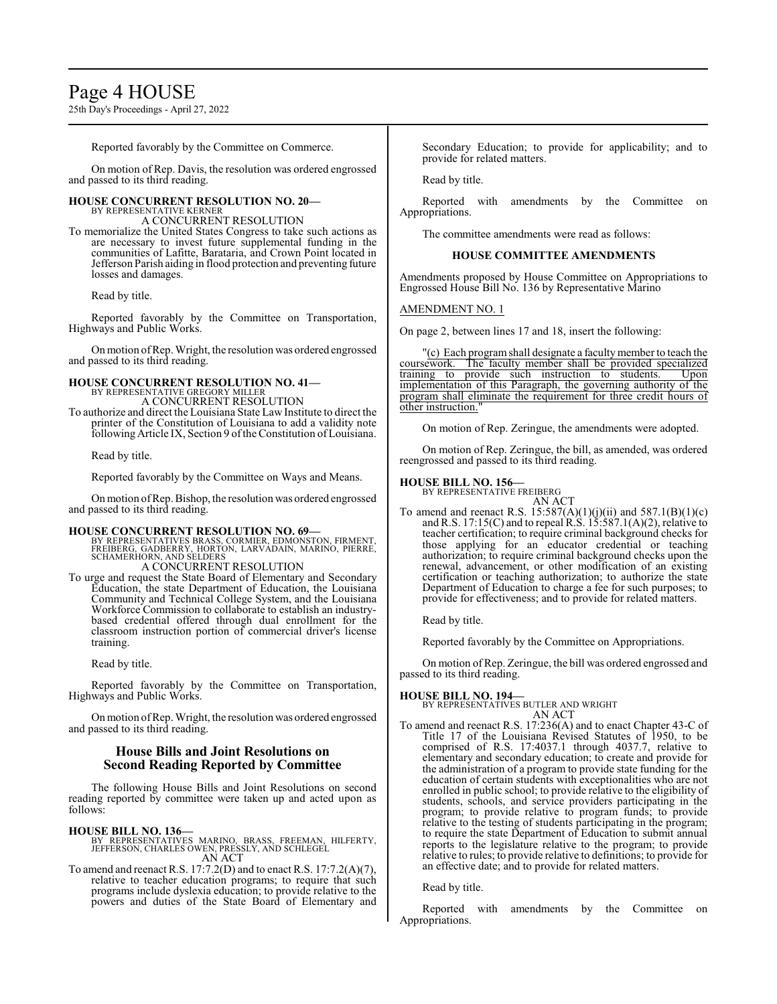### Page 4 HOUSE

25th Day's Proceedings - April 27, 2022

Reported favorably by the Committee on Commerce.

On motion of Rep. Davis, the resolution was ordered engrossed and passed to its third reading.

#### **HOUSE CONCURRENT RESOLUTION NO. 20—** BY REPRESENTATIVE KERNER

A CONCURRENT RESOLUTION

To memorialize the United States Congress to take such actions as are necessary to invest future supplemental funding in the communities of Lafitte, Barataria, and Crown Point located in Jefferson Parish aiding in flood protection and preventing future losses and damages.

Read by title.

Reported favorably by the Committee on Transportation, Highways and Public Works.

Onmotion ofRep. Wright, the resolution was ordered engrossed and passed to its third reading.

### **HOUSE CONCURRENT RESOLUTION NO. 41—** BY REPRESENTATIVE GREGORY MILLER A CONCURRENT RESOLUTION

To authorize and direct the Louisiana State Law Institute to direct the printer of the Constitution of Louisiana to add a validity note following Article IX, Section 9 ofthe Constitution ofLouisiana.

Read by title.

Reported favorably by the Committee on Ways and Means.

Onmotion ofRep. Bishop, the resolution was ordered engrossed and passed to its third reading.

#### **HOUSE CONCURRENT RESOLUTION NO. 69—**

- BY REPRESENTATIVES BRASS, CORMIER, EDMONSTON, FIRMENT,<br>FREIBERG, GADBERRY, HORTON, LARVADAIN, MARINO, PIERRE,<br>SCHAMERHORN, AND SELDERS A CONCURRENT RESOLUTION
- To urge and request the State Board of Elementary and Secondary Education, the state Department of Education, the Louisiana Community and Technical College System, and the Louisiana Workforce Commission to collaborate to establish an industrybased credential offered through dual enrollment for the classroom instruction portion of commercial driver's license training.

Read by title.

Reported favorably by the Committee on Transportation, Highways and Public Works.

Onmotion ofRep. Wright, the resolution was ordered engrossed and passed to its third reading.

#### **House Bills and Joint Resolutions on Second Reading Reported by Committee**

The following House Bills and Joint Resolutions on second reading reported by committee were taken up and acted upon as follows:

- **HOUSE BILL NO. 136—** BY REPRESENTATIVES MARINO, BRASS, FREEMAN, HILFERTY, JEFFERSON, CHARLES OWEN, PRESSLY, AND SCHLEGEL AN ACT
- To amend and reenact R.S. 17:7.2(D) and to enact R.S. 17:7.2(A)(7), relative to teacher education programs; to require that such programs include dyslexia education; to provide relative to the powers and duties of the State Board of Elementary and

Secondary Education; to provide for applicability; and to provide for related matters.

Read by title.

Reported with amendments by the Committee on Appropriations.

The committee amendments were read as follows:

#### **HOUSE COMMITTEE AMENDMENTS**

Amendments proposed by House Committee on Appropriations to Engrossed House Bill No. 136 by Representative Marino

#### AMENDMENT NO. 1

On page 2, between lines 17 and 18, insert the following:

"(c) Each program shall designate a faculty member to teach the course work. The faculty member shall be provided specialized coursework. The faculty member shall be provided specialized<br>training to provide such instruction to students. Upon provide such instruction to students. implementation of this Paragraph, the governing authority of the program shall eliminate the requirement for three credit hours of other instruction.

On motion of Rep. Zeringue, the amendments were adopted.

On motion of Rep. Zeringue, the bill, as amended, was ordered reengrossed and passed to its third reading.

#### **HOUSE BILL NO. 156—**

BY REPRESENTATIVE FREIBERG AN ACT

To amend and reenact R.S.  $15:587(A)(1)(j)(ii)$  and  $587.1(B)(1)(c)$ and R.S. 17:15(C) and to repeal R.S. 15:587.1(A)(2), relative to teacher certification; to require criminal background checks for those applying for an educator credential or teaching authorization; to require criminal background checks upon the renewal, advancement, or other modification of an existing certification or teaching authorization; to authorize the state Department of Education to charge a fee for such purposes; to provide for effectiveness; and to provide for related matters.

Read by title.

Reported favorably by the Committee on Appropriations.

On motion ofRep. Zeringue, the bill was ordered engrossed and passed to its third reading.

#### **HOUSE BILL NO. 194—**

BY REPRESENTATIVES BUTLER AND WRIGHT AN ACT

To amend and reenact R.S. 17:236(A) and to enact Chapter 43-C of Title 17 of the Louisiana Revised Statutes of 1950, to be comprised of R.S. 17:4037.1 through 4037.7, relative to elementary and secondary education; to create and provide for the administration of a program to provide state funding for the education of certain students with exceptionalities who are not enrolled in public school; to provide relative to the eligibility of students, schools, and service providers participating in the program; to provide relative to program funds; to provide relative to the testing of students participating in the program; to require the state Department of Education to submit annual reports to the legislature relative to the program; to provide relative to rules; to provide relative to definitions; to provide for an effective date; and to provide for related matters.

#### Read by title.

Reported with amendments by the Committee on Appropriations.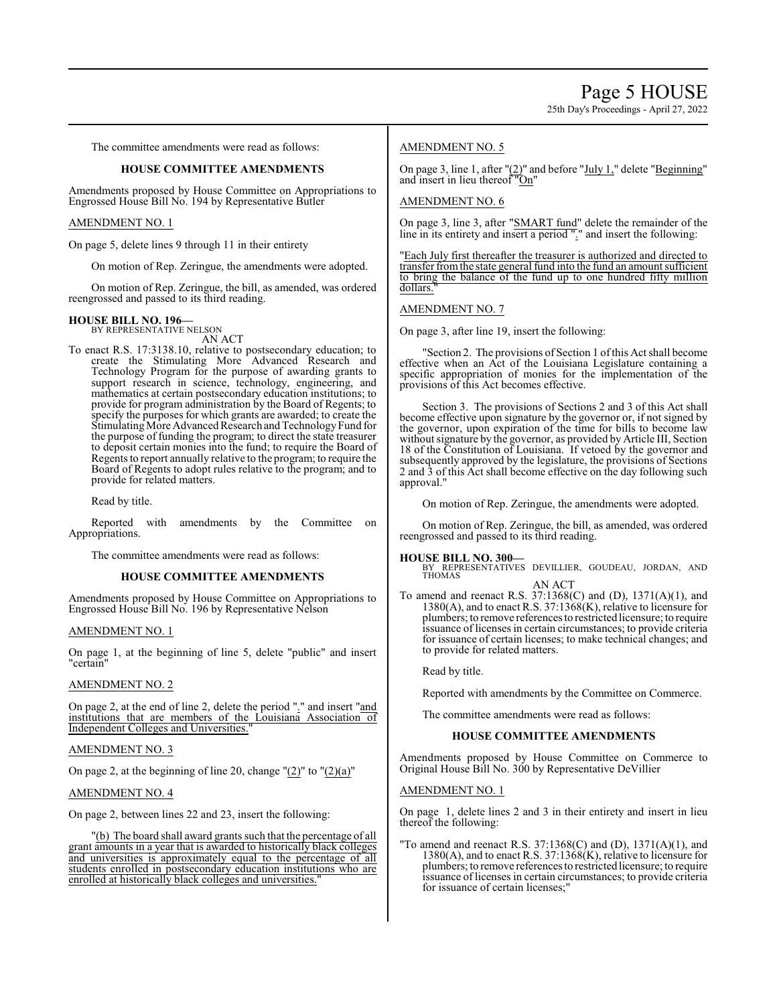The committee amendments were read as follows:

#### **HOUSE COMMITTEE AMENDMENTS**

Amendments proposed by House Committee on Appropriations to Engrossed House Bill No. 194 by Representative Butler

#### AMENDMENT NO. 1

On page 5, delete lines 9 through 11 in their entirety

On motion of Rep. Zeringue, the amendments were adopted.

On motion of Rep. Zeringue, the bill, as amended, was ordered reengrossed and passed to its third reading.

### **HOUSE BILL NO. 196—** BY REPRESENTATIVE NELSON

AN ACT

To enact R.S. 17:3138.10, relative to postsecondary education; to create the Stimulating More Advanced Research and Technology Program for the purpose of awarding grants to support research in science, technology, engineering, and mathematics at certain postsecondary education institutions; to provide for program administration by the Board of Regents; to specify the purposes for which grants are awarded; to create the Stimulating More Advanced Research and Technology Fund for the purpose of funding the program; to direct the state treasurer to deposit certain monies into the fund; to require the Board of Regents to report annually relative to the program; to require the Board of Regents to adopt rules relative to the program; and to provide for related matters.

Read by title.

Reported with amendments by the Committee on Appropriations.

The committee amendments were read as follows:

#### **HOUSE COMMITTEE AMENDMENTS**

Amendments proposed by House Committee on Appropriations to Engrossed House Bill No. 196 by Representative Nelson

#### AMENDMENT NO. 1

On page 1, at the beginning of line 5, delete "public" and insert "certain"

#### AMENDMENT NO. 2

On page 2, at the end of line 2, delete the period "." and insert "and institutions that are members of the Louisiana Association of Independent Colleges and Universities."

#### AMENDMENT NO. 3

On page 2, at the beginning of line 20, change  $"(2)"$  to  $"(2)(a)"$ 

AMENDMENT NO. 4

On page 2, between lines 22 and 23, insert the following:

"(b) The board shall award grants such that the percentage of all grant amounts in a year that is awarded to historically black colleges and universities is approximately equal to the percentage of all students enrolled in postsecondary education institutions who are enrolled at historically black colleges and universities."

#### AMENDMENT NO. 5

On page 3, line 1, after  $"(2)"$  and before " $July 1,"$  delete " $Beginning"$ and insert in lieu thereof "On"

#### AMENDMENT NO. 6

On page 3, line 3, after "SMART fund" delete the remainder of the line in its entirety and insert a period "." and insert the following:

"Each July first thereafter the treasurer is authorized and directed to transfer fromthe state general fund into the fund an amount sufficient to bring the balance of the fund up to one hundred fifty million dollars.

#### AMENDMENT NO. 7

On page 3, after line 19, insert the following:

'Section 2. The provisions of Section 1 of this Act shall become effective when an Act of the Louisiana Legislature containing a specific appropriation of monies for the implementation of the provisions of this Act becomes effective.

Section 3. The provisions of Sections 2 and 3 of this Act shall become effective upon signature by the governor or, if not signed by the governor, upon expiration of the time for bills to become law without signature by the governor, as provided by Article III, Section 18 of the Constitution of Louisiana. If vetoed by the governor and subsequently approved by the legislature, the provisions of Sections 2 and 3 of this Act shall become effective on the day following such approval."

On motion of Rep. Zeringue, the amendments were adopted.

On motion of Rep. Zeringue, the bill, as amended, was ordered reengrossed and passed to its third reading.

#### **HOUSE BILL NO. 300—**

BY REPRESENTATIVES DEVILLIER, GOUDEAU, JORDAN, AND THOMAS AN ACT

To amend and reenact R.S. 37:1368(C) and (D), 1371(A)(1), and 1380(A), and to enact R.S. 37:1368(K), relative to licensure for plumbers; to remove references to restricted licensure; to require issuance of licenses in certain circumstances; to provide criteria for issuance of certain licenses; to make technical changes; and to provide for related matters.

Read by title.

Reported with amendments by the Committee on Commerce.

The committee amendments were read as follows:

#### **HOUSE COMMITTEE AMENDMENTS**

Amendments proposed by House Committee on Commerce to Original House Bill No. 300 by Representative DeVillier

#### AMENDMENT NO. 1

On page 1, delete lines 2 and 3 in their entirety and insert in lieu thereof the following:

"To amend and reenact R.S.  $37:1368(C)$  and (D),  $1371(A)(1)$ , and 1380(A), and to enact R.S. 37:1368(K), relative to licensure for plumbers; to remove references to restricted licensure; to require issuance of licenses in certain circumstances; to provide criteria for issuance of certain licenses;"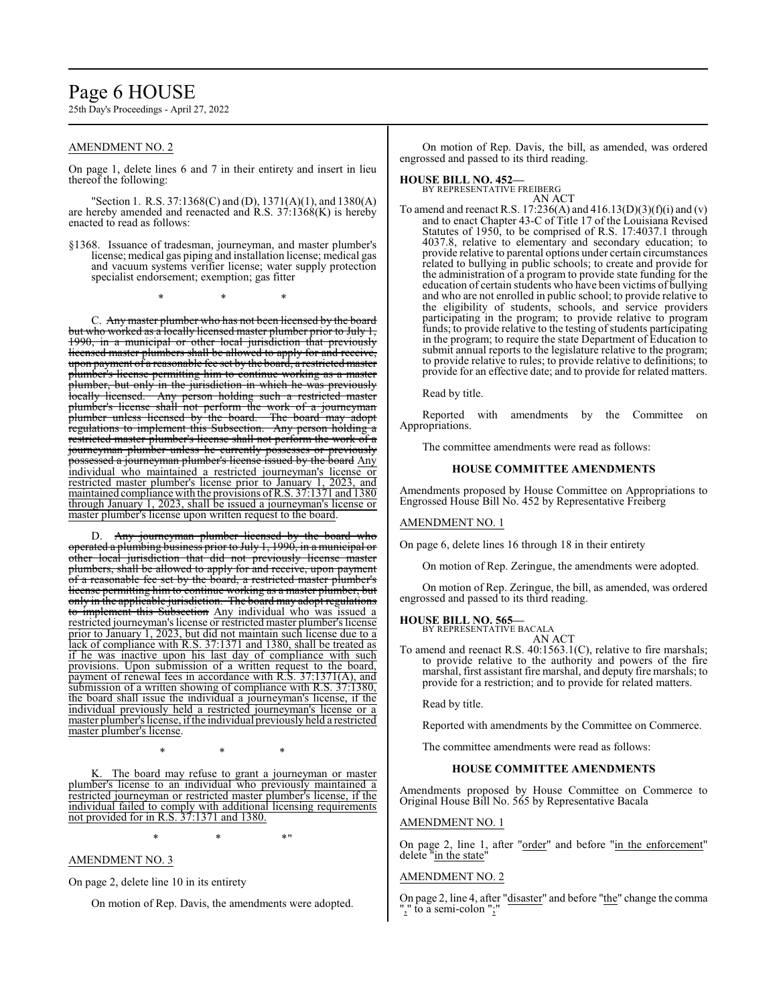### Page 6 HOUSE

25th Day's Proceedings - April 27, 2022

#### AMENDMENT NO. 2

On page 1, delete lines 6 and 7 in their entirety and insert in lieu thereof the following:

"Section 1. R.S. 37:1368(C) and (D), 1371(A)(1), and 1380(A) are hereby amended and reenacted and R.S. 37:1368(K) is hereby enacted to read as follows:

§1368. Issuance of tradesman, journeyman, and master plumber's license; medical gas piping and installation license; medical gas and vacuum systems verifier license; water supply protection specialist endorsement; exemption; gas fitter

\* \* \*

C. Any master plumber who has not been licensed by the board but who worked as a locally licensed master plumber prior to July 1, 1990, in a municipal or other local jurisdiction that previously licensed master plumbers shall be allowed to apply for and receive, upon payment of a reasonable fee set by the board, a restricted master plumber's license permitting him to continue working as a master plumber, but only in the jurisdiction in which he was previously locally licensed. Any person holding such a restricted master plumber's license shall not perform the work of a journeyman<br>plumber unless licensed by the board. The board may adopt plumber unless licensed by the board. regulations to implement this Subsection. Any person holding a restricted master plumber's license shall not perform the work of a journeyman plumber unless he currently possesses or previously possessed a journeyman plumber's license issued by the board Any individual who maintained a restricted journeyman's license or restricted master plumber's license prior to January 1, 2023, and maintained compliance with the provisions ofR.S. 37:1371 and 1380 through January 1, 2023, shall be issued a journeyman's license or master plumber's license upon written request to the board.

D. Any journeyman plumber licensed by the board who operated a plumbing business prior to July 1, 1990, in a municipal or other local jurisdiction that did not previously license master plumbers, shall be allowed to apply for and receive, upon payment of a reasonable fee set by the board, a restricted master plumber's license permitting him to continue working as a master plumber, but only in the applicable jurisdiction. The board may adopt regulations to implement this Subsection Any individual who was issued a restricted journeyman's license or restricted master plumber's license prior to January 1, 2023, but did not maintain such license due to a lack of compliance with R.S. 37:1371 and 1380, shall be treated as if he was inactive upon his last day of compliance with such provisions. Upon submission of a written request to the board, payment of renewal fees in accordance with R.S. 37:1371(A), and submission of a written showing of compliance with R.S. 37:1380, the board shall issue the individual a journeyman's license, if the individual previously held a restricted journeyman's license or a master plumber's license, ifthe individual previously held a restricted master plumber's license.

The board may refuse to grant a journeyman or master plumber's license to an individual who previously maintained a restricted journeyman or restricted master plumber's license, if the individual failed to comply with additional licensing requirements not provided for in R.S. 37:1371 and 1380.

\* \* \*

 $*$  \*  $*$  \*  $*$  "

#### AMENDMENT NO. 3

On page 2, delete line 10 in its entirety

On motion of Rep. Davis, the amendments were adopted.

On motion of Rep. Davis, the bill, as amended, was ordered engrossed and passed to its third reading.

### **HOUSE BILL NO. 452—** BY REPRESENTATIVE FREIBERG

AN ACT

To amend and reenact R.S. 17:236(A) and 416.13(D)(3)(f)(i) and (v) and to enact Chapter 43-C of Title 17 of the Louisiana Revised Statutes of 1950, to be comprised of R.S. 17:4037.1 through 4037.8, relative to elementary and secondary education; to provide relative to parental options under certain circumstances related to bullying in public schools; to create and provide for the administration of a program to provide state funding for the education of certain students who have been victims of bullying and who are not enrolled in public school; to provide relative to the eligibility of students, schools, and service providers participating in the program; to provide relative to program funds; to provide relative to the testing of students participating in the program; to require the state Department of Education to submit annual reports to the legislature relative to the program; to provide relative to rules; to provide relative to definitions; to provide for an effective date; and to provide for related matters.

Read by title.

Reported with amendments by the Committee on Appropriations.

The committee amendments were read as follows:

#### **HOUSE COMMITTEE AMENDMENTS**

Amendments proposed by House Committee on Appropriations to Engrossed House Bill No. 452 by Representative Freiberg

#### AMENDMENT NO. 1

On page 6, delete lines 16 through 18 in their entirety

On motion of Rep. Zeringue, the amendments were adopted.

On motion of Rep. Zeringue, the bill, as amended, was ordered engrossed and passed to its third reading.

#### **HOUSE BILL NO. 565—**

BY REPRESENTATIVE BACALA AN ACT

To amend and reenact R.S. 40:1563.1(C), relative to fire marshals; to provide relative to the authority and powers of the fire marshal, first assistant fire marshal, and deputy fire marshals; to provide for a restriction; and to provide for related matters.

Read by title.

Reported with amendments by the Committee on Commerce.

The committee amendments were read as follows:

#### **HOUSE COMMITTEE AMENDMENTS**

Amendments proposed by House Committee on Commerce to Original House Bill No. 565 by Representative Bacala

#### AMENDMENT NO. 1

On page 2, line 1, after "order" and before "in the enforcement" delete "in the state"

#### AMENDMENT NO. 2

On page 2, line 4, after "disaster" and before "the" change the comma "," to a semi-colon ";"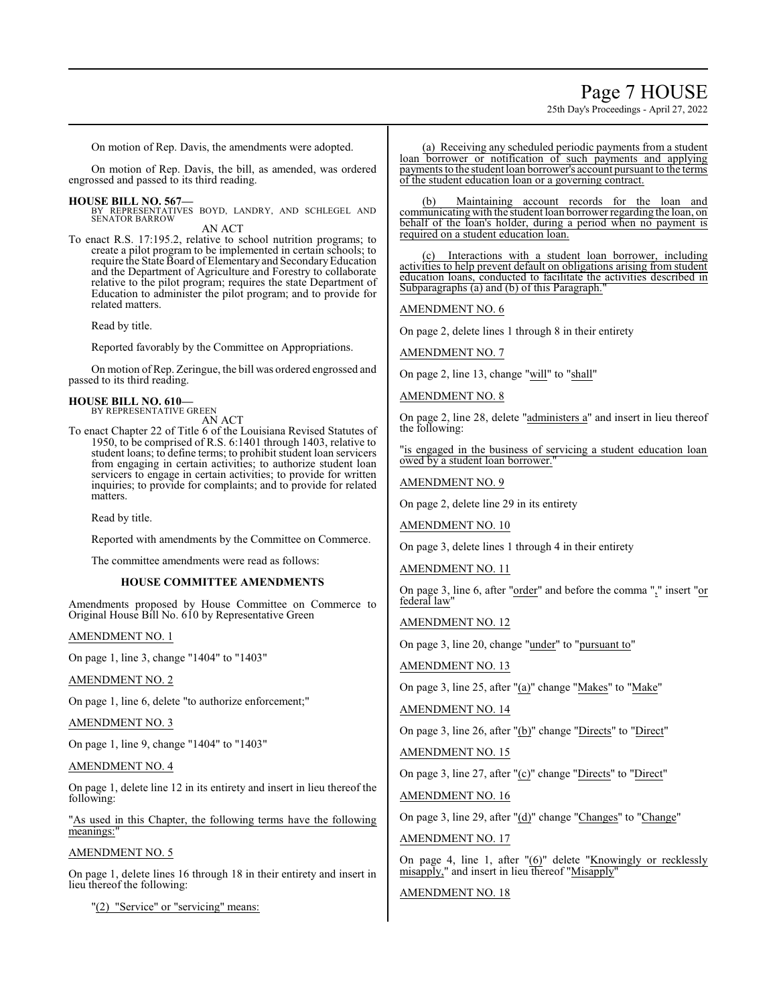## Page 7 HOUSE

25th Day's Proceedings - April 27, 2022

On motion of Rep. Davis, the amendments were adopted.

On motion of Rep. Davis, the bill, as amended, was ordered engrossed and passed to its third reading.

**HOUSE BILL NO. 567—** BY REPRESENTATIVES BOYD, LANDRY, AND SCHLEGEL AND SENATOR BARROW AN ACT

To enact R.S. 17:195.2, relative to school nutrition programs; to create a pilot program to be implemented in certain schools; to require the State Board of Elementary and SecondaryEducation and the Department of Agriculture and Forestry to collaborate relative to the pilot program; requires the state Department of Education to administer the pilot program; and to provide for related matters.

Read by title.

Reported favorably by the Committee on Appropriations.

On motion ofRep. Zeringue, the bill was ordered engrossed and passed to its third reading.

#### **HOUSE BILL NO. 610—**

BY REPRESENTATIVE GREEN AN ACT

To enact Chapter 22 of Title 6 of the Louisiana Revised Statutes of 1950, to be comprised of R.S. 6:1401 through 1403, relative to student loans; to define terms; to prohibit student loan servicers from engaging in certain activities; to authorize student loan servicers to engage in certain activities; to provide for written inquiries; to provide for complaints; and to provide for related matters.

Read by title.

Reported with amendments by the Committee on Commerce.

The committee amendments were read as follows:

#### **HOUSE COMMITTEE AMENDMENTS**

Amendments proposed by House Committee on Commerce to Original House Bill No. 610 by Representative Green

AMENDMENT NO. 1

On page 1, line 3, change "1404" to "1403"

#### AMENDMENT NO. 2

On page 1, line 6, delete "to authorize enforcement;"

AMENDMENT NO. 3

On page 1, line 9, change "1404" to "1403"

#### AMENDMENT NO. 4

On page 1, delete line 12 in its entirety and insert in lieu thereof the following:

"As used in this Chapter, the following terms have the following meanings:

#### AMENDMENT NO. 5

On page 1, delete lines 16 through 18 in their entirety and insert in lieu thereof the following:

"(2) "Service" or "servicing" means:

(a) Receiving any scheduled periodic payments from a student loan borrower or notification of such payments and applying payments to the student loan borrower's account pursuant to the terms of the student education loan or a governing contract.

(b) Maintaining account records for the loan and communicating with the student loan borrower regarding the loan, on behalf of the loan's holder, during a period when no payment is required on a student education loan.

Interactions with a student loan borrower, including activities to help prevent default on obligations arising from student education loans, conducted to facilitate the activities described in Subparagraphs (a) and (b) of this Paragraph."

AMENDMENT NO. 6

On page 2, delete lines 1 through 8 in their entirety

AMENDMENT NO. 7

On page 2, line 13, change "will" to "shall"

#### AMENDMENT NO. 8

On page 2, line 28, delete "administers a" and insert in lieu thereof the following:

"is engaged in the business of servicing a student education loan owed by a student loan borrower."

AMENDMENT NO. 9

On page 2, delete line 29 in its entirety

AMENDMENT NO. 10

On page 3, delete lines 1 through 4 in their entirety

AMENDMENT NO. 11

On page 3, line 6, after "order" and before the comma "," insert "or federal law"

AMENDMENT NO. 12

On page 3, line 20, change "under" to "pursuant to"

AMENDMENT NO. 13

On page 3, line 25, after "(a)" change "Makes" to "Make"

AMENDMENT NO. 14

On page 3, line 26, after "(b)" change "Directs" to "Direct"

AMENDMENT NO. 15

On page 3, line 27, after "(c)" change "Directs" to "Direct"

AMENDMENT NO. 16

On page 3, line 29, after "(d)" change "Changes" to "Change"

AMENDMENT NO. 17

On page 4, line 1, after "(6)" delete "Knowingly or recklessly misapply," and insert in lieu thereof "Misapply"

#### AMENDMENT NO. 18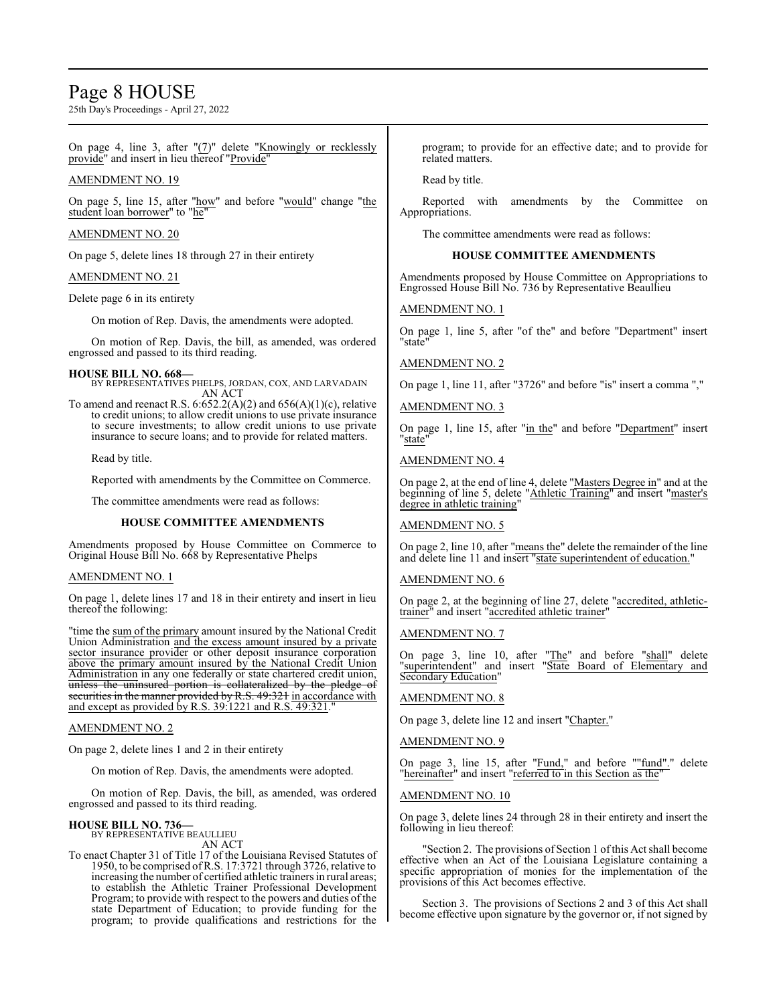### Page 8 HOUSE

25th Day's Proceedings - April 27, 2022

On page 4, line 3, after " $(7)$ " delete "Knowingly or recklessly provide" and insert in lieu thereof "Provide"

#### AMENDMENT NO. 19

On page 5, line 15, after "how" and before "would" change "the student loan borrower" to "he"

#### AMENDMENT NO. 20

On page 5, delete lines 18 through 27 in their entirety

#### AMENDMENT NO. 21

Delete page 6 in its entirety

On motion of Rep. Davis, the amendments were adopted.

On motion of Rep. Davis, the bill, as amended, was ordered engrossed and passed to its third reading.

#### **HOUSE BILL NO. 668—**

BY REPRESENTATIVES PHELPS, JORDAN, COX, AND LARVADAIN AN ACT

To amend and reenact R.S.  $6:652.2(A)(2)$  and  $656(A)(1)(c)$ , relative to credit unions; to allow credit unions to use private insurance to secure investments; to allow credit unions to use private insurance to secure loans; and to provide for related matters.

Read by title.

Reported with amendments by the Committee on Commerce.

The committee amendments were read as follows:

#### **HOUSE COMMITTEE AMENDMENTS**

Amendments proposed by House Committee on Commerce to Original House Bill No. 668 by Representative Phelps

#### AMENDMENT NO. 1

On page 1, delete lines 17 and 18 in their entirety and insert in lieu thereof the following:

"time the sum of the primary amount insured by the National Credit Union Administration and the excess amount insured by a private sector insurance provider or other deposit insurance corporation above the primary amount insured by the National Credit Union Administration in any one federally or state chartered credit union, unless the uninsured portion is collateralized by the pledge of securities in the manner provided by R.S. 49:321 in accordance with and except as provided by R.S. 39:1221 and R.S. 49:321."

#### AMENDMENT NO. 2

On page 2, delete lines 1 and 2 in their entirety

On motion of Rep. Davis, the amendments were adopted.

On motion of Rep. Davis, the bill, as amended, was ordered engrossed and passed to its third reading.

#### **HOUSE BILL NO. 736—** BY REPRESENTATIVE BEAULLIEU

AN ACT

To enact Chapter 31 of Title 17 of the Louisiana Revised Statutes of 1950, to be comprised ofR.S. 17:3721 through 3726, relative to increasing the number of certified athletic trainers in rural areas; to establish the Athletic Trainer Professional Development Program; to provide with respect to the powers and duties of the state Department of Education; to provide funding for the program; to provide qualifications and restrictions for the

program; to provide for an effective date; and to provide for related matters.

Read by title.

Reported with amendments by the Committee on Appropriations.

The committee amendments were read as follows:

#### **HOUSE COMMITTEE AMENDMENTS**

Amendments proposed by House Committee on Appropriations to Engrossed House Bill No. 736 by Representative Beaullieu

#### AMENDMENT NO. 1

On page 1, line 5, after "of the" and before "Department" insert "state"

#### AMENDMENT NO. 2

On page 1, line 11, after "3726" and before "is" insert a comma ","

#### AMENDMENT NO. 3

On page 1, line 15, after "in the" and before "Department" insert "state"

#### AMENDMENT NO. 4

On page 2, at the end of line 4, delete "<u>Masters Degree in</u>" and at the beginning of line 5, delete "Athletic Training" and insert "master's degree in athletic training"

#### AMENDMENT NO. 5

On page 2, line 10, after "means the" delete the remainder of the line and delete line 11 and insert "state superintendent of education."

#### AMENDMENT NO. 6

On page 2, at the beginning of line 27, delete "accredited, athletictrainer" and insert "accredited athletic trainer"

#### AMENDMENT NO. 7

On page 3, line 10, after "The" and before "shall" delete "superintendent" and insert "State Board of Elementary and Secondary Education"

#### AMENDMENT NO. 8

On page 3, delete line 12 and insert "Chapter."

#### AMENDMENT NO. 9

On page 3, line 15, after "Fund," and before ""fund"." delete "hereinafter" and insert "referred to in this Section as the"

#### AMENDMENT NO. 10

On page 3, delete lines 24 through 28 in their entirety and insert the following in lieu thereof:

"Section 2. The provisions of Section 1 ofthis Act shall become effective when an Act of the Louisiana Legislature containing a specific appropriation of monies for the implementation of the provisions of this Act becomes effective.

Section 3. The provisions of Sections 2 and 3 of this Act shall become effective upon signature by the governor or, if not signed by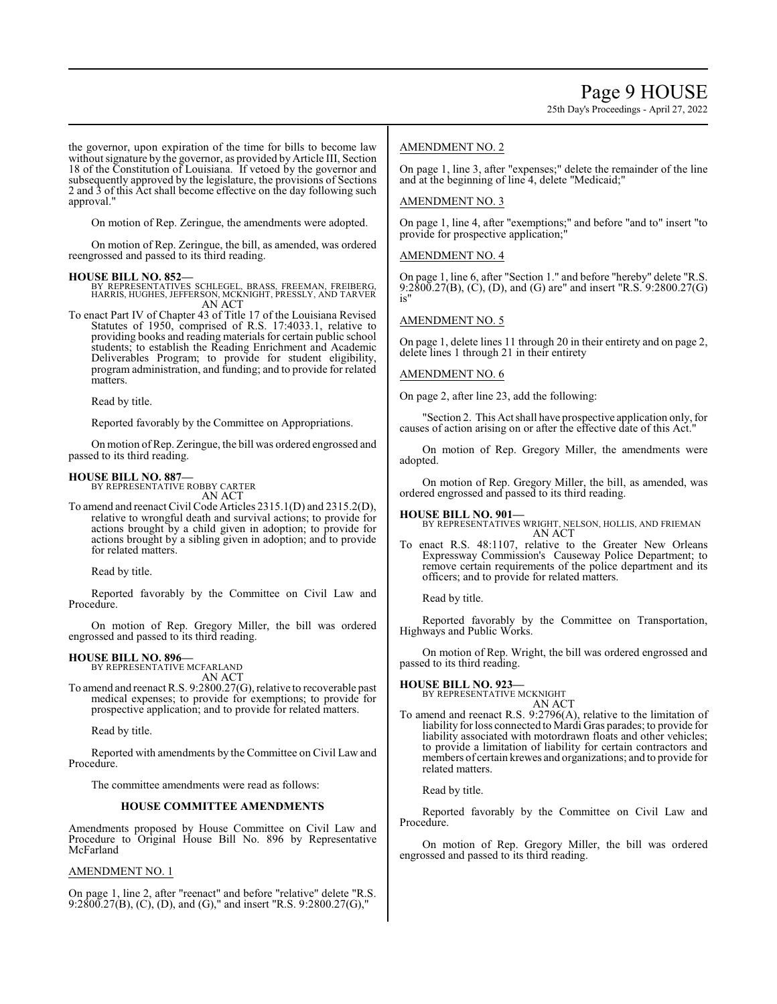25th Day's Proceedings - April 27, 2022

the governor, upon expiration of the time for bills to become law without signature by the governor, as provided by Article III, Section 18 of the Constitution of Louisiana. If vetoed by the governor and subsequently approved by the legislature, the provisions of Sections 2 and 3 of this Act shall become effective on the day following such approval."

On motion of Rep. Zeringue, the amendments were adopted.

On motion of Rep. Zeringue, the bill, as amended, was ordered reengrossed and passed to its third reading.

- **HOUSE BILL NO. 852—** BY REPRESENTATIVES SCHLEGEL, BRASS, FREEMAN, FREIBERG, HARRIS, HUGHES, JEFFERSON, MCKNIGHT, PRESSLY, AND TARVER AN ACT
- To enact Part IV of Chapter 43 of Title 17 of the Louisiana Revised Statutes of 1950, comprised of R.S. 17:4033.1, relative to providing books and reading materials for certain public school students; to establish the Reading Enrichment and Academic Deliverables Program; to provide for student eligibility, program administration, and funding; and to provide for related matters.

Read by title.

Reported favorably by the Committee on Appropriations.

On motion ofRep. Zeringue, the bill was ordered engrossed and passed to its third reading.

#### **HOUSE BILL NO. 887—**

BY REPRESENTATIVE ROBBY CARTER AN ACT

To amend and reenact Civil Code Articles 2315.1(D) and 2315.2(D), relative to wrongful death and survival actions; to provide for actions brought by a child given in adoption; to provide for actions brought by a sibling given in adoption; and to provide for related matters.

Read by title.

Reported favorably by the Committee on Civil Law and Procedure.

On motion of Rep. Gregory Miller, the bill was ordered engrossed and passed to its third reading.

#### **HOUSE BILL NO. 896—**

BY REPRESENTATIVE MCFARLAND AN ACT

To amend and reenact R.S. 9:2800.27(G), relative to recoverable past medical expenses; to provide for exemptions; to provide for prospective application; and to provide for related matters.

Read by title.

Reported with amendments by the Committee on Civil Law and Procedure.

The committee amendments were read as follows:

#### **HOUSE COMMITTEE AMENDMENTS**

Amendments proposed by House Committee on Civil Law and Procedure to Original House Bill No. 896 by Representative McFarland

#### AMENDMENT NO. 1

On page 1, line 2, after "reenact" and before "relative" delete "R.S. 9:2800.27(B), (C), (D), and (G)," and insert "R.S. 9:2800.27(G),"

#### AMENDMENT NO. 2

On page 1, line 3, after "expenses;" delete the remainder of the line and at the beginning of line 4, delete "Medicaid;"

#### AMENDMENT NO. 3

On page 1, line 4, after "exemptions;" and before "and to" insert "to provide for prospective application;

#### AMENDMENT NO. 4

On page 1, line 6, after "Section 1." and before "hereby" delete "R.S. 9:2800.27(B), (C), (D), and (G) are" and insert "R.S. 9:2800.27(G) is"

#### AMENDMENT NO. 5

On page 1, delete lines 11 through 20 in their entirety and on page 2, delete lines 1 through 21 in their entirety

#### AMENDMENT NO. 6

On page 2, after line 23, add the following:

"Section 2. This Act shall have prospective application only, for causes of action arising on or after the effective date of this Act.

On motion of Rep. Gregory Miller, the amendments were adopted.

On motion of Rep. Gregory Miller, the bill, as amended, was ordered engrossed and passed to its third reading.

#### **HOUSE BILL NO. 901—**

BY REPRESENTATIVES WRIGHT, NELSON, HOLLIS, AND FRIEMAN AN ACT

To enact R.S. 48:1107, relative to the Greater New Orleans Expressway Commission's Causeway Police Department; to remove certain requirements of the police department and its officers; and to provide for related matters.

Read by title.

Reported favorably by the Committee on Transportation, Highways and Public Works.

On motion of Rep. Wright, the bill was ordered engrossed and passed to its third reading.

### **HOUSE BILL NO. 923—** BY REPRESENTATIVE MCKNIGHT

AN ACT

To amend and reenact R.S. 9:2796(A), relative to the limitation of liability for loss connected to Mardi Gras parades; to provide for liability associated with motordrawn floats and other vehicles; to provide a limitation of liability for certain contractors and members of certain krewes and organizations; and to provide for related matters.

Read by title.

Reported favorably by the Committee on Civil Law and Procedure.

On motion of Rep. Gregory Miller, the bill was ordered engrossed and passed to its third reading.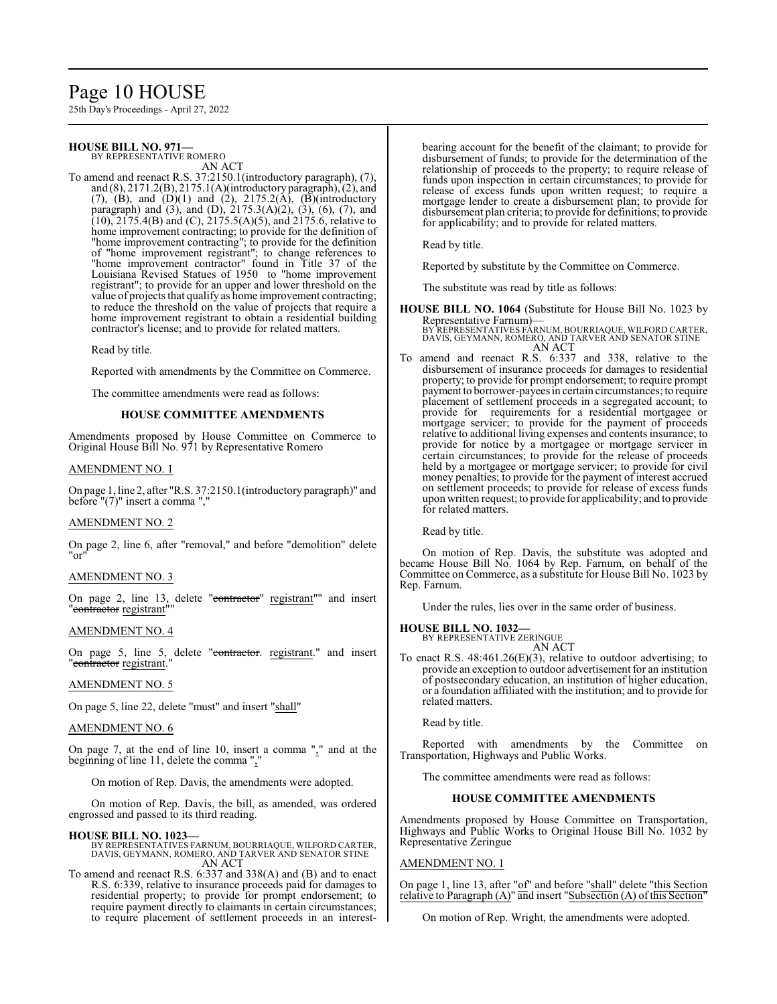## Page 10 HOUSE

25th Day's Proceedings - April 27, 2022

#### **HOUSE BILL NO. 971—** BY REPRESENTATIVE ROMERO

AN ACT

To amend and reenact R.S. 37:2150.1(introductory paragraph), (7), and (8), 2171.2(B), 2175.1(A)(introductory paragraph), (2), and  $(7)$ ,  $(B)$ , and  $(D)(1)$  and  $(2)$ , 2175.2(A),  $(B)$ (introductory paragraph) and (3), and (D),  $2175.3(A)(2)$ , (3), (6), (7), and  $(10)$ ,  $2175.4(B)$  and  $(C)$ ,  $2175.5(A)(5)$ , and  $2175.6$ , relative to home improvement contracting; to provide for the definition of "home improvement contracting"; to provide for the definition of "home improvement registrant"; to change references to "home improvement contractor" found in Title 37 of the Louisiana Revised Statues of 1950 to "home improvement registrant"; to provide for an upper and lower threshold on the value of projects that qualify as home improvement contracting; to reduce the threshold on the value of projects that require a home improvement registrant to obtain a residential building contractor's license; and to provide for related matters.

Read by title.

Reported with amendments by the Committee on Commerce.

The committee amendments were read as follows:

#### **HOUSE COMMITTEE AMENDMENTS**

Amendments proposed by House Committee on Commerce to Original House Bill No. 971 by Representative Romero

#### AMENDMENT NO. 1

On page 1, line 2, after "R.S. 37:2150.1(introductory paragraph)" and before  $"(7)"$  insert a comma ","

#### AMENDMENT NO. 2

On page 2, line 6, after "removal," and before "demolition" delete "or"

#### AMENDMENT NO. 3

On page 2, line 13, delete "contractor" registrant"" and insert "contractor registrant"

#### AMENDMENT NO. 4

On page 5, line 5, delete "contractor. registrant." and insert "<del>contractor</del> registrant."

#### AMENDMENT NO. 5

On page 5, line 22, delete "must" and insert "shall"

#### AMENDMENT NO. 6

On page 7, at the end of line 10, insert a comma "," and at the beginning of line 11, delete the comma ","

On motion of Rep. Davis, the amendments were adopted.

On motion of Rep. Davis, the bill, as amended, was ordered engrossed and passed to its third reading.

**HOUSE BILL NO. 1023—** BY REPRESENTATIVES FARNUM, BOURRIAQUE, WILFORD CARTER, DAVIS, GEYMANN, ROMERO, AND TARVER AND SENATOR STINE AN ACT

To amend and reenact R.S. 6:337 and 338(A) and (B) and to enact R.S. 6:339, relative to insurance proceeds paid for damages to residential property; to provide for prompt endorsement; to require payment directly to claimants in certain circumstances; to require placement of settlement proceeds in an interestbearing account for the benefit of the claimant; to provide for disbursement of funds; to provide for the determination of the relationship of proceeds to the property; to require release of funds upon inspection in certain circumstances; to provide for release of excess funds upon written request; to require a mortgage lender to create a disbursement plan; to provide for disbursement plan criteria; to provide for definitions; to provide for applicability; and to provide for related matters.

Read by title.

Reported by substitute by the Committee on Commerce.

The substitute was read by title as follows:

**HOUSE BILL NO. 1064** (Substitute for House Bill No. 1023 by

Representative Farnum)— BY REPRESENTATIVES FARNUM, BOURRIAQUE, WILFORD CARTER, DAVIS, GEYMANN, ROMERO, AND TARVER AND SENATOR STINE AN ACT

To amend and reenact R.S. 6:337 and 338, relative to the disbursement of insurance proceeds for damages to residential property; to provide for prompt endorsement; to require prompt payment to borrower-payees in certain circumstances; to require placement of settlement proceeds in a segregated account; to provide for requirements for a residential mortgagee or mortgage servicer; to provide for the payment of proceeds relative to additional living expenses and contents insurance; to provide for notice by a mortgagee or mortgage servicer in certain circumstances; to provide for the release of proceeds held by a mortgagee or mortgage servicer; to provide for civil money penalties; to provide for the payment of interest accrued on settlement proceeds; to provide for release of excess funds upon written request; to provide for applicability; and to provide for related matters.

Read by title.

On motion of Rep. Davis, the substitute was adopted and became House Bill No. 1064 by Rep. Farnum, on behalf of the Committee on Commerce, as a substitute for House Bill No. 1023 by Rep. Farnum.

Under the rules, lies over in the same order of business.

#### **HOUSE BILL NO. 1032—**

BY REPRESENTATIVE ZERINGUE AN ACT

To enact R.S. 48:461.26(E)(3), relative to outdoor advertising; to provide an exception to outdoor advertisement for an institution of postsecondary education, an institution of higher education, or a foundation affiliated with the institution; and to provide for related matters.

Read by title.

Reported with amendments by the Committee on Transportation, Highways and Public Works.

The committee amendments were read as follows:

#### **HOUSE COMMITTEE AMENDMENTS**

Amendments proposed by House Committee on Transportation, Highways and Public Works to Original House Bill No. 1032 by Representative Zeringue

#### AMENDMENT NO. 1

On page 1, line 13, after "of" and before "shall" delete "this Section relative to Paragraph (A)" and insert "Subsection (A) ofthis Section"

On motion of Rep. Wright, the amendments were adopted.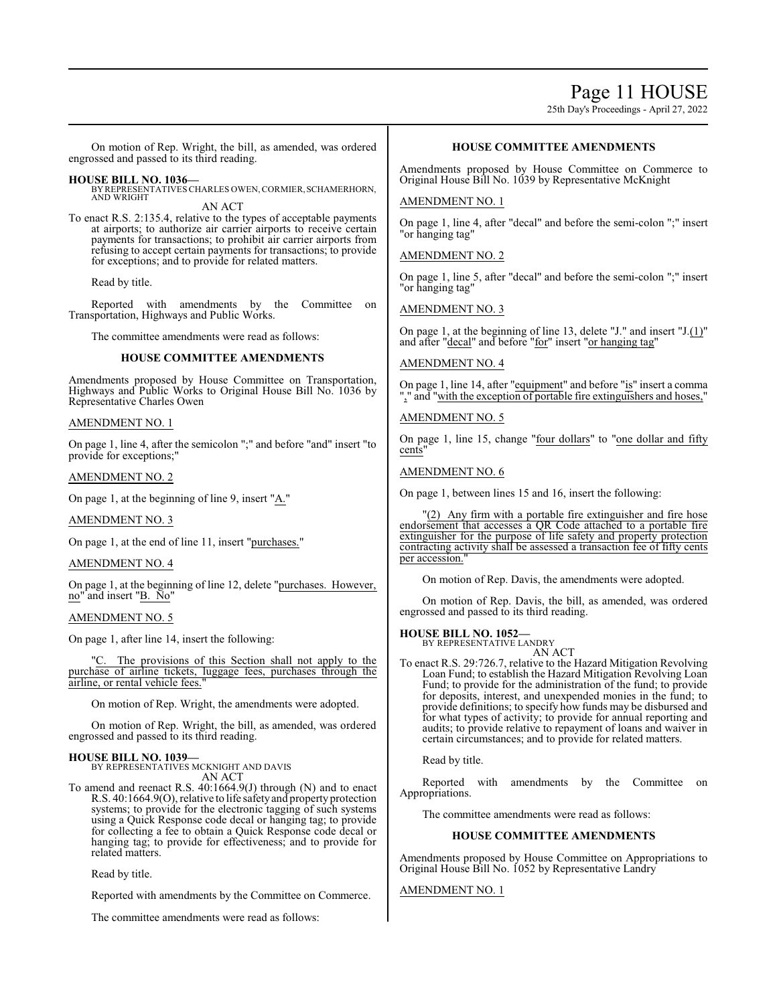### Page 11 HOUSE

25th Day's Proceedings - April 27, 2022

On motion of Rep. Wright, the bill, as amended, was ordered engrossed and passed to its third reading.

**HOUSE BILL NO. 1036—** BY REPRESENTATIVES CHARLES OWEN,CORMIER,SCHAMERHORN, AND WRIGHT AN ACT

To enact R.S. 2:135.4, relative to the types of acceptable payments at airports; to authorize air carrier airports to receive certain payments for transactions; to prohibit air carrier airports from refusing to accept certain payments for transactions; to provide for exceptions; and to provide for related matters.

Read by title.

Reported with amendments by the Committee on Transportation, Highways and Public Works.

The committee amendments were read as follows:

#### **HOUSE COMMITTEE AMENDMENTS**

Amendments proposed by House Committee on Transportation, Highways and Public Works to Original House Bill No. 1036 by Representative Charles Owen

#### AMENDMENT NO. 1

On page 1, line 4, after the semicolon ";" and before "and" insert "to provide for exceptions;"

#### AMENDMENT NO. 2

On page 1, at the beginning of line 9, insert "A."

#### AMENDMENT NO. 3

On page 1, at the end of line 11, insert "purchases."

#### AMENDMENT NO. 4

On page 1, at the beginning of line 12, delete "purchases. However, no" and insert "B. No"

#### AMENDMENT NO. 5

On page 1, after line 14, insert the following:

The provisions of this Section shall not apply to the purchase of airline tickets, luggage fees, purchases through the airline, or rental vehicle fees."

On motion of Rep. Wright, the amendments were adopted.

On motion of Rep. Wright, the bill, as amended, was ordered engrossed and passed to its third reading.

**HOUSE BILL NO. 1039—** BY REPRESENTATIVES MCKNIGHT AND DAVIS AN ACT

To amend and reenact R.S. 40:1664.9(J) through (N) and to enact R.S. 40:1664.9(O), relative to life safetyand property protection systems; to provide for the electronic tagging of such systems using a Quick Response code decal or hanging tag; to provide for collecting a fee to obtain a Quick Response code decal or hanging tag; to provide for effectiveness; and to provide for related matters.

Read by title.

Reported with amendments by the Committee on Commerce.

The committee amendments were read as follows:

#### **HOUSE COMMITTEE AMENDMENTS**

Amendments proposed by House Committee on Commerce to Original House Bill No. 1039 by Representative McKnight

#### AMENDMENT NO. 1

On page 1, line 4, after "decal" and before the semi-colon ";" insert "or hanging tag"

#### AMENDMENT NO. 2

On page 1, line 5, after "decal" and before the semi-colon ";" insert "or hanging tag"

AMENDMENT NO. 3

On page 1, at the beginning of line 13, delete "J." and insert "J.(1)" and after "decal" and before "for" insert "or hanging tag"

#### AMENDMENT NO. 4

On page 1, line 14, after "equipment" and before "is" insert a comma "," and "with the exception of portable fire extinguishers and hoses,"

#### AMENDMENT NO. 5

On page 1, line 15, change "four dollars" to "one dollar and fifty cents"

#### AMENDMENT NO. 6

On page 1, between lines 15 and 16, insert the following:

"(2) Any firm with a portable fire extinguisher and fire hose endorsement that accesses a QR Code attached to a portable fire extinguisher for the purpose of life safety and property protection contracting activity shall be assessed a transaction fee of fifty cents per accession.

On motion of Rep. Davis, the amendments were adopted.

On motion of Rep. Davis, the bill, as amended, was ordered engrossed and passed to its third reading.

#### **HOUSE BILL NO. 1052—**

BY REPRESENTATIVE LANDRY AN ACT

To enact R.S. 29:726.7, relative to the Hazard Mitigation Revolving Loan Fund; to establish the Hazard Mitigation Revolving Loan Fund; to provide for the administration of the fund; to provide for deposits, interest, and unexpended monies in the fund; to provide definitions; to specify how funds may be disbursed and for what types of activity; to provide for annual reporting and audits; to provide relative to repayment of loans and waiver in certain circumstances; and to provide for related matters.

Read by title.

Reported with amendments by the Committee on Appropriations.

The committee amendments were read as follows:

#### **HOUSE COMMITTEE AMENDMENTS**

Amendments proposed by House Committee on Appropriations to Original House Bill No. 1052 by Representative Landry

#### AMENDMENT NO. 1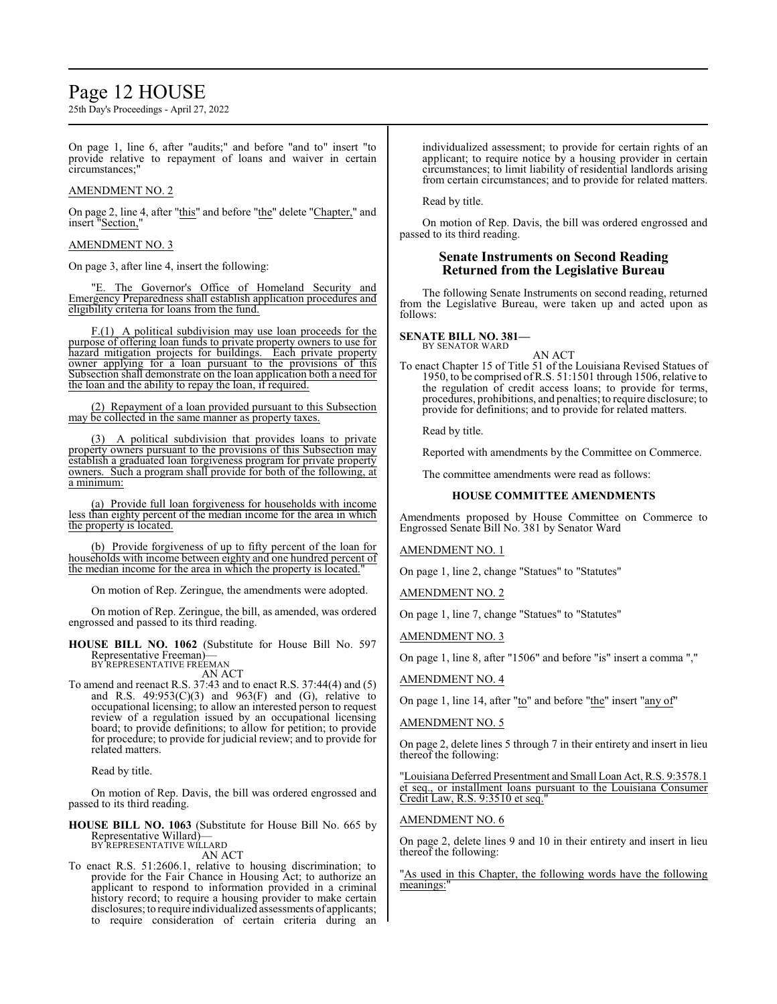### Page 12 HOUSE

25th Day's Proceedings - April 27, 2022

On page 1, line 6, after "audits;" and before "and to" insert "to provide relative to repayment of loans and waiver in certain circumstances;"

#### AMENDMENT NO. 2

On page 2, line 4, after "this" and before "the" delete "Chapter," and insert "Section,"

#### AMENDMENT NO. 3

On page 3, after line 4, insert the following:

"E. The Governor's Office of Homeland Security and Emergency Preparedness shall establish application procedures and eligibility criteria for loans from the fund.

F.(1) A political subdivision may use loan proceeds for the purpose of offering loan funds to private property owners to use for hazard mitigation projects for buildings. Each private property owner applying for a loan pursuant to the provisions of this Subsection shall demonstrate on the loan application both a need for the loan and the ability to repay the loan, if required.

(2) Repayment of a loan provided pursuant to this Subsection may be collected in the same manner as property taxes.

(3) A political subdivision that provides loans to private property owners pursuant to the provisions of this Subsection may establish a graduated loan forgiveness program for private property owners. Such a program shall provide for both of the following, at a minimum:

(a) Provide full loan forgiveness for households with income less than eighty percent of the median income for the area in which the property is located.

(b) Provide forgiveness of up to fifty percent of the loan for households with income between eighty and one hundred percent of the median income for the area in which the property is located."

On motion of Rep. Zeringue, the amendments were adopted.

On motion of Rep. Zeringue, the bill, as amended, was ordered engrossed and passed to its third reading.

**HOUSE BILL NO. 1062** (Substitute for House Bill No. 597 Representative Freeman)— BY REPRESENTATIVE FREEMAN

AN ACT

To amend and reenact R.S. 37:43 and to enact R.S. 37:44(4) and (5) and R.S.  $49:953(\text{C})(3)$  and  $963(\text{F})$  and (G), relative to occupational licensing; to allow an interested person to request review of a regulation issued by an occupational licensing board; to provide definitions; to allow for petition; to provide for procedure; to provide for judicial review; and to provide for related matters.

Read by title.

On motion of Rep. Davis, the bill was ordered engrossed and passed to its third reading.

**HOUSE BILL NO. 1063** (Substitute for House Bill No. 665 by Representative Willard)— BY REPRESENTATIVE WILLARD

AN ACT

To enact R.S. 51:2606.1, relative to housing discrimination; to provide for the Fair Chance in Housing Act; to authorize an applicant to respond to information provided in a criminal history record; to require a housing provider to make certain disclosures; to require individualized assessments of applicants; to require consideration of certain criteria during an

individualized assessment; to provide for certain rights of an applicant; to require notice by a housing provider in certain circumstances; to limit liability of residential landlords arising from certain circumstances; and to provide for related matters.

Read by title.

On motion of Rep. Davis, the bill was ordered engrossed and passed to its third reading.

#### **Senate Instruments on Second Reading Returned from the Legislative Bureau**

The following Senate Instruments on second reading, returned from the Legislative Bureau, were taken up and acted upon as follows:

**SENATE BILL NO. 381—** BY SENATOR WARD

AN ACT

To enact Chapter 15 of Title 51 of the Louisiana Revised Statues of 1950, to be comprised ofR.S. 51:1501 through 1506, relative to the regulation of credit access loans; to provide for terms, procedures, prohibitions, and penalties; to require disclosure; to provide for definitions; and to provide for related matters.

Read by title.

Reported with amendments by the Committee on Commerce.

The committee amendments were read as follows:

#### **HOUSE COMMITTEE AMENDMENTS**

Amendments proposed by House Committee on Commerce to Engrossed Senate Bill No. 381 by Senator Ward

AMENDMENT NO. 1

On page 1, line 2, change "Statues" to "Statutes"

AMENDMENT NO. 2

On page 1, line 7, change "Statues" to "Statutes"

AMENDMENT NO. 3

On page 1, line 8, after "1506" and before "is" insert a comma ","

#### AMENDMENT NO. 4

On page 1, line 14, after "to" and before "the" insert "any of"

#### AMENDMENT NO. 5

On page 2, delete lines 5 through 7 in their entirety and insert in lieu thereof the following:

"Louisiana Deferred Presentment and Small Loan Act, R.S. 9:3578.1 et seq., or installment loans pursuant to the Louisiana Consumer Credit Law, R.S. 9:3510 et seq."

#### AMENDMENT NO. 6

On page 2, delete lines 9 and 10 in their entirety and insert in lieu thereof the following:

"As used in this Chapter, the following words have the following meanings: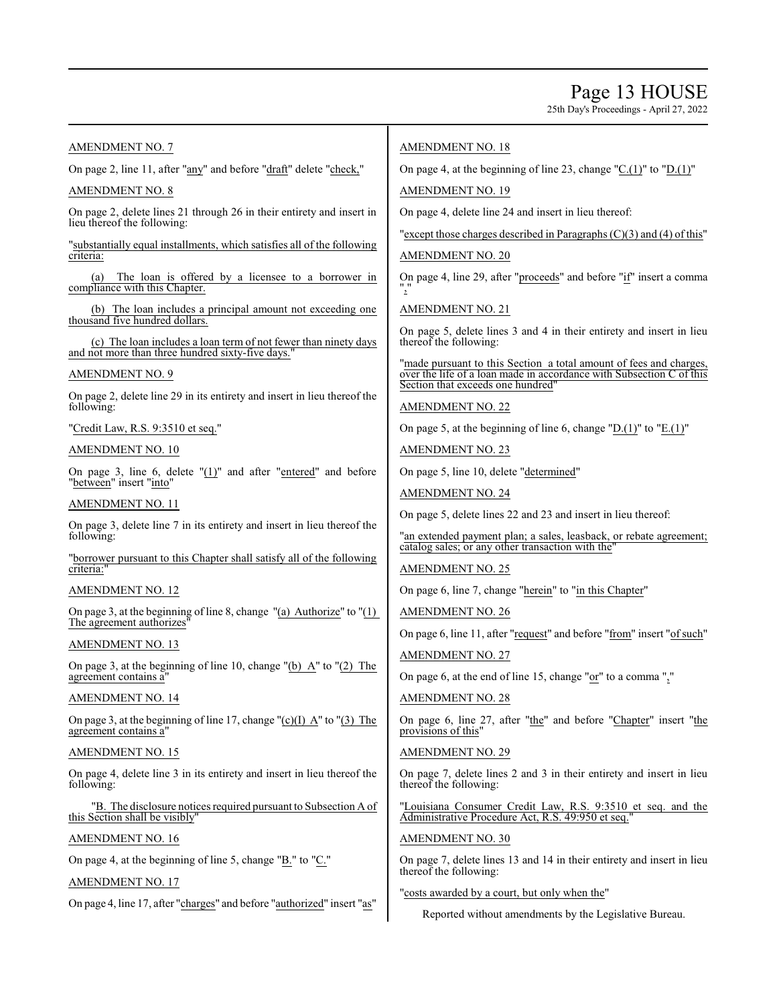### Page 13 HOUSE

25th Day's Proceedings - April 27, 2022

#### AMENDMENT NO. 7

On page 2, line 11, after "any" and before "draft" delete "check,"

#### AMENDMENT NO. 8

On page 2, delete lines 21 through 26 in their entirety and insert in lieu thereof the following:

"substantially equal installments, which satisfies all of the following criteria:

The loan is offered by a licensee to a borrower in compliance with this Chapter.

(b) The loan includes a principal amount not exceeding one thousand five hundred dollars.

(c) The loan includes a loan term of not fewer than ninety days and not more than three hundred sixty-five days."

#### AMENDMENT NO. 9

On page 2, delete line 29 in its entirety and insert in lieu thereof the following:

"Credit Law, R.S. 9:3510 et seq."

#### AMENDMENT NO. 10

On page 3, line 6, delete "(1)" and after "entered" and before "between" insert "into"

#### AMENDMENT NO. 11

On page 3, delete line 7 in its entirety and insert in lieu thereof the following:

"borrower pursuant to this Chapter shall satisfy all of the following criteria:'

#### AMENDMENT NO. 12

On page 3, at the beginning of line 8, change  $"$ (a) Authorize" to  $"$ (1) The agreement authorizes'

#### AMENDMENT NO. 13

On page 3, at the beginning of line 10, change "(b) A" to "(2) The agreement contains a"

#### AMENDMENT NO. 14

On page 3, at the beginning of line 17, change " $(c)(I)$  A" to " $(3)$  The agreement contains a"

#### AMENDMENT NO. 15

On page 4, delete line 3 in its entirety and insert in lieu thereof the following:

"B. The disclosure notices required pursuant to Subsection A of this Section shall be visibly"

#### AMENDMENT NO. 16

On page 4, at the beginning of line 5, change "B." to "C."

#### AMENDMENT NO. 17

On page 4, line 17, after "charges" and before "authorized" insert "as"

#### AMENDMENT NO. 18

On page 4, at the beginning of line 23, change " $C.(1)$ " to " $D.(1)$ "

AMENDMENT NO. 19

On page 4, delete line 24 and insert in lieu thereof:

"except those charges described in Paragraphs(C)(3) and (4) of this"

AMENDMENT NO. 20

On page 4, line 29, after "proceeds" and before "if" insert a comma ","

AMENDMENT NO. 21

On page 5, delete lines 3 and 4 in their entirety and insert in lieu thereof the following:

"made pursuant to this Section a total amount of fees and charges, over the life of a loan made in accordance with Subsection C of this Section that exceeds one hundred"

AMENDMENT NO. 22

On page 5, at the beginning of line 6, change "D. $(1)$ " to "E. $(1)$ "

AMENDMENT NO. 23

On page 5, line 10, delete "determined"

AMENDMENT NO. 24

On page 5, delete lines 22 and 23 and insert in lieu thereof:

"an extended payment plan; a sales, leasback, or rebate agreement; catalog sales; or any other transaction with the"

#### AMENDMENT NO. 25

On page 6, line 7, change "herein" to "in this Chapter"

AMENDMENT NO. 26

On page 6, line 11, after "request" and before "from" insert "of such"

#### AMENDMENT NO. 27

On page 6, at the end of line 15, change " $or$ " to a comma ","

#### AMENDMENT NO. 28

On page 6, line 27, after "the" and before "Chapter" insert "the provisions of this'

#### AMENDMENT NO. 29

On page 7, delete lines 2 and 3 in their entirety and insert in lieu thereof the following:

"Louisiana Consumer Credit Law, R.S. 9:3510 et seq. and the Administrative Procedure Act, R.S. 49:950 et seq.

#### AMENDMENT NO. 30

On page 7, delete lines 13 and 14 in their entirety and insert in lieu thereof the following:

#### "costs awarded by a court, but only when the"

Reported without amendments by the Legislative Bureau.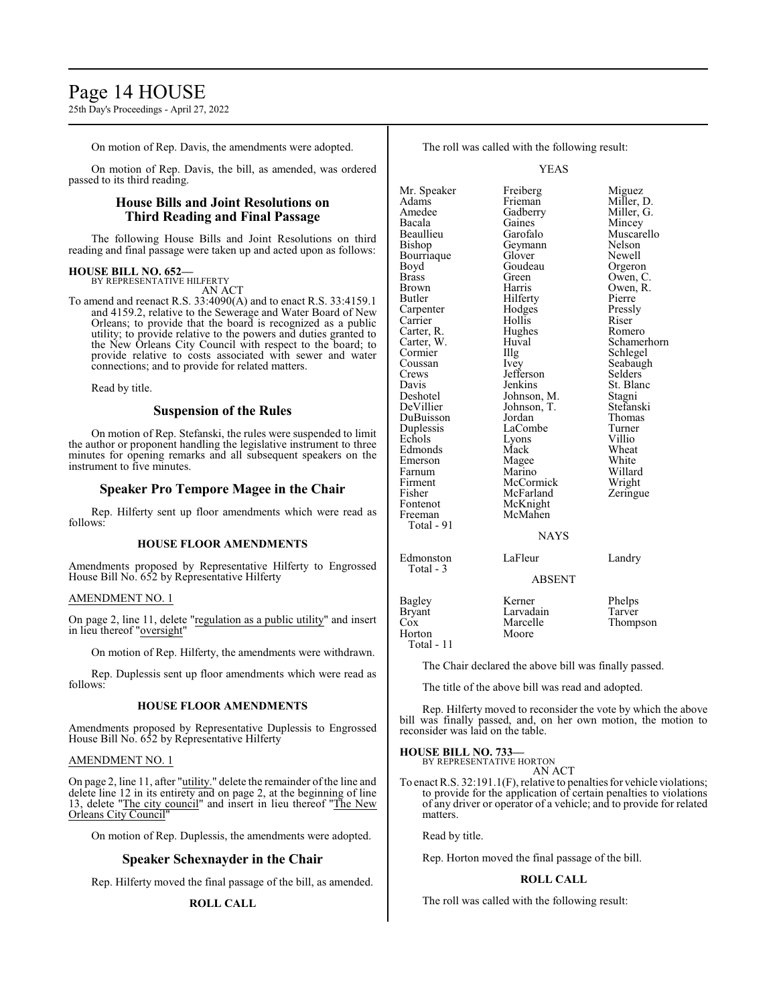### Page 14 HOUSE

25th Day's Proceedings - April 27, 2022

On motion of Rep. Davis, the amendments were adopted.

On motion of Rep. Davis, the bill, as amended, was ordered passed to its third reading.

#### **House Bills and Joint Resolutions on Third Reading and Final Passage**

The following House Bills and Joint Resolutions on third reading and final passage were taken up and acted upon as follows:

#### **HOUSE BILL NO. 652—**

BY REPRESENTATIVE HILFERTY AN ACT

To amend and reenact R.S. 33:4090(A) and to enact R.S. 33:4159.1 and 4159.2, relative to the Sewerage and Water Board of New Orleans; to provide that the board is recognized as a public utility; to provide relative to the powers and duties granted to the New Orleans City Council with respect to the board; to provide relative to costs associated with sewer and water connections; and to provide for related matters.

Read by title.

#### **Suspension of the Rules**

On motion of Rep. Stefanski, the rules were suspended to limit the author or proponent handling the legislative instrument to three minutes for opening remarks and all subsequent speakers on the instrument to five minutes.

#### **Speaker Pro Tempore Magee in the Chair**

Rep. Hilferty sent up floor amendments which were read as follows:

#### **HOUSE FLOOR AMENDMENTS**

Amendments proposed by Representative Hilferty to Engrossed House Bill No. 652 by Representative Hilferty

#### AMENDMENT NO. 1

On page 2, line 11, delete "regulation as a public utility" and insert in lieu thereof "oversight"

On motion of Rep. Hilferty, the amendments were withdrawn.

Rep. Duplessis sent up floor amendments which were read as follows:

#### **HOUSE FLOOR AMENDMENTS**

Amendments proposed by Representative Duplessis to Engrossed House Bill No. 652 by Representative Hilferty

#### AMENDMENT NO. 1

On page 2, line 11, after "utility." delete the remainder of the line and delete line 12 in its entirety and on page 2, at the beginning of line 13, delete "The city council" and insert in lieu thereof "The New Orleans City Council"

On motion of Rep. Duplessis, the amendments were adopted.

#### **Speaker Schexnayder in the Chair**

Rep. Hilferty moved the final passage of the bill, as amended.

#### **ROLL CALL**

The roll was called with the following result:

YEAS

| Mr. Speaker   | Freiberg    | Miguez      |
|---------------|-------------|-------------|
| Adams         | Frieman     | Miller, D.  |
| Amedee        | Gadberry    | Miller, G.  |
| Bacala        | Gaines      | Mincey      |
| Beaullieu     | Garofalo    | Muscarello  |
| Bishop        | Geymann     | Nelson      |
| Bourriaque    | Glover      | Newell      |
| Boyd          | Goudeau     | Orgeron     |
| Brass         | Green       | Owen, C.    |
| Brown         | Harris      | Owen, R.    |
| Butler        | Hilferty    | Pierre      |
| Carpenter     | Hodges      | Pressly     |
| Carrier       | Hollis      | Riser       |
| Carter, R.    | Hughes      | Romero      |
| Carter, W.    | Huval       | Schamerhorn |
| Cormier       | Illg        | Schlegel    |
| Coussan       | Ivey        | Seabaugh    |
| Crews         | Jefferson   | Selders     |
| Davis         | Jenkins     | St. Blanc   |
| Deshotel      | Johnson, M. | Stagni      |
| DeVillier     | Johnson, T. | Stefanski   |
| DuBuisson     | Jordan      | Thomas      |
| Duplessis     | LaCombe     | Turner      |
| Echols        | Lyons       | Villio      |
| Edmonds       | Mack        | Wheat       |
| Emerson       | Magee       | White       |
| Farnum        | Marino      | Willard     |
| Firment       | McCormick   | Wright      |
| Fisher        | McFarland   | Zeringue    |
| Fontenot      | McKnight    |             |
| Freeman       | McMahen     |             |
| Total - 91    |             |             |
|               | <b>NAYS</b> |             |
| Edmonston     | LaFleur     | Landry      |
| Total - 3     |             |             |
|               | ABSENT      |             |
| Bagley        | Kerner      | Phelps      |
| <b>Bryant</b> | Larvadain   | Tarver      |
| $\cos$        | Marcelle    | Thompson    |
| Horton        | Moore       |             |

Total - 11

The Chair declared the above bill was finally passed.

The title of the above bill was read and adopted.

Rep. Hilferty moved to reconsider the vote by which the above bill was finally passed, and, on her own motion, the motion to reconsider was laid on the table.

#### **HOUSE BILL NO. 733**

BY REPRESENTATIVE HORTON AN ACT

To enact R.S. 32:191.1(F), relative to penalties for vehicle violations; to provide for the application of certain penalties to violations of any driver or operator of a vehicle; and to provide for related matters.

Read by title.

Rep. Horton moved the final passage of the bill.

#### **ROLL CALL**

The roll was called with the following result: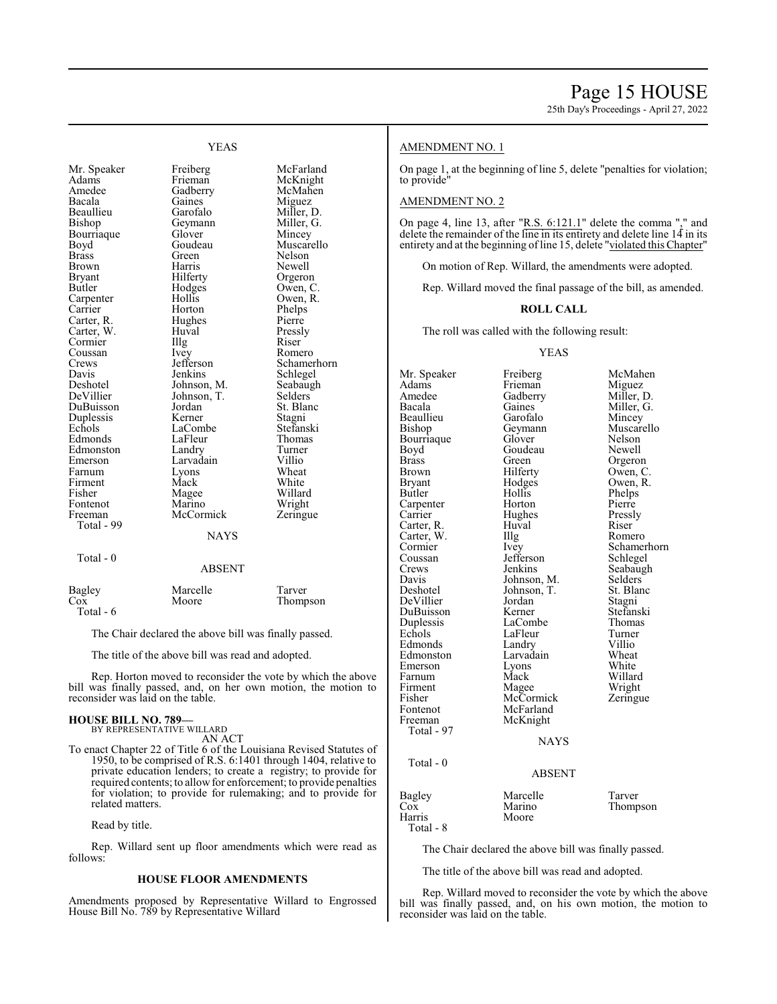#### YEAS

Bourriaque Glover<br>Boyd Goudeau Carpenter Coussan Ivey<br>Crews Jefferson Firment Mack<br>Fisher Magee Fontenot Marino Wright<br>
Freeman McCormick Zeringue Total - 99

Total - 0

Mr. Speaker Freiberg McFarland<br>Adams Frieman McKnight Adams Frieman McKnight Amedee Gadberry McMahen<br>Bacala Gaines Miguez Bacala Gaines Miguez Beaullieu Garofalo Miller, D.<br>Bishop Geymann Miller, G. Geymann Miller, G.<br>Glover Mincey Boyd Goudeau Muscarello<br>Brass Green Nelson Brass Green Nelson Brown Harris Newell Bryant Hilferty Orgeron<br>Butler Hodges Owen, C Hodges Owen, C.<br>Hollis Owen, R. Carrier Horton Phelps<br>Carter, R. Hughes Pierre Carter, R. Hughes Pierre<br>Carter, W. Huval Pressly Carter, W. Huval Pressl<br>Cormier Illg Riser Cormier Illg Riser<br>Coussan Ivev Romero Crews Jefferson Schamerhorn<br>
Davis Jenkins Schlegel Davis Jenkins Schlegel<br>Deshotel Johnson, M. Seabaugh Deshotel Johnson, M. Seabaughter Seabaughter Johnson, M. Seabaughter Seabaughter Seabaughter Seabaughter Seabaughter Seabaughter Seabaughter Seabaughter Seabaughter Seabaughter Seabaughter Seabaughter Seabaughter Seabaught Johnson, T. Selders<br>Jordan St. Blanc DuBuisson Jordan St. Bla<br>
Duplessis Kerner Stagni Duplessis Kerner Stagni<br>Echols LaCombe Stefanski LaCombe Stefansk<br>LaFleur Thomas Edmonds LaFleur Thoma<br>Edmonston Landry Turner Edmonston Landry Turne<br>
Emerson Larvadain Villio Larvadain Villio<br>
Lyons Wheat Farnum Lyons Wheat<br>
Firment Mack White Magee Willard<br>
Marino Wright **McCormick** 

**NAYS** 

ABSENT

|               | Marcelle | Tarver   |
|---------------|----------|----------|
| Bagley<br>Cox | Moore    | Thompson |
| Total - 6     |          |          |

The Chair declared the above bill was finally passed.

The title of the above bill was read and adopted.

Rep. Horton moved to reconsider the vote by which the above bill was finally passed, and, on her own motion, the motion to reconsider was laid on the table.

#### **HOUSE BILL NO. 789—** BY REPRESENTATIVE WILLARD

AN ACT

To enact Chapter 22 of Title 6 of the Louisiana Revised Statutes of 1950, to be comprised of R.S. 6:1401 through 1404, relative to private education lenders; to create a registry; to provide for required contents; to allow for enforcement; to provide penalties for violation; to provide for rulemaking; and to provide for related matters.

Read by title.

Rep. Willard sent up floor amendments which were read as follows:

#### **HOUSE FLOOR AMENDMENTS**

Amendments proposed by Representative Willard to Engrossed House Bill No. 789 by Representative Willard

#### AMENDMENT NO. 1

On page 1, at the beginning of line 5, delete "penalties for violation; to provide"

#### AMENDMENT NO. 2

On page 4, line 13, after "R.S.  $6:121.1$ " delete the comma "," and delete the remainder of the line in its entirety and delete line 14 in its entirety and at the beginning of line 15, delete "violated this Chapter"

On motion of Rep. Willard, the amendments were adopted.

Rep. Willard moved the final passage of the bill, as amended.

#### **ROLL CALL**

The roll was called with the following result:

#### YEAS

Mr. Speaker Freiberg McMahen<br>Adams Frieman Miguez Adams Frieman<br>Amedee Gadberry Amedee Gadberry Miller, D.<br>Bacala Gaines Miller, G. Gaines Miller, G.<br>Garofalo Mincey Beaullieu Garofalo<br>Bishop Geymann Geymann Muscarello<br>Glover Nelson Bourriaque Glover Nelson<br>Boyd Goudeau Newell Boyd Goudeau<br>Brass Green Brass Green Orgeron<br>Brown Hilferty Owen, C Brown Hilferty Owen, C.<br>Bryant Hodges Owen, R. Bryant Hodges Owen, R.<br>Butler Hollis Phelps Hollis Phelps<br>Horton Pierre Carpenter Horton Pierre<br>Carrier Hughes Pressly Hughes Pressl<br>Huval Riser Carter, R. Huval Riser Carter, W. Huval Romero Carter, W. Cormier Ivey Schamerhorn<br>
Coussan Jefferson Schlegel Coussan Jefferson Schlegel<br>Crews Jenkins Seabaug Crews Jenkins Seabaugh<br>
Davis Johnson, M. Selders Davis Johnson, M. Selders<br>Deshotel Johnson, T. St. Blanc Johnson, T. St. Bla<br>Jordan Stagni DeVillier Jordan Stagni DuBuisson Kerner Stefansk<br>Duplessis LaCombe Thomas Duplessis LaCombe Thoma<br>Echols LaFleur Turner LaFleur Turner<br>
Landry Villio Edmonds Landry Villio<br>Edmonston Larvadain Wheat Edmonston Larvadain Wheat<br>
Emerson Lyons White Emerson Lyons<br>Farnum Mack Farnum Mack Willard<br>Firment Magee Wright Firment Magee Wright<br>
Fisher McCormick Zeringue Fisher McCormick<br>Fontenot McFarland Fontenot McFarland<br>Freeman McKnight McKnight Total - 97 NAYS Total - 0 ABSENT Bagley Marcelle Tarver<br>
Cox Marino Thomp Cox Marino Thompson Moore

The Chair declared the above bill was finally passed.

The title of the above bill was read and adopted.

Total - 8

Rep. Willard moved to reconsider the vote by which the above bill was finally passed, and, on his own motion, the motion to reconsider was laid on the table.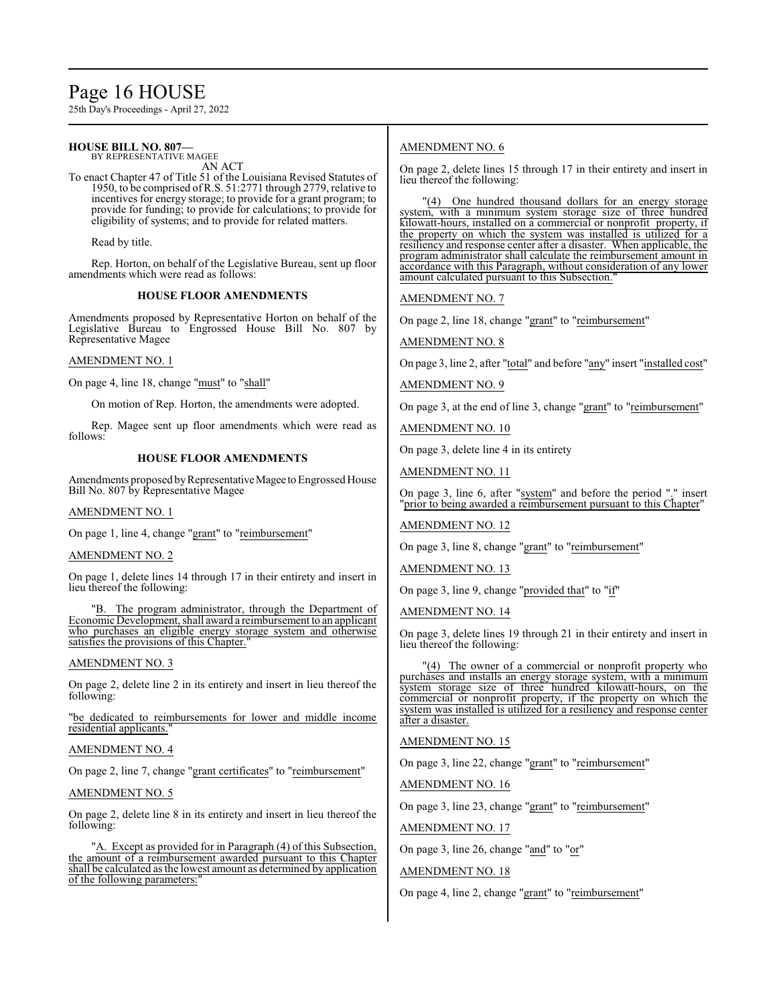## Page 16 HOUSE

25th Day's Proceedings - April 27, 2022

#### **HOUSE BILL NO. 807—** BY REPRESENTATIVE MAGEE

AN ACT

To enact Chapter 47 of Title 51 of the Louisiana Revised Statutes of 1950, to be comprised ofR.S. 51:2771 through 2779, relative to incentives for energy storage; to provide for a grant program; to provide for funding; to provide for calculations; to provide for eligibility of systems; and to provide for related matters.

Read by title.

Rep. Horton, on behalf of the Legislative Bureau, sent up floor amendments which were read as follows:

#### **HOUSE FLOOR AMENDMENTS**

Amendments proposed by Representative Horton on behalf of the Legislative Bureau to Engrossed House Bill No. 807 by Representative Magee

#### AMENDMENT NO. 1

On page 4, line 18, change "must" to "shall"

On motion of Rep. Horton, the amendments were adopted.

Rep. Magee sent up floor amendments which were read as follows:

#### **HOUSE FLOOR AMENDMENTS**

Amendments proposed by Representative Magee to Engrossed House Bill No. 807 by Representative Magee

#### AMENDMENT NO. 1

On page 1, line 4, change "grant" to "reimbursement"

#### AMENDMENT NO. 2

On page 1, delete lines 14 through 17 in their entirety and insert in lieu thereof the following:

"B. The program administrator, through the Department of Economic Development, shall award a reimbursement to an applicant who purchases an eligible energy storage system and otherwise satisfies the provisions of this Chapter."

#### AMENDMENT NO. 3

On page 2, delete line 2 in its entirety and insert in lieu thereof the following:

"be dedicated to reimbursements for lower and middle income residential applicants."

#### AMENDMENT NO. 4

On page 2, line 7, change "grant certificates" to "reimbursement"

AMENDMENT NO. 5

On page 2, delete line 8 in its entirety and insert in lieu thereof the following:

"A. Except as provided for in Paragraph (4) of this Subsection, the amount of a reimbursement awarded pursuant to this Chapter shall be calculated as the lowest amount as determined by application of the following parameters:"

#### AMENDMENT NO. 6

On page 2, delete lines 15 through 17 in their entirety and insert in lieu thereof the following:

'(4) One hundred thousand dollars for an energy storage system, with a minimum system storage size of three hundred kilowatt-hours, installed on a commercial or nonprofit property, if the property on which the system was installed is utilized for a resiliency and response center after a disaster. When applicable, the program administrator shall calculate the reimbursement amount in accordance with this Paragraph, without consideration of any lower amount calculated pursuant to this Subsection.

AMENDMENT NO. 7

On page 2, line 18, change "grant" to "reimbursement"

AMENDMENT NO. 8

On page 3, line 2, after "total" and before "any" insert "installed cost"

AMENDMENT NO. 9

On page 3, at the end of line 3, change "grant" to "reimbursement"

AMENDMENT NO. 10

On page 3, delete line 4 in its entirety

AMENDMENT NO. 11

On page 3, line 6, after "system" and before the period "." insert "prior to being awarded a reimbursement pursuant to this Chapter"

AMENDMENT NO. 12

On page 3, line 8, change "grant" to "reimbursement"

AMENDMENT NO. 13

On page 3, line 9, change "provided that" to "if"

AMENDMENT NO. 14

On page 3, delete lines 19 through 21 in their entirety and insert in lieu thereof the following:

"(4) The owner of a commercial or nonprofit property who purchases and installs an energy storage system, with a minimum system storage size of three hundred kilowatt-hours, on the commercial or nonprofit property, if the property on which the system was installed is utilized for a resiliency and response center after a disaster.

AMENDMENT NO. 15

On page 3, line 22, change "grant" to "reimbursement"

AMENDMENT NO. 16

On page 3, line 23, change "grant" to "reimbursement"

AMENDMENT NO. 17

On page 3, line 26, change "and" to "or"

#### AMENDMENT NO. 18

On page 4, line 2, change "grant" to "reimbursement"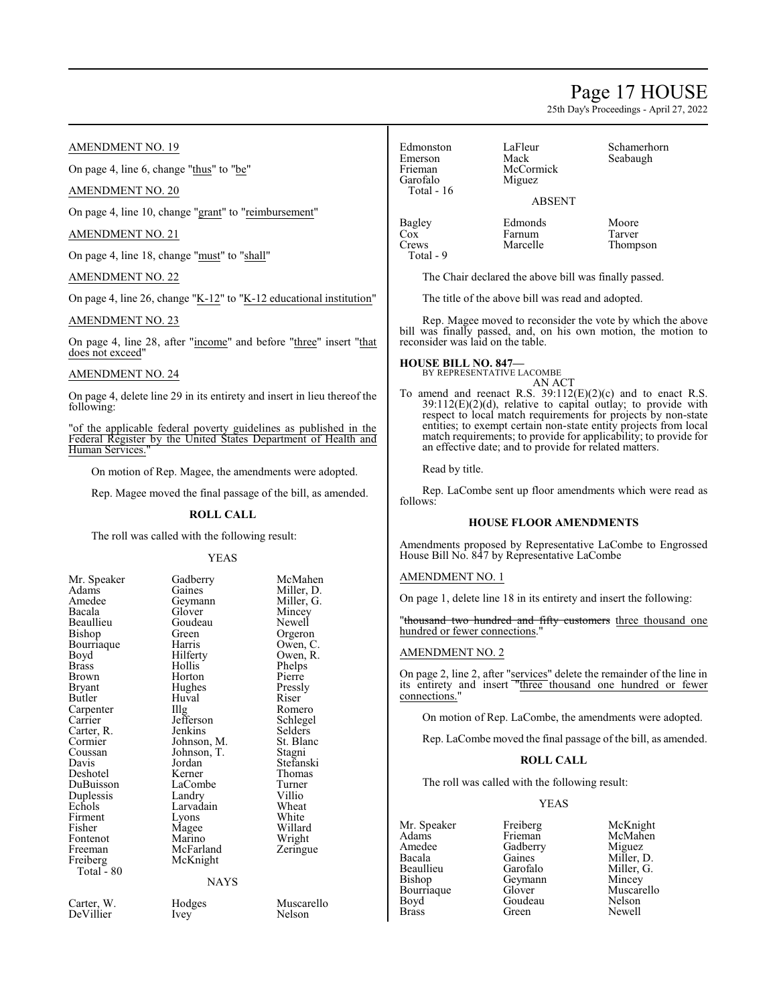### Page 17 HOUSE

25th Day's Proceedings - April 27, 2022

#### AMENDMENT NO. 19

On page 4, line 6, change "thus" to "be"

#### AMENDMENT NO. 20

On page 4, line 10, change "grant" to "reimbursement"

#### AMENDMENT NO. 21

On page 4, line 18, change "must" to "shall"

#### AMENDMENT NO. 22

On page 4, line 26, change "K-12" to "K-12 educational institution"

#### AMENDMENT NO. 23

On page 4, line 28, after "income" and before "three" insert "that does not exceed"

#### AMENDMENT NO. 24

On page 4, delete line 29 in its entirety and insert in lieu thereof the following:

"of the applicable federal poverty guidelines as published in the Federal Register by the United States Department of Health and Human Services.

On motion of Rep. Magee, the amendments were adopted.

Rep. Magee moved the final passage of the bill, as amended.

#### **ROLL CALL**

The roll was called with the following result:

| Mr. Speaker  | Gadberry    | McMahe    |
|--------------|-------------|-----------|
| Adams        | Gaines      | Miller, L |
| Amedee       | Geymann     | Miller, C |
| Bacala       | Glover      | Mincey    |
| Beaullieu    | Goudeau     | Newell    |
| Bishop       | Green       | Orgeron   |
| Bourriaque   | Harris      | Owen, C   |
| Boyd         | Hilferty    | Owen, R   |
| <b>Brass</b> | Hollis      | Phelps    |
| Brown        | Horton      | Pierre    |
| Bryant       | Hughes      | Pressly   |
| Butler       | Huval       | Riser     |
| Carpenter    | Illg        | Romero    |
| Carrier      | Jefferson   | Schlegel  |
| Carter, R.   | Jenkins     | Selders   |
| Cormier      | Johnson, M. | St. Blano |
| Coussan      | Johnson, T. | Stagni    |
| Davis        | Jordan      | Stefansk  |
| Deshotel     | Kerner      | Thomas    |
| DuBuisson    | LaCombe     | Turner    |
| Duplessis    | Landry      | Villio    |
| Echols       | Larvadain   | Wheat     |
| Firment      | Lyons       | White     |
| Fisher       | Magee       | Willard   |
| Fontenot     | Marino      | Wright    |
| Freeman      | McFarland   | Zeringue  |
| Freiberg     | McKnight    |           |
| Total - 80   |             |           |
|              | <b>NAYS</b> |           |
| Carter, W.   | Hodges      | Muscare   |
|              |             |           |

YEAS Gadberry McMahen<br>Gaines Miller D Miller, D.<br>Miller, G. Geymann Miller,<br>Glover Mincey Glover Mincey<br>Goudeau Newell Goudeau<br>Green Green Orgeron<br>Harris Owen, C Harris Owen, C.<br>Hilferty Owen, R. Owen, R.<br>Phelps Hollis<br>Horton Pierre<br>Pressly Hughes Pressl<br>Huval Riser Huval Riser<br>Illg Romero Jenkins Selders<br>Johnson, M. St. Blanc Johnson, M. St. Bla<br>Johnson, T. Stagni Johnson, T.<br>Jordan Jordan Stefanski<br>Kerner Thomas Thomas<br>Turner LaCombe Turner<br>
Landry Villio Landry Villio<br>
Larvadain Wheat Larvadain Wheat<br>Lyons White Lyons White<br>Magee Willard Magee Willard<br>
Marino Wright Marino Wright<br>
McFarland Zeringue McFarland McKnight NAYS

DeVillier Ivey

Hodges Muscarello<br>
Verwys Nelson

Edmonston LaFleur Schamerhorn<br>Emerson Mack Seabaugh Emerson Mack Seabaugh<br>
Frieman McCormick Seabaugh Garofalo Total - 16

McCormick<br>Miguez ABSENT

Bagley Edmonds Moore<br>Cox Farnum Tarver Cox Farnum<br>Crews Marcelle Total - 9

Thompson

The Chair declared the above bill was finally passed.

The title of the above bill was read and adopted.

Rep. Magee moved to reconsider the vote by which the above bill was finally passed, and, on his own motion, the motion to reconsider was laid on the table.

### **HOUSE BILL NO. 847—** BY REPRESENTATIVE LACOMBE

AN ACT

To amend and reenact R.S. 39:112(E)(2)(c) and to enact R.S.  $39:112(E)(2)(d)$ , relative to capital outlay; to provide with respect to local match requirements for projects by non-state entities; to exempt certain non-state entity projects from local match requirements; to provide for applicability; to provide for an effective date; and to provide for related matters.

Read by title.

Rep. LaCombe sent up floor amendments which were read as follows:

#### **HOUSE FLOOR AMENDMENTS**

Amendments proposed by Representative LaCombe to Engrossed House Bill No. 847 by Representative LaCombe

#### AMENDMENT NO. 1

On page 1, delete line 18 in its entirety and insert the following:

"thousand two hundred and fifty customers three thousand one hundred or fewer connections."

#### AMENDMENT NO. 2

On page 2, line 2, after "services" delete the remainder of the line in its entirety and insert "three thousand one hundred or fewer connections.'

On motion of Rep. LaCombe, the amendments were adopted.

Rep. LaCombe moved the final passage of the bill, as amended.

#### **ROLL CALL**

The roll was called with the following result:

#### YEAS

Mr. Speaker Freiberg McKnight<br>Adams Frieman McMahen Adams Frieman McMahen<br>Amedee Gadberry Miguez Amedee Gadberry<br>Bacala Gaines Bacala Gaines Miller, D.<br>Beaullieu Garofalo Miller. G. Beaullieu Garofalo Miller, G.<br>Bishop Geymann Mincey Bishop Geymann<br>Bourriaque Glover Bourriaque Glover Muscarello<br>
Boyd Goudeau Nelson Boyd Goudeau Nelson Brass Green Newell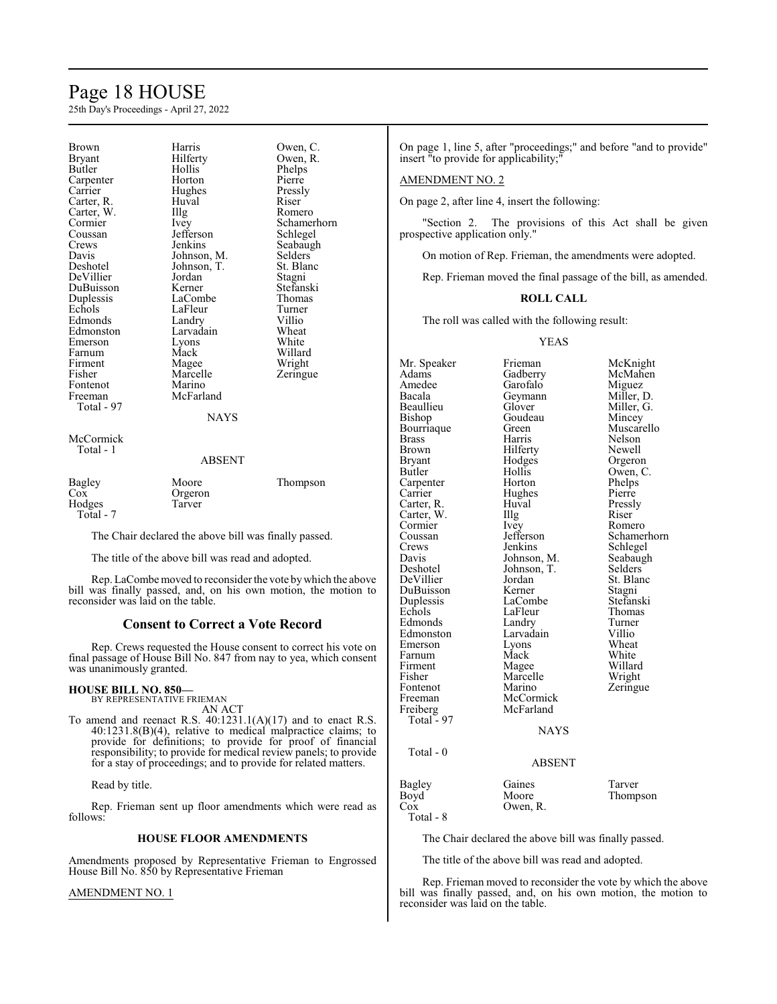### Page 18 HOUSE

25th Day's Proceedings - April 27, 2022

| <b>Brown</b><br><b>Bryant</b><br><b>Butler</b><br>Carpenter<br>Carrier | Harris<br>Hilferty<br>Hollis<br>Horton<br>Hughes | Owen, C.<br>Owen, R.<br>Phelps<br>Pierre<br>Pressly |
|------------------------------------------------------------------------|--------------------------------------------------|-----------------------------------------------------|
| Carter, R.                                                             | Huval                                            | Riser                                               |
| Carter, W.<br>Cormier                                                  | Illg                                             | Romero<br>Schamerhorn                               |
| Coussan                                                                | Ivey<br>Jefferson                                | Schlegel                                            |
| Crews                                                                  | Jenkins                                          | Seabaugh                                            |
| Davis                                                                  | Johnson, M.                                      | Selders                                             |
| Deshotel                                                               | Johnson, T.                                      | St. Blanc                                           |
| DeVillier                                                              | Jordan                                           | Stagni                                              |
| DuBuisson                                                              | Kerner                                           | Stefanski                                           |
| Duplessis                                                              | LaCombe                                          | Thomas                                              |
| Echols                                                                 | LaFleur                                          | Turner                                              |
| Edmonds                                                                | Landry                                           | Villio                                              |
| Edmonston                                                              | Larvadain                                        | Wheat                                               |
| Emerson                                                                | Lyons                                            | White                                               |
| Farnum                                                                 | Mack                                             | Willard                                             |
| Firment                                                                | Magee                                            | Wright                                              |
| Fisher                                                                 | Marcelle                                         | Zeringue                                            |
| Fontenot                                                               | Marino                                           |                                                     |
| Freeman                                                                | McFarland                                        |                                                     |
| Total - 97                                                             | <b>NAYS</b>                                      |                                                     |
| McCormick                                                              |                                                  |                                                     |
| Total - 1                                                              |                                                  |                                                     |
|                                                                        | ABSENT                                           |                                                     |
| Bagley                                                                 | Moore                                            | Thompson                                            |
| Cox                                                                    | Orgeron                                          |                                                     |
| Hodges                                                                 | Tarver                                           |                                                     |

 Total - 7 The Chair declared the above bill was finally passed.

The title of the above bill was read and adopted.

Rep. LaCombemoved to reconsider the vote bywhich the above bill was finally passed, and, on his own motion, the motion to reconsider was laid on the table.

#### **Consent to Correct a Vote Record**

Rep. Crews requested the House consent to correct his vote on final passage of House Bill No. 847 from nay to yea, which consent was unanimously granted.

### **HOUSE BILL NO. 850—**

BY REPRESENTATIVE FRIEMAN AN ACT

To amend and reenact R.S. 40:1231.1(A)(17) and to enact R.S. 40:1231.8(B)(4), relative to medical malpractice claims; to provide for definitions; to provide for proof of financial responsibility; to provide for medical review panels; to provide for a stay of proceedings; and to provide for related matters.

Read by title.

Rep. Frieman sent up floor amendments which were read as follows:

#### **HOUSE FLOOR AMENDMENTS**

Amendments proposed by Representative Frieman to Engrossed House Bill No. 850 by Representative Frieman

#### AMENDMENT NO. 1

On page 1, line 5, after "proceedings;" and before "and to provide" insert "to provide for applicability;"

#### AMENDMENT NO. 2

On page 2, after line 4, insert the following:

"Section 2. The provisions of this Act shall be given prospective application only."

On motion of Rep. Frieman, the amendments were adopted.

Rep. Frieman moved the final passage of the bill, as amended.

#### **ROLL CALL**

The roll was called with the following result:

YEAS

Mr. Speaker Frieman McKnight<br>
Adams Gadberry McMahen Amedee Garofalo Miguez<br>Bacala Geymann Miller, D. Bacala Geymann<br>Beaullieu Glover Beaullieu Glover Miller, G. Bourriaque Green<br>Brass Harris Brass Marris Nelson<br>Brown Hilferty Newell Brown Hilferty<br>Bryant Hodges Bryant Hodges Orgeron<br>Butler Hollis Owen, C Carpenter Horton Phelps<br>
Carrier Hughes Pierre Carter, R. Huval Press.<br>Carter, W. Illg Riser Carter, W. Illg Riser<br>
Cormier Ivev Romero Cormier Ivey<br>Coussan Jefferson Crews Jenkins Schlegel<br>Davis Johnson, M. Seabaugh Davis Johnson, M. Seabaughter Seabaughter Seabaughter Seabaughter Seabaughter Seabaughter Seabaughter Seabaughter Seabaughter Seabaughter Seabaughter Seabaughter Seabaughter Seabaughter Seabaughter Seabaughter Seabaughter DeVillier Jordan St. Blanck<br>DuBuisson Kerner Stagni DuBuisson Kerner Stagni<br>
Duplessis LaCombe Stefanski Duplessis LaCombe Stefansk<br>Echols LaFleur Thomas Edmonds Landry Turner<br>Edmonston Larvadain Villio Emerson Lyons Wheat<br>
Farnum Mack White Farnum Mack White<br>Firment Magee Willard Firment Magee Willard<br>Fisher Marcelle Wright Fisher Marcelle<br>Fontenot Marino Fontenot Marino Zeringue<br>Freeman McCormick Zeringue Freeman McCormick<br>Freiberg McFarland McFarland Total  $-97$ Total - 0

Gadberry McMahen<br>Garofalo Miguez Goudeau Mincey<br>Green Muscarello Hollis Owen, C.<br>Horton Phelps Hughes Pierre<br>
Huval Pressly Schamerhorn Johnson, T. Selders<br>Jordan St. Blanc LaFleur Thoma<br>Landry Turner Larvadain Villio<br>Lyons Wheat

**NAYS** 

#### ABSENT

Bagley Gaines Tarver<br>Boyd Moore Thomp Boyd Moore Thompson<br>Cox Owen, R. Owen, R. Total - 8

The Chair declared the above bill was finally passed.

The title of the above bill was read and adopted.

Rep. Frieman moved to reconsider the vote by which the above bill was finally passed, and, on his own motion, the motion to reconsider was laid on the table.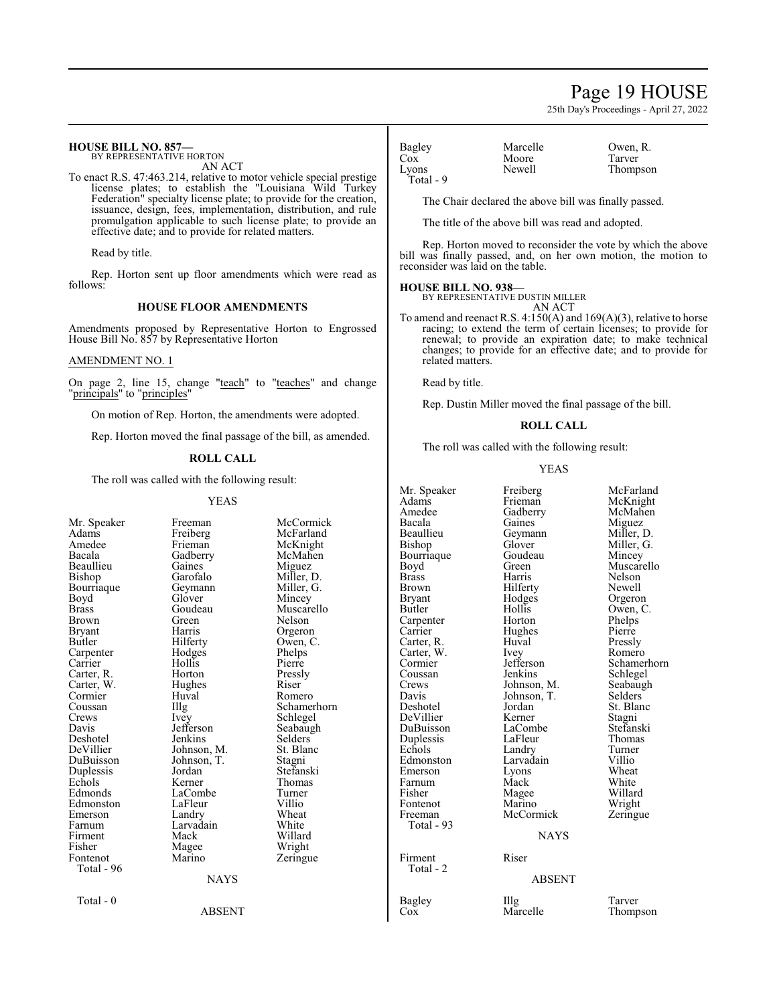### Page 19 HOUSE

25th Day's Proceedings - April 27, 2022

#### **HOUSE BILL NO. 857—**

BY REPRESENTATIVE HORTON AN ACT

To enact R.S. 47:463.214, relative to motor vehicle special prestige license plates; to establish the "Louisiana Wild Turkey Federation" specialty license plate; to provide for the creation, issuance, design, fees, implementation, distribution, and rule promulgation applicable to such license plate; to provide an effective date; and to provide for related matters.

Read by title.

Rep. Horton sent up floor amendments which were read as follows:

#### **HOUSE FLOOR AMENDMENTS**

Amendments proposed by Representative Horton to Engrossed House Bill No. 857 by Representative Horton

#### AMENDMENT NO. 1

On page 2, line 15, change "teach" to "teaches" and change "<u>principals</u>" to "<u>principles</u>"

On motion of Rep. Horton, the amendments were adopted.

Rep. Horton moved the final passage of the bill, as amended.

### **ROLL CALL**

The roll was called with the following result:

#### YEAS

| Mr. Speaker | Freeman     | McCormick   |
|-------------|-------------|-------------|
| Adams       | Freiberg    | McFarland   |
| Amedee      | Frieman     | McKnight    |
| Bacala      | Gadberry    | McMahen     |
| Beaullieu   | Gaines      | Miguez      |
| Bishop      | Garofalo    | Miller, D.  |
| Bourriaque  | Geymann     | Miller, G.  |
| Boyd        | Glover      | Mincey      |
| Brass       | Goudeau     | Muscarello  |
| Brown       | Green       | Nelson      |
| Bryant      | Harris      | Orgeron     |
| Butler      | Hilferty    | Owen, C.    |
| Carpenter   | Hodges      | Phelps      |
| Carrier     | Hollis      | Pierre      |
| Carter, R.  | Horton      | Pressly     |
| Carter, W.  | Hughes      | Riser       |
| Cormier     | Huval       | Romero      |
| Coussan     | Illg        | Schamerhorn |
| Crews       | Ivey        | Schlegel    |
| Davis       | Jefferson   | Seabaugh    |
| Deshotel    | Jenkins     | Selders     |
| DeVillier   | Johnson, M. | St. Blanc   |
| DuBuisson   | Johnson, T. | Stagni      |
| Duplessis   | Jordan      | Stefanski   |
| Echols      | Kerner      | Thomas      |
| Edmonds     | LaCombe     | Turner      |
| Edmonston   | LaFleur     | Villio      |
| Emerson     | Landry      | Wheat       |
| Farnum      | Larvadain   | White       |
| Firment     | Mack        | Willard     |
| Fisher      | Magee       | Wright      |
| Fontenot    | Marino      | Zeringue    |
| Total - 96  |             |             |
|             | <b>NAYS</b> |             |
| Total - 0   |             |             |
|             | ABSENT      |             |

| Bagley    | Marcelle | Owen,  |
|-----------|----------|--------|
| Cox       | Moore    | Tarver |
| Lyons     | Newell   | Thomp  |
| Total - 9 |          |        |

Marcelle Owen, R.<br>Moore Tarver Newell Thompson

The Chair declared the above bill was finally passed.

The title of the above bill was read and adopted.

Rep. Horton moved to reconsider the vote by which the above bill was finally passed, and, on her own motion, the motion to reconsider was laid on the table.

#### **HOUSE BILL NO. 938—**

BY REPRESENTATIVE DUSTIN MILLER AN ACT

To amend and reenact R.S. 4:150(A) and 169(A)(3), relative to horse racing; to extend the term of certain licenses; to provide for renewal; to provide an expiration date; to make technical changes; to provide for an effective date; and to provide for related matters.

Read by title.

Rep. Dustin Miller moved the final passage of the bill.

#### **ROLL CALL**

The roll was called with the following result:

#### YEAS

| Mr. Speaker<br>Adams<br>Amedee<br>Bacala<br>Beaullieu<br>Bishop<br>Bourriaque<br>Boyd<br><b>Brass</b><br>Brown<br>Bryant<br>Butler<br>Carpenter<br>Carrier<br>Carter, R.<br>Carter, W.<br>Cormier<br>Coussan<br>Crews<br>Davis<br>Deshotel<br>DeVillier<br>DuBuisson<br>Duplessis<br>Echols<br>Edmonston<br>Emerson<br>Farnum<br>Fisher<br>Fontenot<br>Freeman<br>Total - 93 | Freiberg<br>Frieman<br>Gadberry<br>Gaines<br>Geymann<br>Glover<br>Goudeau<br>Green<br>Harris<br>Hilferty<br>Hodges<br>Hollis<br>Horton<br>Hughes<br>Huval<br><i>lvey</i><br>Jefferson<br>Jenkins<br>Johnson, M.<br>Johnson, T.<br>Jordan<br>Kerner<br>LaCombe<br>LaFleur<br>Landry<br>Larvadain<br>Lyons<br>Mack<br>Magee<br>Marino<br>McCormick<br><b>NAYS</b> | McFarland<br>McKnight<br>McMahen<br>Miguez<br>Miller, D.<br>Miller, G.<br>Mincey<br>Muscarello<br><b>Nelson</b><br>Newell<br>Orgeron<br>Owen, C.<br>Phelps<br>Pierre<br>Pressly<br>Romero<br>Schamerhorn<br>Schlegel<br>Seabaugh<br>Selders<br>St. Blanc<br>Stagni<br>Stefanski<br>Thomas<br>Turner<br>Villio<br>Wheat<br>White<br>Willard<br>Wright<br>Zeringue |
|------------------------------------------------------------------------------------------------------------------------------------------------------------------------------------------------------------------------------------------------------------------------------------------------------------------------------------------------------------------------------|-----------------------------------------------------------------------------------------------------------------------------------------------------------------------------------------------------------------------------------------------------------------------------------------------------------------------------------------------------------------|------------------------------------------------------------------------------------------------------------------------------------------------------------------------------------------------------------------------------------------------------------------------------------------------------------------------------------------------------------------|
| Firment                                                                                                                                                                                                                                                                                                                                                                      | Riser                                                                                                                                                                                                                                                                                                                                                           |                                                                                                                                                                                                                                                                                                                                                                  |
| Total - 2                                                                                                                                                                                                                                                                                                                                                                    | <b>ABSENT</b>                                                                                                                                                                                                                                                                                                                                                   |                                                                                                                                                                                                                                                                                                                                                                  |
| Bagley                                                                                                                                                                                                                                                                                                                                                                       | Illg                                                                                                                                                                                                                                                                                                                                                            | Tarver                                                                                                                                                                                                                                                                                                                                                           |

 $\mathbf{I}$ 

Cox Marcelle Thompson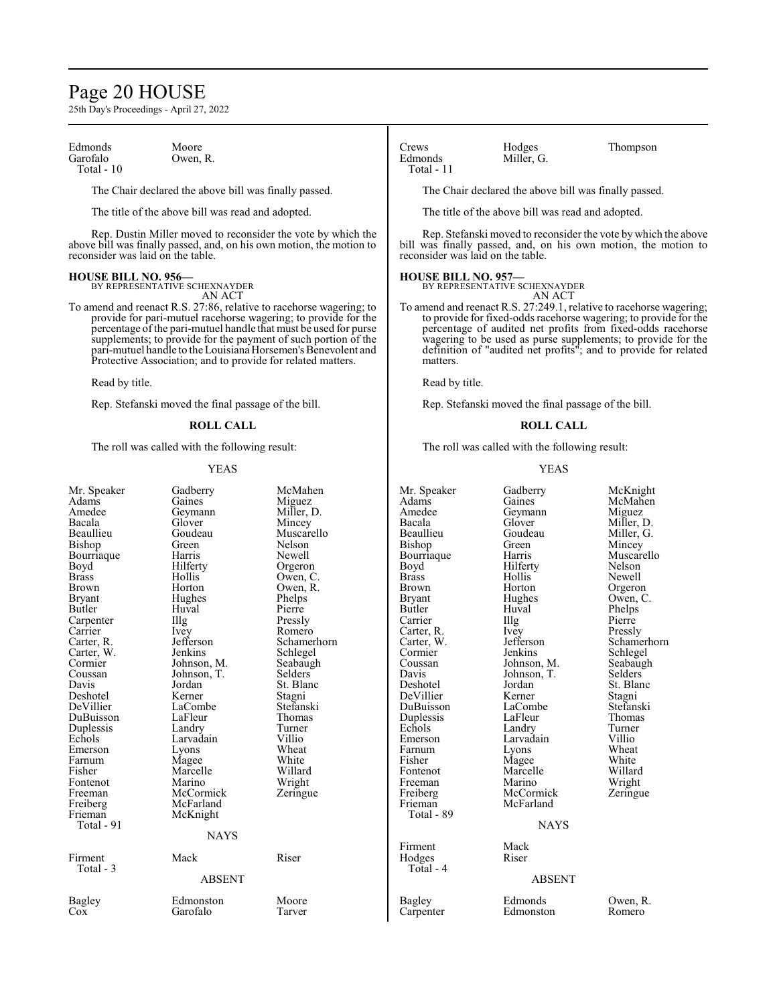### Page 20 HOUSE

25th Day's Proceedings - April 27, 2022

Edmonds Moore<br>Garofalo Owen. Total - 10

Owen, R.

The Chair declared the above bill was finally passed.

The title of the above bill was read and adopted.

Rep. Dustin Miller moved to reconsider the vote by which the above bill was finally passed, and, on his own motion, the motion to reconsider was laid on the table.

**HOUSE BILL NO. 956—** BY REPRESENTATIVE SCHEXNAYDER AN ACT

To amend and reenact R.S. 27:86, relative to racehorse wagering; to provide for pari-mutuel racehorse wagering; to provide for the percentage ofthe pari-mutuel handle that must be used for purse supplements; to provide for the payment of such portion of the pari-mutuel handle to the Louisiana Horsemen's Benevolent and Protective Association; and to provide for related matters.

Read by title.

Rep. Stefanski moved the final passage of the bill.

#### **ROLL CALL**

The roll was called with the following result:

#### YEAS

| Mr. Speaker<br>Adams<br>Amedee<br>Bacala<br>Beaullieu<br>Bishop<br>Bourriaque<br>Boyd<br>Brass<br>Brown<br>Bryant<br>Butler<br>Carpenter<br>Carrier<br>Carter, R.<br>Carter, W.<br>Cormier<br>Coussan<br>Davis<br>Deshotel<br>DeVillier<br>DuBuisson<br>Duplessis<br>Echols<br>Emerson<br>Farnum<br>Fisher<br>Fontenot<br>Freeman<br>Freiberg<br>Frieman<br>Total - 91 | Gadberry<br>Gaines<br>Geymann<br>Glover<br>Goudeau<br>Green<br>Harris<br>Hilferty<br>Hollis<br>Horton<br>Hughes<br>Huval<br>Illg<br>Ivey<br>Jefferson<br>Jenkins<br>Johnson, M.<br>Johnson, T.<br>Jordan<br>Kerner<br>LaCombe<br>LaFleur<br>Landry<br>Larvadain<br>Lyons<br>Magee<br>Marcelle<br>Marino<br>McCormick<br>McFarland<br>McKnight<br><b>NAYS</b> | McMahen<br>Miguez<br>Miller, D.<br>Mincey<br>Muscarello<br>Nelson<br>Newell<br>Orgeron<br>Owen, C.<br>Owen, R.<br>Phelps<br>Pierre<br>Pressly<br>Romero<br>Schamerhorn<br>Schlegel<br>Seabaugh<br>Selders<br>St. Blanc<br>Stagni<br>Stefanski<br>Thomas<br>Turner<br>Villio<br>Wheat<br>White<br>Willard<br>Wright<br>Zeringue | Mr. Speaker<br>Adams<br>Amedee<br>Bacala<br>Beaullieu<br>Bishop<br>Bourriaque<br>Boyd<br><b>Brass</b><br><b>Brown</b><br><b>Bryant</b><br>Butler<br>Carrier<br>Carter, R.<br>Carter, W.<br>Cormier<br>Coussan<br>Davis<br>Deshotel<br>DeVillier<br>DuBuisson<br>Duplessis<br>Echols<br>Emerson<br>Farnum<br>Fisher<br>Fontenot<br>Freeman<br>Freiberg<br>Frieman<br>Total - 89 | Gadberry<br>Gaines<br>Geymann<br>Glover<br>Goudeau<br>Green<br>Harris<br>Hilferty<br>Hollis<br>Horton<br>Hughes<br>Huval<br>Illg<br>Ivey<br>Jefferson<br>Jenkins<br>Johnson, M<br>Johnson, T.<br>Jordan<br>Kerner<br>LaCombe<br>LaFleur<br>Landry<br>Larvadain<br>Lyons<br>Magee<br>Marcelle<br>Marino<br>McCormicl<br>McFarland<br><b>NA</b> |
|------------------------------------------------------------------------------------------------------------------------------------------------------------------------------------------------------------------------------------------------------------------------------------------------------------------------------------------------------------------------|--------------------------------------------------------------------------------------------------------------------------------------------------------------------------------------------------------------------------------------------------------------------------------------------------------------------------------------------------------------|--------------------------------------------------------------------------------------------------------------------------------------------------------------------------------------------------------------------------------------------------------------------------------------------------------------------------------|--------------------------------------------------------------------------------------------------------------------------------------------------------------------------------------------------------------------------------------------------------------------------------------------------------------------------------------------------------------------------------|-----------------------------------------------------------------------------------------------------------------------------------------------------------------------------------------------------------------------------------------------------------------------------------------------------------------------------------------------|
| Firment<br>Total - 3                                                                                                                                                                                                                                                                                                                                                   | Mack                                                                                                                                                                                                                                                                                                                                                         | Riser                                                                                                                                                                                                                                                                                                                          | Firment<br>Hodges<br>Total - 4                                                                                                                                                                                                                                                                                                                                                 | Mack<br>Riser                                                                                                                                                                                                                                                                                                                                 |
|                                                                                                                                                                                                                                                                                                                                                                        | <b>ABSENT</b>                                                                                                                                                                                                                                                                                                                                                |                                                                                                                                                                                                                                                                                                                                |                                                                                                                                                                                                                                                                                                                                                                                | <b>ABS</b>                                                                                                                                                                                                                                                                                                                                    |
| Bagley<br>$\cos$                                                                                                                                                                                                                                                                                                                                                       | Edmonston<br>Garofalo                                                                                                                                                                                                                                                                                                                                        | Moore<br>Tarver                                                                                                                                                                                                                                                                                                                | Bagley<br>Carpenter                                                                                                                                                                                                                                                                                                                                                            | Edmonds<br>Edmonston                                                                                                                                                                                                                                                                                                                          |
|                                                                                                                                                                                                                                                                                                                                                                        |                                                                                                                                                                                                                                                                                                                                                              |                                                                                                                                                                                                                                                                                                                                |                                                                                                                                                                                                                                                                                                                                                                                |                                                                                                                                                                                                                                                                                                                                               |

Crews Hodges Thompson<br>Edmonds Miller G. Total - 11

Miller, G.

The Chair declared the above bill was finally passed.

The title of the above bill was read and adopted.

Rep. Stefanski moved to reconsider the vote by which the above bill was finally passed, and, on his own motion, the motion to reconsider was laid on the table.

**HOUSE BILL NO. 957—** BY REPRESENTATIVE SCHEXNAYDER

AN ACT

To amend and reenact R.S. 27:249.1, relative to racehorse wagering; to provide for fixed-odds racehorse wagering; to provide for the percentage of audited net profits from fixed-odds racehorse wagering to be used as purse supplements; to provide for the definition of "audited net profits"; and to provide for related matters.

Read by title.

Rep. Stefanski moved the final passage of the bill.

#### **ROLL CALL**

The roll was called with the following result:

#### YEAS

| Mr. Speaker   | Gadberry      | McKnight    |
|---------------|---------------|-------------|
| Adams         | Gaines        | McMahen     |
| Amedee        | Geymann       | Miguez      |
| Bacala        | Glover        | Miller, D.  |
| Beaullieu     | Goudeau       | Miller, G.  |
| Bishop        | Green         | Mincey      |
| Bourriaque    | Harris        | Muscarello  |
| Boyd          | Hilferty      | Nelson      |
| <b>Brass</b>  | Hollis        | Newell      |
| Brown         | Horton        | Orgeron     |
| <b>Bryant</b> | Hughes        | Owen, C.    |
| Butler        | Huval         | Phelps      |
| Carrier       | Illg          | Pierre      |
| Carter, R.    | Ivey          | Pressly     |
| Carter, W.    | Jefferson     | Schamerhorn |
| Cormier       | Jenkins       | Schlegel    |
| Coussan       | Johnson, M.   | Seabaugh    |
| Davis         | Johnson, T.   | Selders     |
| Deshotel      | Jordan        | St. Blanc   |
| DeVillier     | Kerner        | Stagni      |
| DuBuisson     | LaCombe       | Stefanski   |
| Duplessis     | LaFleur       | Thomas      |
| Echols        | Landry        | Turner      |
| Emerson       | Larvadain     | Villio      |
| Farnum        | Lyons         | Wheat       |
| Fisher        | Magee         | White       |
| Fontenot      | Marcelle      | Willard     |
| Freeman       | Marino        | Wright      |
| Freiberg      | McCormick     | Zeringue    |
| Frieman       | McFarland     |             |
| Total - 89    |               |             |
|               | <b>NAYS</b>   |             |
| Firment       | Mack          |             |
| Hodges        | Riser         |             |
| Total - 4     |               |             |
|               | <b>ABSENT</b> |             |
|               |               |             |

Almonds Owen, R.<br>Bagden Comero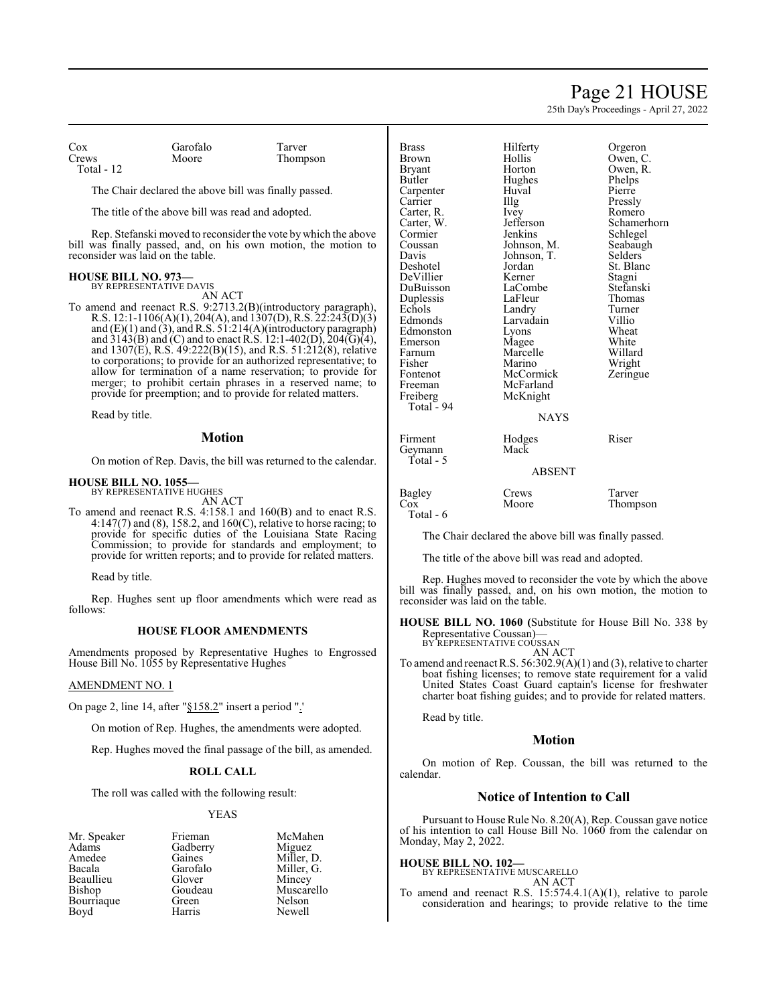### Page 21 HOUSE

25th Day's Proceedings - April 27, 2022

Cox Garofalo Tarver Total - 12

Thompson

The Chair declared the above bill was finally passed.

The title of the above bill was read and adopted.

Rep. Stefanski moved to reconsider the vote by which the above bill was finally passed, and, on his own motion, the motion to reconsider was laid on the table.

#### **HOUSE BILL NO. 973—** BY REPRESENTATIVE DAVIS

AN ACT

To amend and reenact R.S. 9:2713.2(B)(introductory paragraph), R.S. 12:1-1106(A)(1), 204(A), and 1307(D), R.S. 22:243(D)(3) and (E)(1) and (3), and R.S. 51:214(A)(introductory paragraph) and  $3143(B)$  and (C) and to enact R.S. 12:1-402(D), 204(G)(4), and  $1307(E)$ , R.S.  $49:222(B)(15)$ , and R.S.  $51:212(8)$ , relative to corporations; to provide for an authorized representative; to allow for termination of a name reservation; to provide for merger; to prohibit certain phrases in a reserved name; to provide for preemption; and to provide for related matters.

Read by title.

#### **Motion**

On motion of Rep. Davis, the bill was returned to the calendar.

#### **HOUSE BILL NO. 1055—**

BY REPRESENTATIVE HUGHES AN ACT

To amend and reenact R.S. 4:158.1 and 160(B) and to enact R.S. 4:147(7) and (8), 158.2, and 160(C), relative to horse racing; to provide for specific duties of the Louisiana State Racing Commission; to provide for standards and employment; to provide for written reports; and to provide for related matters.

Read by title.

Rep. Hughes sent up floor amendments which were read as follows:

#### **HOUSE FLOOR AMENDMENTS**

Amendments proposed by Representative Hughes to Engrossed House Bill No. 1055 by Representative Hughes

#### AMENDMENT NO. 1

On page 2, line 14, after "§158.2" insert a period ".'

On motion of Rep. Hughes, the amendments were adopted.

Rep. Hughes moved the final passage of the bill, as amended.

#### **ROLL CALL**

The roll was called with the following result:

#### YEAS

Adams Gadberry<br>Amedee Gaines Amedee Gaines Miller, D.<br>Bacala Garofalo Miller, G. Beaullieu Glover<br>Bishop Goudeau Bourriaque Green Nelson<br>Bovd Harris Newell Boyd

Mr. Speaker Frieman McMahen<br>Adams Gadberry Miguez Garofalo Miller, G.<br>Glover Mincey Goudeau Muscarello<br>Green Nelson

| <b>Brass</b> | Hilferty    | Orgeron     |
|--------------|-------------|-------------|
| <b>Brown</b> | Hollis      | Owen, C.    |
| Bryant       | Horton      | Owen, R.    |
| Butler       | Hughes      | Phelps      |
| Carpenter    | Huval       | Pierre      |
| Carrier      | Illg        | Pressly     |
| Carter, R.   | Ivey        | Romero      |
| Carter, W.   | Jefferson   | Schamerhorn |
| Cormier      | Jenkins     | Schlegel    |
| Coussan      | Johnson, M. | Seabaugh    |
| Davis        | Johnson, T. | Selders     |
| Deshotel     | Jordan      | St. Blanc   |
| DeVillier    | Kerner      | Stagni      |
| DuBuisson    | LaCombe     | Stefanski   |
| Duplessis    | LaFleur     | Thomas      |
| Echols       | Landry      | Turner      |
| Edmonds      | Larvadain   | Villio      |
| Edmonston    | Lyons       | Wheat       |
| Emerson      | Magee       | White       |
| Farnum       | Marcelle    | Willard     |
| Fisher       | Marino      | Wright      |
| Fontenot     | McCormick   | Zeringue    |
| Freeman      | McFarland   |             |
| Freiberg     | McKnight    |             |
| Total - 94   |             |             |
|              | <b>NAYS</b> |             |
| Firment      | Hodges      | Riser       |
| Geymann      | Mack        |             |
| Total - 5    |             |             |
|              | ABSENT      |             |
| Bagley       | Crews       | Tarver      |
| $\cos$       | Moore       | Thompson    |

Total - 6

The Chair declared the above bill was finally passed.

The title of the above bill was read and adopted.

Rep. Hughes moved to reconsider the vote by which the above bill was finally passed, and, on his own motion, the motion to reconsider was laid on the table.

**HOUSE BILL NO. 1060 (**Substitute for House Bill No. 338 by Representative Coussan)— BY REPRESENTATIVE COUSSAN

AN ACT

To amend and reenact R.S. 56:302.9(A)(1) and (3), relative to charter boat fishing licenses; to remove state requirement for a valid United States Coast Guard captain's license for freshwater charter boat fishing guides; and to provide for related matters.

Read by title.

#### **Motion**

On motion of Rep. Coussan, the bill was returned to the calendar.

#### **Notice of Intention to Call**

Pursuant to House Rule No. 8.20(A), Rep. Coussan gave notice of his intention to call House Bill No. 1060 from the calendar on Monday, May 2, 2022.

#### **HOUSE BILL NO. 102—**

BY REPRESENTATIVE MUSCARELLO AN ACT

To amend and reenact R.S. 15:574.4.1(A)(1), relative to parole consideration and hearings; to provide relative to the time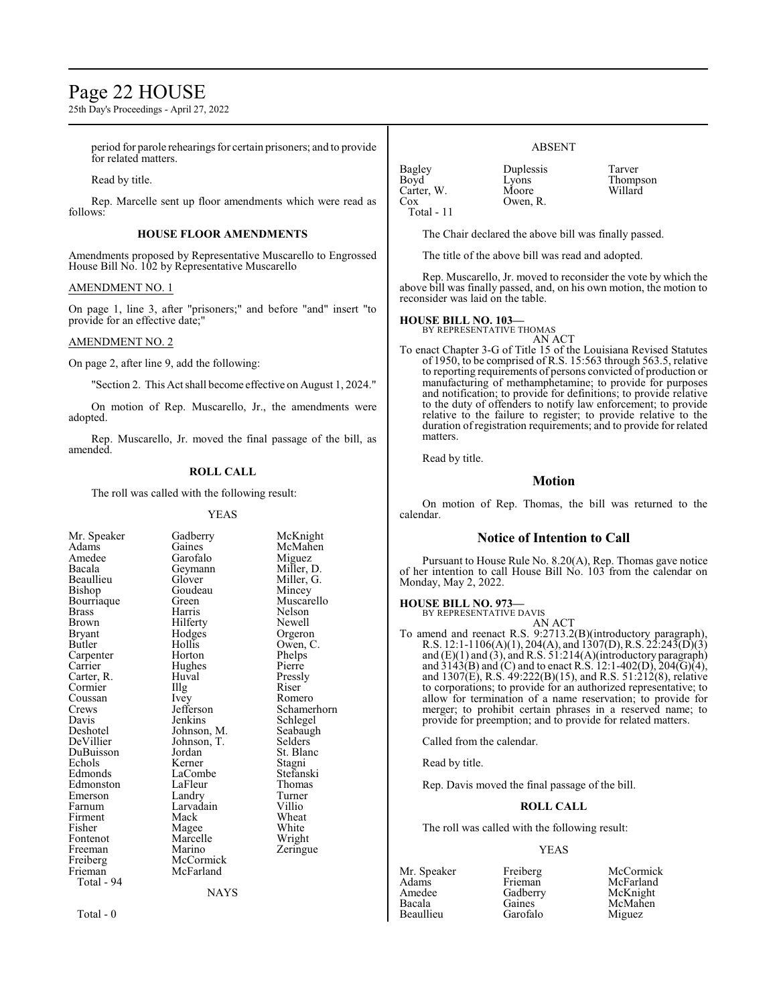### Page 22 HOUSE

25th Day's Proceedings - April 27, 2022

period for parole rehearings for certain prisoners; and to provide for related matters.

Read by title.

Rep. Marcelle sent up floor amendments which were read as follows:

#### **HOUSE FLOOR AMENDMENTS**

Amendments proposed by Representative Muscarello to Engrossed House Bill No. 102 by Representative Muscarello

#### AMENDMENT NO. 1

On page 1, line 3, after "prisoners;" and before "and" insert "to provide for an effective date;"

#### AMENDMENT NO. 2

On page 2, after line 9, add the following:

"Section 2. This Act shall become effective on August 1, 2024."

On motion of Rep. Muscarello, Jr., the amendments were adopted.

Rep. Muscarello, Jr. moved the final passage of the bill, as amended.

#### **ROLL CALL**

The roll was called with the following result:

#### YEAS

McKnight McMahen Miguez Miller, D. Miller, G. Mincey Muscarello Nelson Newell Orgeron Owen, C. Phelps Pierre Pressly<br>Riser

Romero Schamerhorn Schlegel Seabaugh Selders St. Blanc Stagni Stefanski Thomas Turner<br>Villio

Wheat White Wright Zeringue

|           | McKr                                                                                                                    |
|-----------|-------------------------------------------------------------------------------------------------------------------------|
| Gaines    | <b>McM</b>                                                                                                              |
| Garofalo  | Migu                                                                                                                    |
|           | Miller                                                                                                                  |
| Glover    | Miller                                                                                                                  |
| Goudeau   | Mince                                                                                                                   |
| Green     | Musc                                                                                                                    |
| Harris    | Nelso                                                                                                                   |
|           | Newe                                                                                                                    |
|           | Orger                                                                                                                   |
| Hollis    | Owen                                                                                                                    |
| Horton    | Phelp                                                                                                                   |
|           | Pierre                                                                                                                  |
| Huval     | Pressl                                                                                                                  |
|           | Riser                                                                                                                   |
|           | Rome                                                                                                                    |
|           | Schan                                                                                                                   |
| Jenkins   | Schle                                                                                                                   |
|           | Seaba                                                                                                                   |
|           | Seldei                                                                                                                  |
| Jordan    | St. Bl                                                                                                                  |
| Kerner    | Stagn                                                                                                                   |
| LaCombe   | Stefar                                                                                                                  |
| LaFleur   | Thom                                                                                                                    |
| Landry    | Turne                                                                                                                   |
| Larvadain | Villio                                                                                                                  |
| Mack      | Whea                                                                                                                    |
|           | White                                                                                                                   |
| Marcelle  | Wrigh                                                                                                                   |
| Marino    | Zering                                                                                                                  |
| McCormick |                                                                                                                         |
| McFarland |                                                                                                                         |
|           |                                                                                                                         |
| NAYS      |                                                                                                                         |
|           | Gadberry<br>Geymann<br>Hilferty<br>Hodges<br>Hughes<br>Illg<br>Ivey<br>Jefferson<br>Johnson, M.<br>Johnson, T.<br>Magee |

Total - 0

ABSENT

Bagley Duplessis Tarver<br>Boyd Lyons Thomp Carter, W.<br>Cox Total - 11

Lyons Thompson<br>Moore Willard

The Chair declared the above bill was finally passed.

The title of the above bill was read and adopted.

Owen, R.

Rep. Muscarello, Jr. moved to reconsider the vote by which the above bill was finally passed, and, on his own motion, the motion to reconsider was laid on the table.

#### **HOUSE BILL NO. 103—**

BY REPRESENTATIVE THOMAS

AN ACT To enact Chapter 3-G of Title 15 of the Louisiana Revised Statutes of 1950, to be comprised of R.S. 15:563 through 563.5, relative to reporting requirements of persons convicted of production or manufacturing of methamphetamine; to provide for purposes and notification; to provide for definitions; to provide relative to the duty of offenders to notify law enforcement; to provide relative to the failure to register; to provide relative to the duration of registration requirements; and to provide for related matters.

Read by title.

#### **Motion**

On motion of Rep. Thomas, the bill was returned to the calendar.

#### **Notice of Intention to Call**

Pursuant to House Rule No. 8.20(A), Rep. Thomas gave notice of her intention to call House Bill No. 103 from the calendar on Monday, May 2, 2022.

### **HOUSE BILL NO. 973—** BY REPRESENTATIVE DAVIS

AN ACT

To amend and reenact R.S. 9:2713.2(B)(introductory paragraph), R.S. 12:1-1106(A)(1), 204(A), and 1307(D), R.S. 22:243(D)(3) and (E)(1) and (3), and R.S. 51:214(A)(introductory paragraph) and  $3143(B)$  and (C) and to enact R.S. 12:1-402(D), 204(G)(4), and  $1307(E)$ , R.S.  $49:222(B)(15)$ , and R.S.  $51:212(8)$ , relative to corporations; to provide for an authorized representative; to allow for termination of a name reservation; to provide for merger; to prohibit certain phrases in a reserved name; to provide for preemption; and to provide for related matters.

Called from the calendar.

Read by title.

Rep. Davis moved the final passage of the bill.

#### **ROLL CALL**

The roll was called with the following result:

#### YEAS

Amedee Gadberry<br>Bacala Gaines

Mr. Speaker Freiberg McCormick<br>Adams Frieman McFarland Adams Frieman McFarland Gaines McMahen<br>Garofalo Miguez Beaullieu Garofalo Miguez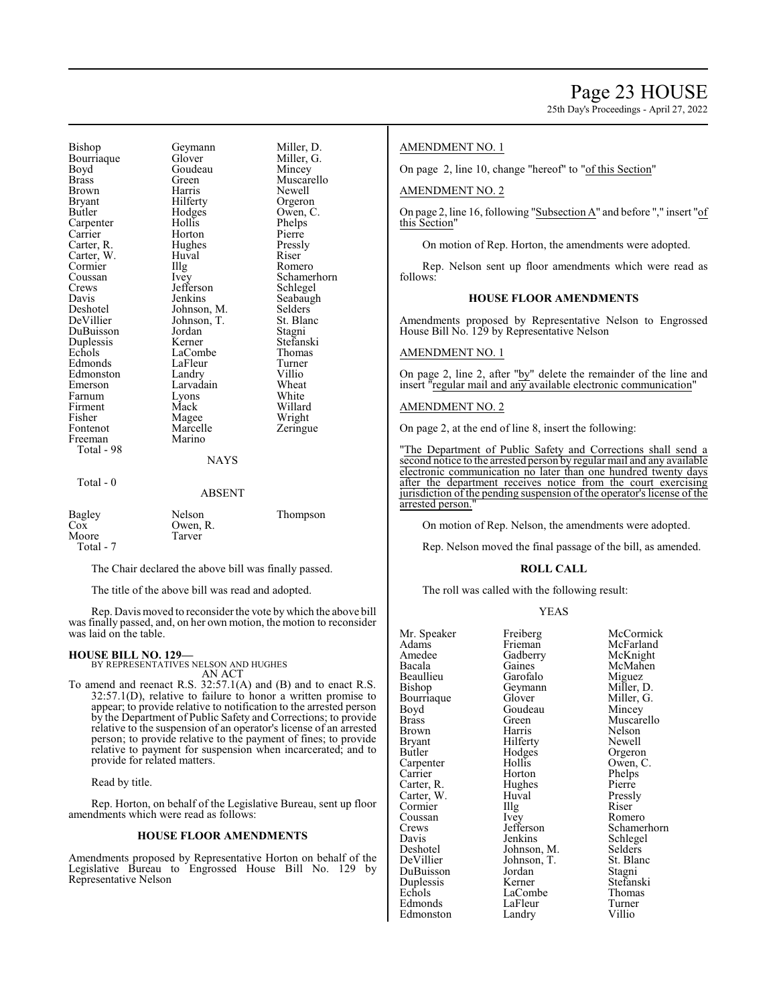Bishop Geymann Miller, D.<br>Bourriaque Glover Miller G Bourriaque Glover Miller,<br>Boyd Goudeau Mincey Boyd Goudeau<br>Brass Green Brass Green Muscarello<br>Brown Harris Newell Brown Harris Newell<br>Bryant Hilferty Orgeror Butler Hodges Owen, C.<br>
Carpenter Hollis Phelps Carpenter Hollis Phelps<br>
Carrier Horton Pierre Carter, R. Hughes Pressly Carter, W. Huval Riser Cormier IIIg Romero Cormier Illg<br>Coussan Ivey Crews Jefferson<br>Davis Jenkins Deshotel Johnson, M. Selders<br>DeVillier Johnson, T. St. Blanc DuBuisson Jordan Stagni Duplessis Kerner Stefansk<br>Echols LaCombe Thomas Echols LaCombe Thomas<br>Edmonds LaFleur Turner Edmonston Landry Villio<br>
Emerson Larvadain Wheat Emerson Larvadain Wheat<br>
Farnum Lyons White Farnum Lyons<br>Firment Mack Firment Mack Willard<br>
Fisher Magee Wright Fisher Magee Might<br>Fontenot Marcelle Teringue Freeman Total - 98

Horton Pierre<br>Hughes Pressly Johnson, T. St. Blanch<br>Jordan Stagni LaFleur Turner<br>
Landry Villio Marcelle<br>Marino

Orgeron Coussan Ivey Schamerhorn<br>Crews Jefferson Schlegel Seabaugh

#### **NAYS**

#### Total - 0

#### ABSENT

| Bagley    | Nelson   | Thompson |
|-----------|----------|----------|
| $\cos$    | Owen, R. |          |
| Moore     | Tarver   |          |
| Total - 7 |          |          |

The Chair declared the above bill was finally passed.

The title of the above bill was read and adopted.

Rep. Davis moved to reconsider the vote by which the above bill was finally passed, and, on her own motion, the motion to reconsider was laid on the table.

#### **HOUSE BILL NO. 129—**

BY REPRESENTATIVES NELSON AND HUGHES

AN ACT To amend and reenact R.S. 32:57.1(A) and (B) and to enact R.S. 32:57.1(D), relative to failure to honor a written promise to appear; to provide relative to notification to the arrested person by the Department of Public Safety and Corrections; to provide relative to the suspension of an operator's license of an arrested person; to provide relative to the payment of fines; to provide relative to payment for suspension when incarcerated; and to provide for related matters.

Read by title.

Rep. Horton, on behalf of the Legislative Bureau, sent up floor amendments which were read as follows:

#### **HOUSE FLOOR AMENDMENTS**

Amendments proposed by Representative Horton on behalf of the Legislative Bureau to Engrossed House Bill No. 129 by Representative Nelson

#### AMENDMENT NO. 1

On page 2, line 10, change "hereof" to "of this Section"

#### AMENDMENT NO. 2

On page 2, line 16, following "Subsection A" and before "," insert "of this Section"

On motion of Rep. Horton, the amendments were adopted.

Rep. Nelson sent up floor amendments which were read as follows:

#### **HOUSE FLOOR AMENDMENTS**

Amendments proposed by Representative Nelson to Engrossed House Bill No. 129 by Representative Nelson

#### AMENDMENT NO. 1

On page 2, line 2, after "by" delete the remainder of the line and insert "regular mail and any available electronic communication"

#### AMENDMENT NO. 2

On page 2, at the end of line 8, insert the following:

"The Department of Public Safety and Corrections shall send a second notice to the arrested person by regular mail and any available electronic communication no later than one hundred twenty days after the department receives notice from the court exercising jurisdiction of the pending suspension of the operator's license of the arrested person.

On motion of Rep. Nelson, the amendments were adopted.

Rep. Nelson moved the final passage of the bill, as amended.

#### **ROLL CALL**

The roll was called with the following result:

#### YEAS

| Mr. Speaker | Freiberg    | McCormick   |
|-------------|-------------|-------------|
| Adams       | Frieman     | McFarland   |
| Amedee      | Gadberry    | McKnight    |
| Bacala      | Gaines      | McMahen     |
| Beaullieu   | Garofalo    | Miguez      |
| Bishop      | Geymann     | Miller, D.  |
| Bourriaque  | Glover      | Miller, G.  |
| Boyd        | Goudeau     | Mincey      |
| Brass       | Green       | Muscarello  |
| Brown       | Harris      | Nelson      |
| Bryant      | Hilferty    | Newell      |
| Butler      | Hodges      | Orgeron     |
| Carpenter   | Hollis      | Owen, C.    |
| Carrier     | Horton      | Phelps      |
| Carter, R.  | Hughes      | Pierre      |
| Carter, W.  | Huval       | Pressly     |
| Cormier     | Illg        | Riser       |
| Coussan     | Ivey        | Romero      |
| Crews       | Jefferson   | Schamerhorn |
| Davis       | Jenkins     | Schlegel    |
| Deshotel    | Johnson, M. | Selders     |
| DeVillier   | Johnson, T. | St. Blanc   |
| DuBuisson   | Jordan      | Stagni      |
| Duplessis   | Kerner      | Stefanski   |
| Echols      | LaCombe     | Thomas      |
| Edmonds     | LaFleur     | Turner      |
|             |             |             |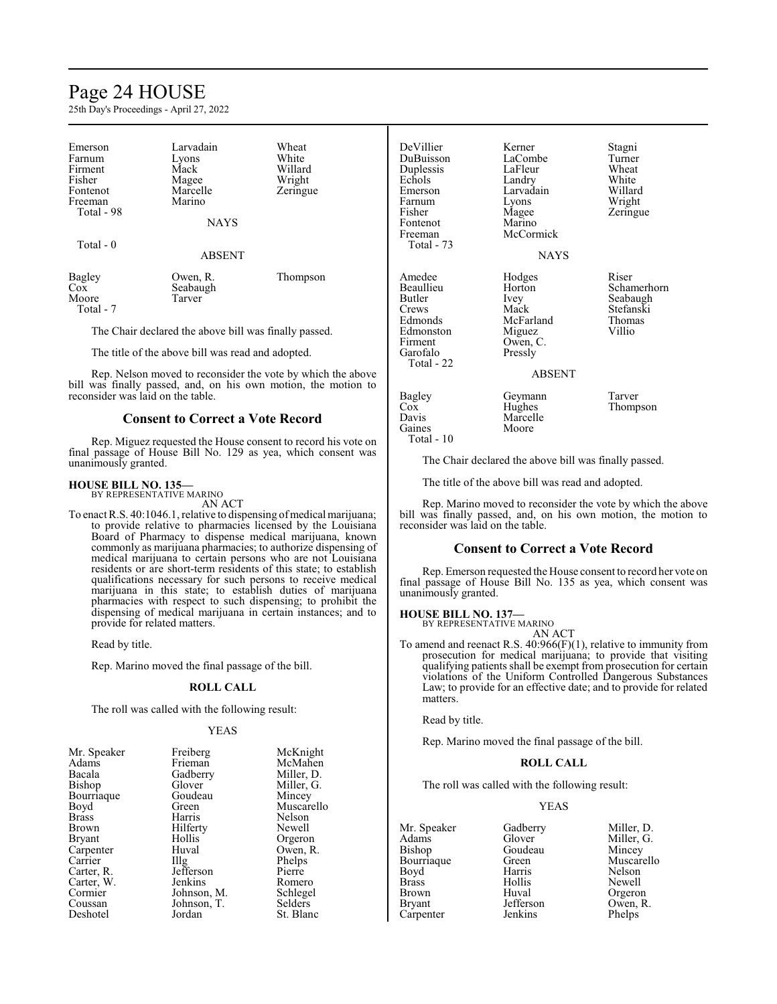### Page 24 HOUSE

25th Day's Proceedings - April 27, 2022

| Emerson<br>Farnum<br>Firment<br>Fisher<br>Fontenot<br>Freeman<br>Total - 98 | Larvadain<br>Lyons<br>Mack<br>Magee<br>Marcelle<br>Marino<br><b>NAYS</b> | Wheat<br>White<br>Willard<br>Wright<br>Zeringue |
|-----------------------------------------------------------------------------|--------------------------------------------------------------------------|-------------------------------------------------|
| Total - 0                                                                   | <b>ABSENT</b>                                                            |                                                 |
| Bagley<br>$\cos$<br>Moore                                                   | Owen, R.<br>Seabaugh<br>Tarver                                           | Thompson                                        |

The Chair declared the above bill was finally passed.

The title of the above bill was read and adopted.

Rep. Nelson moved to reconsider the vote by which the above bill was finally passed, and, on his own motion, the motion to reconsider was laid on the table.

#### **Consent to Correct a Vote Record**

Rep. Miguez requested the House consent to record his vote on final passage of House Bill No. 129 as yea, which consent was unanimously granted.

#### **HOUSE BILL NO. 135—**

Moore Total - 7

BY REPRESENTATIVE MARINO

AN ACT

To enact R.S. 40:1046.1, relative to dispensing of medical marijuana; to provide relative to pharmacies licensed by the Louisiana Board of Pharmacy to dispense medical marijuana, known commonly as marijuana pharmacies; to authorize dispensing of medical marijuana to certain persons who are not Louisiana residents or are short-term residents of this state; to establish qualifications necessary for such persons to receive medical marijuana in this state; to establish duties of marijuana pharmacies with respect to such dispensing; to prohibit the dispensing of medical marijuana in certain instances; and to provide for related matters.

Read by title.

Rep. Marino moved the final passage of the bill.

#### **ROLL CALL**

The roll was called with the following result:

#### YEAS

| Freiberg          | McKnight   |
|-------------------|------------|
| Frieman           | McMahen    |
| Gadberry          | Miller, D. |
| Glover            | Miller, G. |
| Goudeau           | Mincey     |
| Green             | Muscarello |
| Harris            | Nelson     |
| Hilferty          | Newell     |
| Hollis            | Orgeron    |
| Huval             | Owen, R.   |
| $\prod_{i=1}^{n}$ | Phelps     |
| Jefferson         | Pierre     |
| Jenkins           | Romero     |
| Johnson, M.       | Schlegel   |
| Johnson, T.       | Selders    |
| Jordan            | St. Blanc  |
|                   |            |

| DeVillier<br>DuBuisson<br>Duplessis<br>Echols<br>Emerson<br>Farnum<br>Fisher<br>Fontenot<br>Freeman<br>Total - 73 | Kerner<br>LaCombe<br>LaFleur<br>Landry<br>Larvadain<br>Lyons<br>Magee<br>Marino<br>McCormick<br>NAYS | Stagni<br>Turner<br>Wheat<br>White<br>Willard<br>Wright<br>Zeringue |
|-------------------------------------------------------------------------------------------------------------------|------------------------------------------------------------------------------------------------------|---------------------------------------------------------------------|
| Amedee<br>Beaullieu<br>Butler<br>Crews<br>Edmonds<br>Edmonston<br>Firment<br>Garofalo<br>Total - 22               | Hodges<br>Horton<br>Ivey<br>Mack<br>McFarland<br>Miguez<br>Owen, C.<br>Pressly<br><b>ABSENT</b>      | Riser<br>Schamerhorn<br>Seabaugh<br>Stefanski<br>Thomas<br>Villio   |
| Bagley<br>$\cos$<br>Davis<br>Gaines                                                                               | Geymann<br>Hughes<br>Marcelle<br>Moore                                                               | Tarver<br>Thompson                                                  |

Total - 10

The Chair declared the above bill was finally passed.

The title of the above bill was read and adopted.

Rep. Marino moved to reconsider the vote by which the above bill was finally passed, and, on his own motion, the motion to reconsider was laid on the table.

#### **Consent to Correct a Vote Record**

Rep. Emerson requested the House consent to record her vote on final passage of House Bill No. 135 as yea, which consent was unanimously granted.

**HOUSE BILL NO. 137—** BY REPRESENTATIVE MARINO

AN ACT

To amend and reenact R.S. 40:966(F)(1), relative to immunity from prosecution for medical marijuana; to provide that visiting qualifying patients shall be exempt from prosecution for certain violations of the Uniform Controlled Dangerous Substances Law; to provide for an effective date; and to provide for related matters.

Read by title.

Rep. Marino moved the final passage of the bill.

#### **ROLL CALL**

The roll was called with the following result:

#### YEAS

Mr. Speaker Gadberry Miller, D.<br>Adams Glover Miller, G. Adams Glover Miller, G.<br>Bishop Goudeau Mincey Bourriaque Green Muscarello<br>
Boyd Harris Nelson Boyd Harris<br>Brass Hollis Brass Hollis Newell Brown Huval Orgeron<br>Bryant Jefferson Owen, R Carpenter Jenkins

Goudeau Mincey<br>Green Muscarello Owen, R.<br>Phelps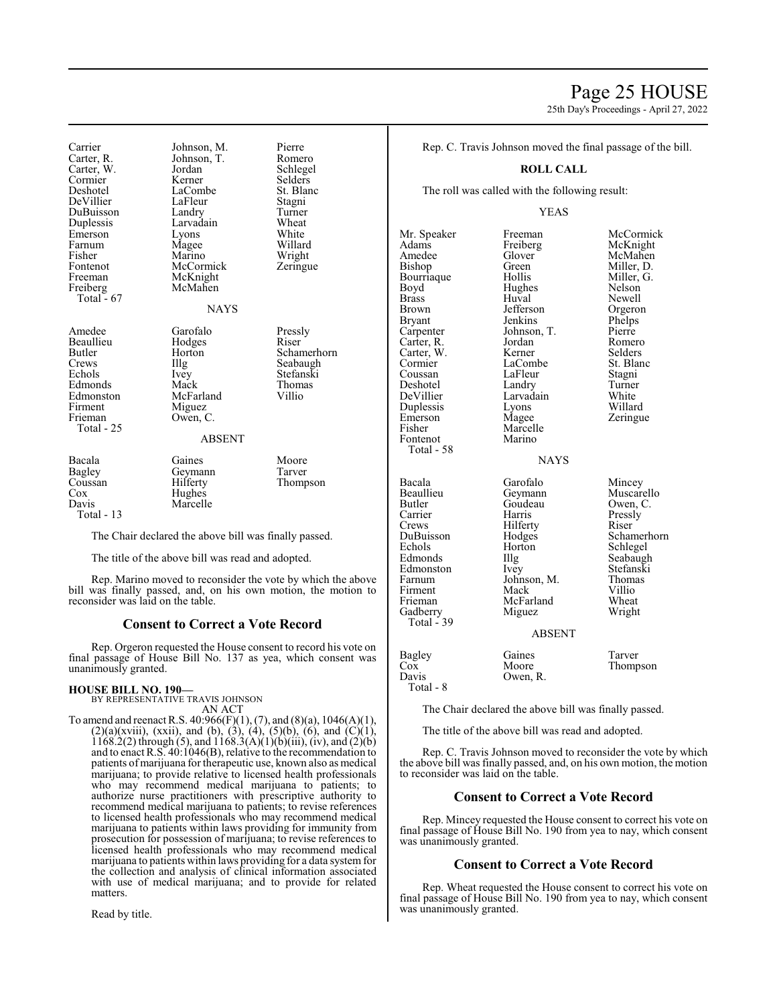### Page 25 HOUSE

25th Day's Proceedings - April 27, 2022

Carrier Johnson, M. Pierre Carter, W. Jordan Schlege<br>
Cormier Kerner Selders Cormier Kerner Selders<br>
Deshotel LaCombe St. Blanc DeVillier DuBuisson Landry Turner<br>
Duplessis Larvadain Wheat Emerson Lyons White Farnum Magee<br>Fisher Marino Fisher Marino Wright<br>Fontenot McCormick Zeringue Fontenot McCormick<br>Freeman McKnight Freeman McKnight<br>Freiberg McMahen Total  $-67$ 

Johnson, T. Romero<br>Jordan Schlegel LaCombe<br>
LaFleur Stagni Larvadain Wheat<br>Lyons White

McMahen

#### NAYS

Amedee Garofalo Pressly<br>
Beaullieu Hodges Riser Beaullieu Hodges<br>Butler Horton Butler Horton Schamerhorn<br>Crews IIIg Seabaugh Crews Illg Seabaugh<br>Echols Ivey Stefanski Ivey Stefanski<br>
Mack Thomas Edmonds Mack Thomas<br>
Edmonston McFarland Villio Edmonston McFarland<br>Firment Miguez Firment Miguez<br>Frieman Owen. Owen, C. ABSENT Bacala Gaines Moore<br>Bagley Geymann Tarver Bagley Geymann<br>Coussan Hilferty Coussan Hilferty Thompson<br>Cox Hughes

Cox Hughes<br>Davis Marcell Total - 13

Total - 25

The Chair declared the above bill was finally passed.

The title of the above bill was read and adopted.

Marcelle

Rep. Marino moved to reconsider the vote by which the above bill was finally passed, and, on his own motion, the motion to reconsider was laid on the table.

#### **Consent to Correct a Vote Record**

Rep. Orgeron requested the House consent to record his vote on final passage of House Bill No. 137 as yea, which consent was unanimously granted.

#### **HOUSE BILL NO. 190—**

BY REPRESENTATIVE TRAVIS JOHNSON AN ACT

To amend and reenact R.S.  $40:966(F)(1)$ ,  $(7)$ , and  $(8)(a)$ ,  $1046(A)(1)$ ,  $(2)(a)(xviii)$ ,  $(xxii)$ , and  $(b)$ ,  $(3)$ ,  $(4)$ ,  $(5)(b)$ ,  $(6)$ , and  $(C)(1)$ , 1168.2(2) through (5), and  $1168.3(A)(1)(b)(iii)$ , (iv), and (2)(b) and to enact R.S. 40:1046(B), relative to the recommendation to patients of marijuana for therapeutic use, known also as medical marijuana; to provide relative to licensed health professionals who may recommend medical marijuana to patients; to authorize nurse practitioners with prescriptive authority to recommend medical marijuana to patients; to revise references to licensed health professionals who may recommend medical marijuana to patients within laws providing for immunity from prosecution for possession of marijuana; to revise references to licensed health professionals who may recommend medical marijuana to patients within laws providing for a data systemfor the collection and analysis of clinical information associated with use of medical marijuana; and to provide for related matters.

Read by title.

Rep. C. Travis Johnson moved the final passage of the bill.

#### **ROLL CALL**

The roll was called with the following result:

#### YEAS

Mr. Speaker Freeman McCormick<br>
Adams Freiberg McKnight Adams Freiberg McKnight Amedee Glover McMahen<br>Bishop Green Miller, D. Bourriaque Hollis Miller,<br>Boyd Hughes Nelson Boyd Hughes Nelson<br>Brass Huyal Newell Brass Huval Newell Brown Jefferson Orgeron<br>Bryant Jenkins Phelps Bryant Jenkins Phelps<br>Carpenter Johnson, T. Pierre Carter, R. Jordan Romero Carter, W. Kerner Selders<br>
Cormier LaCombe St. Blanc Cormier LaCombe St. Bla<br>
Coussan LaFleur Stagni Deshotel Landry Turner<br>
DeVillier Larvadain White Duplessis Lyons<br>Emerson Magee Emerson Magee Zeringue<br>
Fisher Marcelle Zeringue Marcelle<br>Marino Fontenot Total - 58 Butler Goudeau<br>Carrier Harris Crews Hilferty<br>DuBuisson Hodges Gadberry Total - 39

Green Miller, D.<br>Hollis Miller, G. Johnson, T. Pierre<br>Jordan Romero LaFleur Stagni<br>Landry Turner Larvadain White<br>Lyons Willard

### **NAYS**

Bacala Garofalo Mincey Beaullieu Geymann Muscarello<br>Butler Goudeau Owen, C. Carrier Harris Pressly<br>Crews Hilferty Riser DuBuisson Hodges Schamerhorn<br>Echols Horton Schlegel Echols Horton Schlegel<br>Edmonds Hig Seabaugh Illg Seabaugh<br>Ivey Stefanski Edmonston Ivey Stefansk<br>Farnum Johnson, M. Thomas Johnson, M. Thomas<br>Mack Villio Firment Mack Villio<br>
Frieman McFarland Wheat McFarland Wheat<br>Miguez Wright ABSENT Bagley Gaines Tarver<br>
Cox Moore Thomp Cox Moore Thompson<br>Davis Owen, R.

Owen, R. Total - 8

The Chair declared the above bill was finally passed.

The title of the above bill was read and adopted.

Rep. C. Travis Johnson moved to reconsider the vote by which the above bill was finally passed, and, on his own motion, the motion to reconsider was laid on the table.

#### **Consent to Correct a Vote Record**

Rep. Mincey requested the House consent to correct his vote on final passage of House Bill No. 190 from yea to nay, which consent was unanimously granted.

### **Consent to Correct a Vote Record**

Rep. Wheat requested the House consent to correct his vote on final passage of House Bill No. 190 from yea to nay, which consent was unanimously granted.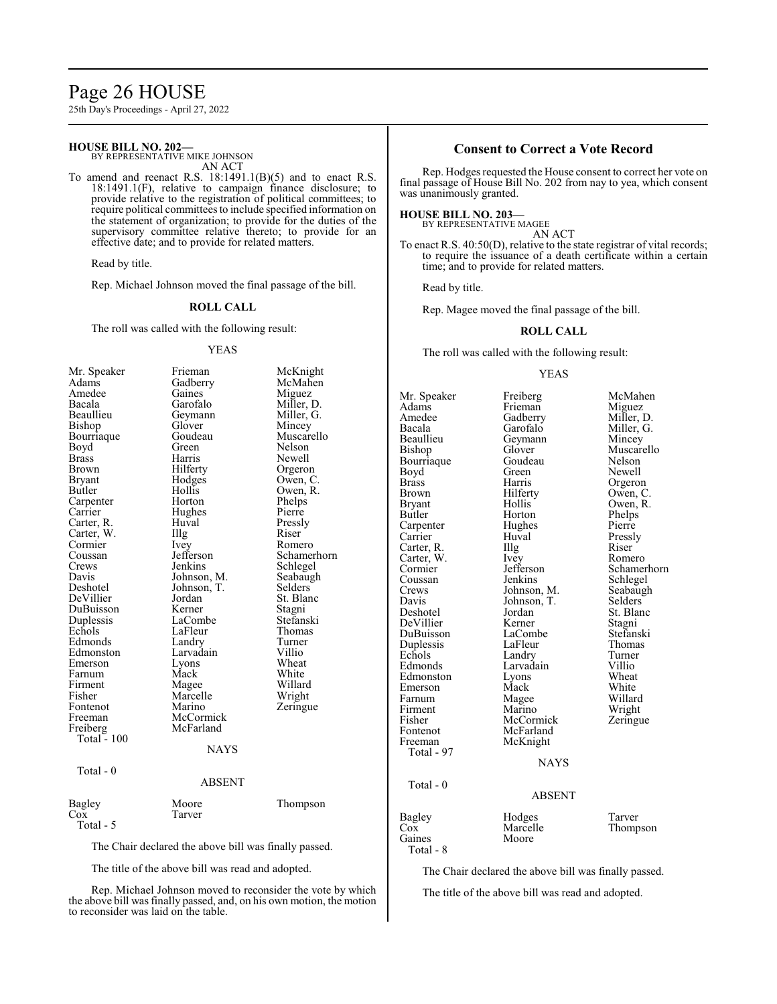### Page 26 HOUSE

25th Day's Proceedings - April 27, 2022

#### **HOUSE BILL NO. 202—**

BY REPRESENTATIVE MIKE JOHNSON AN ACT

To amend and reenact R.S. 18:1491.1(B)(5) and to enact R.S. 18:1491.1(F), relative to campaign finance disclosure; to provide relative to the registration of political committees; to require political committees to include specified information on the statement of organization; to provide for the duties of the supervisory committee relative thereto; to provide for an effective date; and to provide for related matters.

Read by title.

Rep. Michael Johnson moved the final passage of the bill.

#### **ROLL CALL**

The roll was called with the following result:

#### YEAS

| Mr. Speaker  | Frieman       | McKnight    |
|--------------|---------------|-------------|
| Adams        | Gadberry      | McMahen     |
| Amedee       | Gaines        | Miguez      |
| Bacala       | Garofalo      | Miller, D.  |
| Beaullieu    | Geymann       | Miller, G.  |
| Bishop       | Glover        | Mincey      |
| Bourriaque   | Goudeau       | Muscarello  |
| Boyd         | Green         | Nelson      |
| <b>Brass</b> | Harris        | Newell      |
| Brown        | Hilferty      | Orgeron     |
| Bryant       | Hodges        | Owen, C.    |
| Butler       | Hollis        | Owen, R.    |
| Carpenter    | Horton        | Phelps      |
| Carrier      | Hughes        | Pierre      |
| Carter, R.   | Huval         | Pressly     |
| Carter, W.   | Illg          | Riser       |
| Cormier      | Ivey          | Romero      |
| Coussan      | Jefferson     | Schamerhorn |
| Crews        | Jenkins       | Schlegel    |
| Davis        | Johnson, M.   | Seabaugh    |
| Deshotel     | Johnson, T.   | Selders     |
| DeVillier    | Jordan        | St. Blanc   |
| DuBuisson    | Kerner        | Stagni      |
| Duplessis    | LaCombe       | Stefanski   |
| Echols       | LaFleur       | Thomas      |
| Edmonds      | Landry        | Turner      |
| Edmonston    | Larvadain     | Villio      |
| Emerson      | Lyons         | Wheat       |
| Farnum       | Mack          | White       |
| Firment      | Magee         | Willard     |
| Fisher       | Marcelle      | Wright      |
| Fontenot     | Marino        | Zeringue    |
| Freeman      | McCormick     |             |
| Freiberg     | McFarland     |             |
| Total - 100  |               |             |
|              | <b>NAYS</b>   |             |
| Total - 0    |               |             |
|              | <b>ABSENT</b> |             |
| Bagley       | Moore         | Thompson    |
| Cox          | Tarver        |             |
| Total - 5    |               |             |

The Chair declared the above bill was finally passed.

The title of the above bill was read and adopted.

Rep. Michael Johnson moved to reconsider the vote by which the above bill was finally passed, and, on his own motion, the motion to reconsider was laid on the table.

#### **Consent to Correct a Vote Record**

Rep. Hodges requested the House consent to correct her vote on final passage of House Bill No. 202 from nay to yea, which consent was unanimously granted.

#### **HOUSE BILL NO. 203—** BY REPRESENTATIVE MAGEE

AN ACT

To enact R.S. 40:50(D), relative to the state registrar of vital records; to require the issuance of a death certificate within a certain time; and to provide for related matters.

Read by title.

Rep. Magee moved the final passage of the bill.

#### **ROLL CALL**

The roll was called with the following result:

#### YEAS

Mr. Speaker Freiberg McMahen<br>Adams Frieman Miguez Adams Frieman<br>Amedee Gadberry Amedee Gadberry Miller, D.<br>Bacala Garofalo Miller, G. Bacala Garofalo Miller, G.<br>Beaullieu Geymann Mincey Beaullieu Geymann<br>Bishop Glover Bourriaque Goude<br>Boyd Green Boyd Green Newell<br>Brass Harris Orgerol Brass Harris Orgeron<br>Brown Hilferty Owen, C Brown Hilferty Owen, C.<br>Bryant Hollis Owen, R. Bryant Hollis Owen, R.<br>Butler Horton Phelps Carpenter Hughe<br>Carrier Huval Carter, R. Illg Riser<br>Carter, W. Ivey Romero Carter, W. Ivey<br>Cormier Jefferson Cormier Jefferson Schamerhorn<br>
Coussan Jenkins Schlegel Coussan Jenkins Schlegel<br>Crews Johnson, M. Seabaugh Crews Johnson, M. Seabaught Seabaught Seabaught Seabaught Seabaught Seabaught Seabaught Seabaught Seabaught Seabaught Seabaught Seabaught Seabaught Seabaught Seabaught Seabaught Seabaught Seabaught Seabaught Seabaught Seab Davis Johnson, T.<br>Deshotel Jordan DeVillier Kerner Stagni Duplessis LaFleur Thoma<br>
Echols Landry Turner Echols Landry Turner<br>Edmonds Larvadain Villio Edmonston Lyons Wheat<br>Emerson Mack White Emerson Mack White<br>
Farnum Magee Willard Farnum Magee Willard<br>Firment Marino Wright Firment Marino Wright<br>
Fisher McCormick Zeringue Fisher McCormick<br>Fontenot McFarland Fontenot McFarland<br>Freeman McKnight McKnight Total - 97 Total - 0

Gaines Total - 8

Glover Muscarello<br>Goudeau Nelson Horton Phelps<br>Hughes Pierre Huval Pressly<br>Illg Riser Jordan St. Blanc<br>Kerner Stagni LaCombe<br>LaFleur Stefansk<br>Thomas Larvadain Villio<br>Lyons Wheat

# NAYS

## ABSENT

| Bagley                     | Hodges   | Tarver   |
|----------------------------|----------|----------|
| Cox                        | Marcelle | Thompson |
| Gaines                     | Moore    |          |
| $T_{\alpha\dagger\alpha}1$ |          |          |

The Chair declared the above bill was finally passed.

The title of the above bill was read and adopted.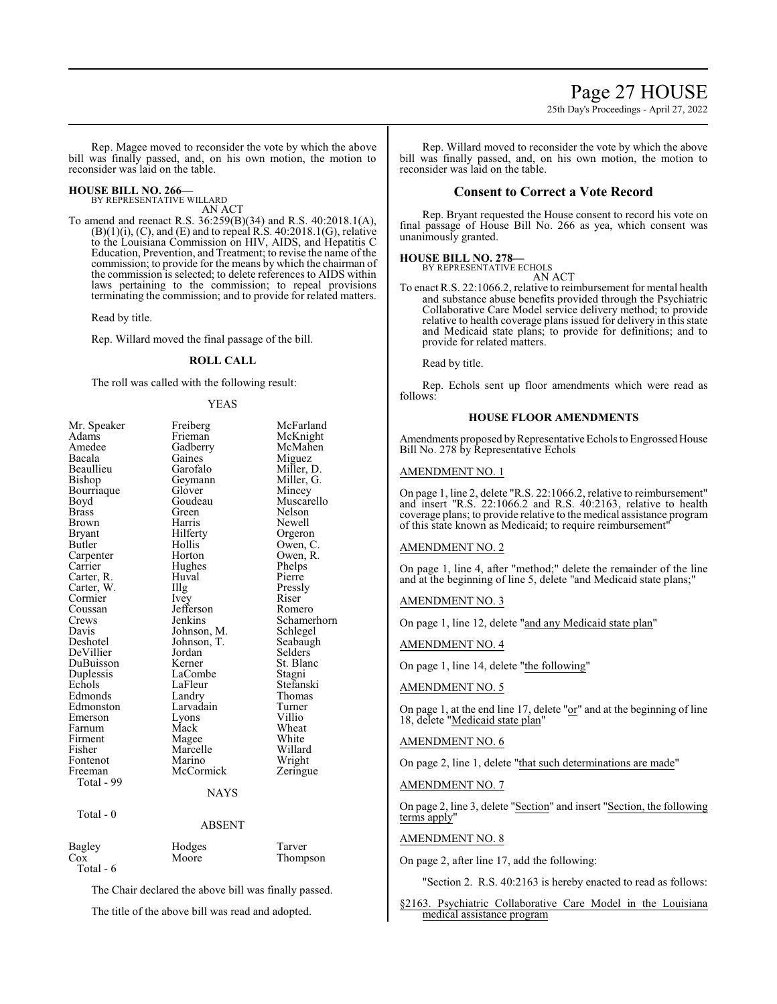## Page 27 HOUSE

25th Day's Proceedings - April 27, 2022

Rep. Magee moved to reconsider the vote by which the above bill was finally passed, and, on his own motion, the motion to reconsider was laid on the table.

#### **HOUSE BILL NO. 266—**

BY REPRESENTATIVE WILLARD AN ACT

To amend and reenact R.S. 36:259(B)(34) and R.S. 40:2018.1(A),  $(B)(1)(i)$ ,  $(C)$ , and  $(E)$  and to repeal R.S. 40:2018.1 $(G)$ , relative to the Louisiana Commission on HIV, AIDS, and Hepatitis C Education, Prevention, and Treatment; to revise the name of the commission; to provide for the means by which the chairman of the commission is selected; to delete references to AIDS within laws pertaining to the commission; to repeal provisions terminating the commission; and to provide for related matters.

Read by title.

Rep. Willard moved the final passage of the bill.

#### **ROLL CALL**

The roll was called with the following result:

#### YEAS

| Mr. Speaker | Freiberg    | McFarland   |
|-------------|-------------|-------------|
| Adams       | Frieman     | McKnight    |
| Amedee      | Gadberry    | McMahen     |
| Bacala      | Gaines      | Miguez      |
| Beaullieu   | Garofalo    | Miller, D.  |
| Bishop      | Geymann     | Miller, G.  |
| Bourriaque  | Glover      | Mincey      |
| Boyd        | Goudeau     | Muscarello  |
| Brass       | Green       | Nelson      |
| Brown       | Harris      | Newell      |
| Bryant      | Hilferty    | Orgeron     |
| Butler      | Hollis      | Owen, C.    |
| Carpenter   | Horton      | Owen, R.    |
| Carrier     | Hughes      | Phelps      |
| Carter, R.  | Huval       | Pierre      |
| Carter, W.  | Illg        | Pressly     |
| Cormier     | Ivey        | Riser       |
| Coussan     | Jefferson   | Romero      |
| Crews       | Jenkins     | Schamerhorn |
| Davis       | Johnson, M. | Schlegel    |
| Deshotel    | Johnson, T. | Seabaugh    |
| DeVillier   | Jordan      | Selders     |
| DuBuisson   | Kerner      | St. Blanc   |
| Duplessis   | LaCombe     | Stagni      |
| Echols      | LaFleur     | Stefanski   |
| Edmonds     | Landry      | Thomas      |
| Edmonston   | Larvadain   | Turner      |
| Emerson     | Lyons       | Villio      |
| Farnum      | Mack        | Wheat       |
| Firment     | Magee       | White       |
| Fisher      | Marcelle    | Willard     |
| Fontenot    | Marino      | Wright      |
| Freeman     | McCormick   | Zeringue    |
| Total - 99  |             |             |
|             | <b>NAYS</b> |             |
| Total - 0   |             |             |
|             | ABSENT      |             |
|             |             |             |
|             |             |             |

| Bagley    | Hodges | Tarver   |
|-----------|--------|----------|
| Cox       | Moore  | Thompson |
| Total - 6 |        |          |

The Chair declared the above bill was finally passed.

The title of the above bill was read and adopted.

Rep. Willard moved to reconsider the vote by which the above bill was finally passed, and, on his own motion, the motion to reconsider was laid on the table.

#### **Consent to Correct a Vote Record**

Rep. Bryant requested the House consent to record his vote on final passage of House Bill No. 266 as yea, which consent was unanimously granted.

#### **HOUSE BILL NO. 278—** BY REPRESENTATIVE ECHOLS

AN ACT

To enact R.S. 22:1066.2, relative to reimbursement for mental health and substance abuse benefits provided through the Psychiatric Collaborative Care Model service delivery method; to provide relative to health coverage plans issued for delivery in this state and Medicaid state plans; to provide for definitions; and to provide for related matters.

Read by title.

Rep. Echols sent up floor amendments which were read as follows:

#### **HOUSE FLOOR AMENDMENTS**

Amendments proposed by Representative Echols to Engrossed House Bill No. 278 by Representative Echols

#### AMENDMENT NO. 1

On page 1, line 2, delete "R.S. 22:1066.2, relative to reimbursement" and insert "R.S. 22:1066.2 and R.S. 40:2163, relative to health coverage plans; to provide relative to the medical assistance program of this state known as Medicaid; to require reimbursement"

#### AMENDMENT NO. 2

On page 1, line 4, after "method;" delete the remainder of the line and at the beginning of line 5, delete "and Medicaid state plans;"

#### AMENDMENT NO. 3

On page 1, line 12, delete "and any Medicaid state plan"

AMENDMENT NO. 4

On page 1, line 14, delete "the following"

#### AMENDMENT NO. 5

On page 1, at the end line 17, delete "or" and at the beginning of line 18, delete "Medicaid state plan"

#### AMENDMENT NO. 6

On page 2, line 1, delete "that such determinations are made"

#### AMENDMENT NO. 7

On page 2, line 3, delete "Section" and insert "Section, the following terms apply"

#### AMENDMENT NO. 8

On page 2, after line 17, add the following:

"Section 2. R.S. 40:2163 is hereby enacted to read as follows:

§2163. Psychiatric Collaborative Care Model in the Louisiana medical assistance program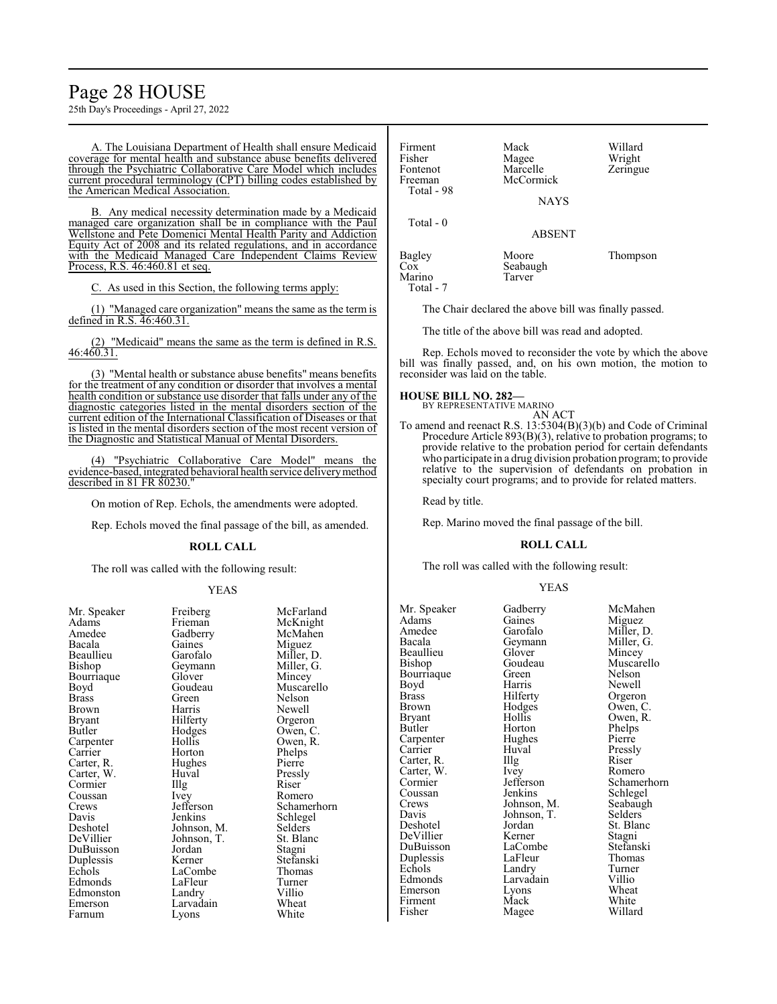### Page 28 HOUSE

25th Day's Proceedings - April 27, 2022

A. The Louisiana Department of Health shall ensure Medicaid coverage for mental health and substance abuse benefits delivered through the Psychiatric Collaborative Care Model which includes current procedural terminology (CPT) billing codes established by the American Medical Association.

B. Any medical necessity determination made by a Medicaid managed care organization shall be in compliance with the Paul Wellstone and Pete Domenici Mental Health Parity and Addiction Equity Act of 2008 and its related regulations, and in accordance with the Medicaid Managed Care Independent Claims Review Process, R.S. 46:460.81 et seq.

C. As used in this Section, the following terms apply:

(1) "Managed care organization" means the same as the term is defined in R.S. 46:460.31.

(2) "Medicaid" means the same as the term is defined in R.S. 46:460.31.

(3) "Mental health or substance abuse benefits" means benefits for the treatment of any condition or disorder that involves a mental health condition or substance use disorder that falls under any of the diagnostic categories listed in the mental disorders section of the current edition of the International Classification of Diseases or that is listed in the mental disorders section of the most recent version of the Diagnostic and Statistical Manual of Mental Disorders.

(4) "Psychiatric Collaborative Care Model" means the evidence-based, integrated behavioral health service deliverymethod described in 81 FR 80230.

On motion of Rep. Echols, the amendments were adopted.

Rep. Echols moved the final passage of the bill, as amended.

#### **ROLL CALL**

The roll was called with the following result:

#### YEAS

| 111.9        | 110001 <sub>5</sub> | 11111  |
|--------------|---------------------|--------|
| Adams        | Frieman             | McK    |
| Amedee       | Gadberry            | McM    |
| Bacala       | Gaines              | Migu   |
| Beaullieu    | Garofalo            | Mille  |
| Bishop       | Geymann             | Mille  |
| Bourriaque   | Glover              | Minc   |
| Boyd         | Goudeau             | Musc   |
| <b>Brass</b> | Green               | Nelso  |
| Brown        | Harris              | Newe   |
| Bryant       | Hilferty            | Orgei  |
| Butler       | Hodges              | Ower   |
| Carpenter    | Hollis              | Owei   |
| Carrier      | Horton              | Phelp  |
| Carter, R.   | Hughes              | Pierro |
| Carter, W.   | Huval               | Press  |
| Cormier      | Illg                | Riser  |
| Coussan      | Ivey                | Rom    |
| Crews        | Jefferson           | Schai  |
| Davis        | Jenkins             | Schle  |
| Deshotel     | Johnson, M.         | Selde  |
| DeVillier    | Johnson, T.         | St. B  |
| DuBuisson    | Jordan              | Stagr  |
| Duplessis    | Kerner              | Stefa  |
| Echols       | LaCombe             | Thon   |
| Edmonds      | LaFleur             | Turn   |
| Edmonston    | Landry              | Villio |
| Emerson      | Larvadain           | Whea   |
| Farnum       | Lyons               | White  |
|              |                     |        |

Gadberry McMahendee Gaines Gaines<br>Garofalo Garofalo Miller, D.<br>Geymann Miller, G. Geymann Miller, G.<br>Glover Mincev Glover Mincey<br>Goudeau Muscar Harris Newell<br>Hilferty Orgeror Hilferty Orgeron<br>Hodges Owen, C Hodges Owen, C.<br>Hollis Owen, R. Horton Phelps<br>Hughes Pierre Hughes Huval Pressly<br>
Illg Riser Ivey Romero<br>Jefferson Schamer Johnson, M. Selders<br>Johnson, T. St. Blanc Johnson, T. St. Blanch<br>Jordan Stagni Jordan<br>Kerner LaCombe<br>
LaFleur Turner LaFleur Turner<br>
Landrv Villio Landry Villio<br>
Larvadain Wheat Larvadain Wheat<br>Lyons White

Mr. Speaker Freiberg McFarland<br>Adams Frieman McKnight McKnight<br>McMahen Muscarello<br>Nelson Owen, R.<br>Phelps Jefferson Schamerhorn<br>Jenkins Schlegel Schlegel<br>Selders Stefanski<br>Thomas

| Firment<br>Fisher   | Mack<br>Magee         | Willard<br>Wright |
|---------------------|-----------------------|-------------------|
| Fontenot<br>Freeman | Marcelle<br>McCormick | Zeringue          |
| Total - 98          | <b>NAYS</b>           |                   |
| Total - 0           | <b>ABSENT</b>         |                   |
| Bagley<br>Cox       | Moore<br>Seabaugh     | Thompson          |
| Marino<br>Total - 7 | Tarver                |                   |

The Chair declared the above bill was finally passed.

The title of the above bill was read and adopted.

Rep. Echols moved to reconsider the vote by which the above bill was finally passed, and, on his own motion, the motion to reconsider was laid on the table.

#### **HOUSE BILL NO. 282—**

BY REPRESENTATIVE MARINO AN ACT

To amend and reenact R.S. 13:5304(B)(3)(b) and Code of Criminal Procedure Article 893(B)(3), relative to probation programs; to provide relative to the probation period for certain defendants who participate in a drug division probation program; to provide relative to the supervision of defendants on probation in specialty court programs; and to provide for related matters.

Read by title.

Rep. Marino moved the final passage of the bill.

#### **ROLL CALL**

The roll was called with the following result:

Magee

#### YEAS

Bacala Geymann<br>Beaullieu Glover Bourriaque Green<br>Boyd Harris Carter, W. Ivey<br>Cormier Jefferson Davis Johnson, T.<br>Deshotel Jordan

Mr. Speaker Gadberry McMahen<br>Adams Gaines Miguez Adams Gaines Miguez Amedee Garofalo Miller, D.<br>Bacala Geymann Miller, G. Beaullieu Glover Mincey<br>Bishop Goudeau Muscar Goudeau Muscarello<br>Green Nelson Boyd Harris Newell<br>Brass Hilferty Orgerol Brass Hilferty Orgeron<br>Brown Hodges Owen, C Brown Hodges Owen, C. Bryant Hollis Owen, R.<br>Butler Horton Phelps Horton Phelps<br>Hughes Pierre Carpenter Hughes Pierre<br>Carrier Huval Pressly Carrier Huval Pressl<br>Carter, R. Illg Riser Carter, R. Illg Riser Carter, W. Ivey Romero Coussan Jenkins Schlegel<br>Crews Johnson, M. Seabaugh Crews Johnson, M. Seabaug<br>Davis Johnson, T. Selders Jordan St. Blanc<br>Kerner Stagni DeVillier Kerner Stagni<br>DuBuisson LaCombe Stefanski DuBuisson LaCombe Stefansk<br>Duplessis LaFleur Thomas Duplessis LaFleur Thoma<br>
Echols Landry Turner Echols Landry Turner<br>
Edmonds Larvadain Villio Larvadain Villio<br>Lyons Wheat Emerson Lyons Wheat<br>
Firment Mack White Firment Mack White<br>
Fisher Magee Willard

Jefferson Schamerhorn<br>Jenkins Schlegel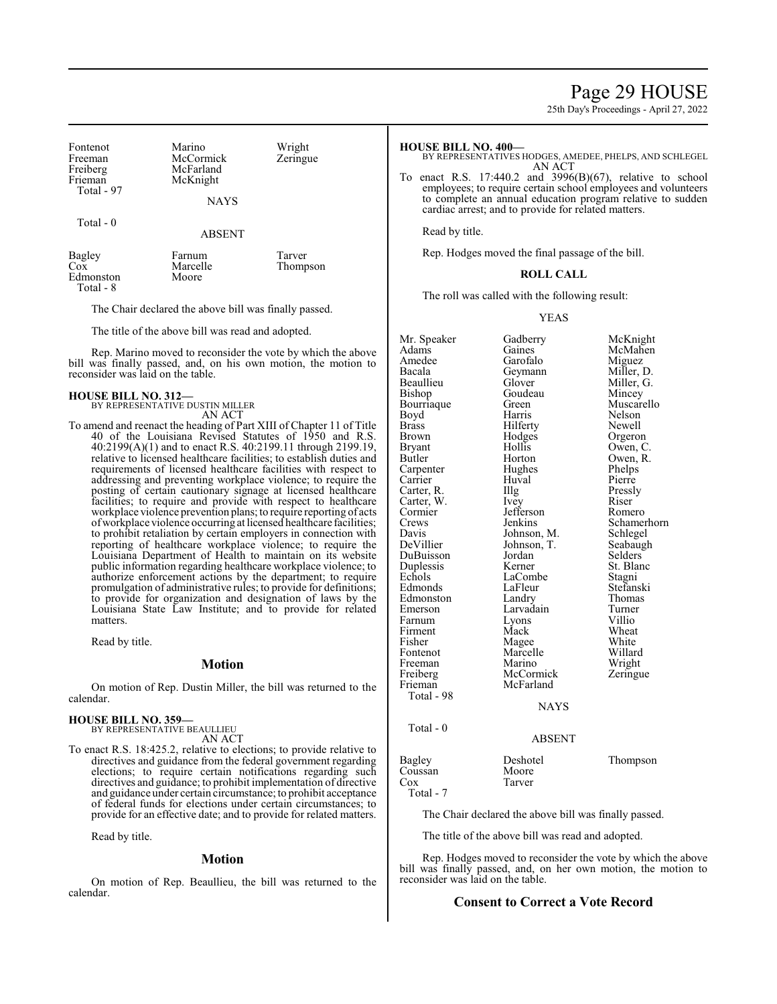### Page 29 HOUSE

25th Day's Proceedings - April 27, 2022

| Fontenot<br>Freeman<br>Freiberg<br>Frieman<br>Total - 97 | Marino<br>McCormick<br>McFarland<br>McKnight | Wright<br>Zeringue |
|----------------------------------------------------------|----------------------------------------------|--------------------|
|                                                          | <b>NAYS</b>                                  |                    |

Total - 0

ABSENT

| Bagley    | Farnum   | Tarver   |
|-----------|----------|----------|
| Cox       | Marcelle | Thompson |
| Edmonston | Moore    |          |
| Total - 8 |          |          |

The Chair declared the above bill was finally passed.

The title of the above bill was read and adopted.

Rep. Marino moved to reconsider the vote by which the above bill was finally passed, and, on his own motion, the motion to reconsider was laid on the table.

#### **HOUSE BILL NO. 312—** BY REPRESENTATIVE DUSTIN MILLER

AN ACT

To amend and reenact the heading of Part XIII of Chapter 11 of Title 40 of the Louisiana Revised Statutes of 1950 and R.S. 40:2199(A)(1) and to enact R.S. 40:2199.11 through 2199.19, relative to licensed healthcare facilities; to establish duties and requirements of licensed healthcare facilities with respect to addressing and preventing workplace violence; to require the posting of certain cautionary signage at licensed healthcare facilities; to require and provide with respect to healthcare workplace violence prevention plans; to require reporting of acts ofworkplace violence occurring at licensed healthcare facilities; to prohibit retaliation by certain employers in connection with reporting of healthcare workplace violence; to require the Louisiana Department of Health to maintain on its website public information regarding healthcare workplace violence; to authorize enforcement actions by the department; to require promulgation of administrative rules; to provide for definitions; to provide for organization and designation of laws by the Louisiana State Law Institute; and to provide for related matters.

Read by title.

#### **Motion**

On motion of Rep. Dustin Miller, the bill was returned to the calendar.

#### **HOUSE BILL NO. 359—**

BY REPRESENTATIVE BEAULLIEU AN ACT

To enact R.S. 18:425.2, relative to elections; to provide relative to directives and guidance from the federal government regarding elections; to require certain notifications regarding such directives and guidance; to prohibit implementation of directive and guidance under certain circumstance; to prohibit acceptance of federal funds for elections under certain circumstances; to provide for an effective date; and to provide for related matters.

Read by title.

#### **Motion**

On motion of Rep. Beaullieu, the bill was returned to the calendar.

#### **HOUSE BILL NO. 400—**

- BY REPRESENTATIVES HODGES, AMEDEE, PHELPS, AND SCHLEGEL AN ACT
- To enact R.S. 17:440.2 and 3996(B)(67), relative to school employees; to require certain school employees and volunteers to complete an annual education program relative to sudden cardiac arrest; and to provide for related matters.

Read by title.

Rep. Hodges moved the final passage of the bill.

#### **ROLL CALL**

The roll was called with the following result:

#### YEAS

| Mr. Speaker  | Gadberry    | McKnight    |
|--------------|-------------|-------------|
| Adams        | Gaines      | McMahen     |
| Amedee       | Garofalo    | Miguez      |
| Bacala       | Geymann     | Miller, D.  |
| Beaullieu    | Glover      | Miller, G.  |
| Bishop       | Goudeau     | Mincey      |
| Bourriaque   | Green       | Muscarello  |
| Boyd         | Harris      | Nelson      |
| <b>Brass</b> | Hilferty    | Newell      |
| Brown        | Hodges      | Orgeron     |
| Bryant       | Hollis      | Owen, C.    |
| Butler       | Horton      | Owen, R.    |
| Carpenter    | Hughes      | Phelps      |
| Carrier      | Huval       | Pierre      |
| Carter, R.   | Illg        | Pressly     |
| Carter, W.   | Ivey        | Riser       |
| Cormier      | Jefferson   | Romero      |
| Crews        | Jenkins     | Schamerhorn |
| Davis        | Johnson, M. | Schlegel    |
| DeVillier    | Johnson, T. | Seabaugh    |
| DuBuisson    | Jordan      | Selders     |
| Duplessis    | Kerner      | St. Blanc   |
| Echols       | LaCombe     | Stagni      |
| Edmonds      | LaFleur     | Stefanski   |
| Edmonston    | Landry      | Thomas      |
| Emerson      | Larvadain   | Turner      |
| Farnum       | Lyons       | Villio      |
| Firment      | Mack        | Wheat       |
| Fisher       | Magee       | White       |
| Fontenot     | Marcelle    | Willard     |
| Freeman      | Marino      | Wright      |
| Freiberg     | McCormick   | Zeringue    |
| Frieman      | McFarland   |             |
| Total - 98   |             |             |
|              | <b>NAYS</b> |             |
| Total - 0    |             |             |
|              | ABSENT      |             |
|              |             |             |

Bagley Deshotel Thompson<br>Coussan Moore Coussan<br>Cox Tarver Total - 7

The Chair declared the above bill was finally passed.

The title of the above bill was read and adopted.

Rep. Hodges moved to reconsider the vote by which the above bill was finally passed, and, on her own motion, the motion to reconsider was laid on the table.

#### **Consent to Correct a Vote Record**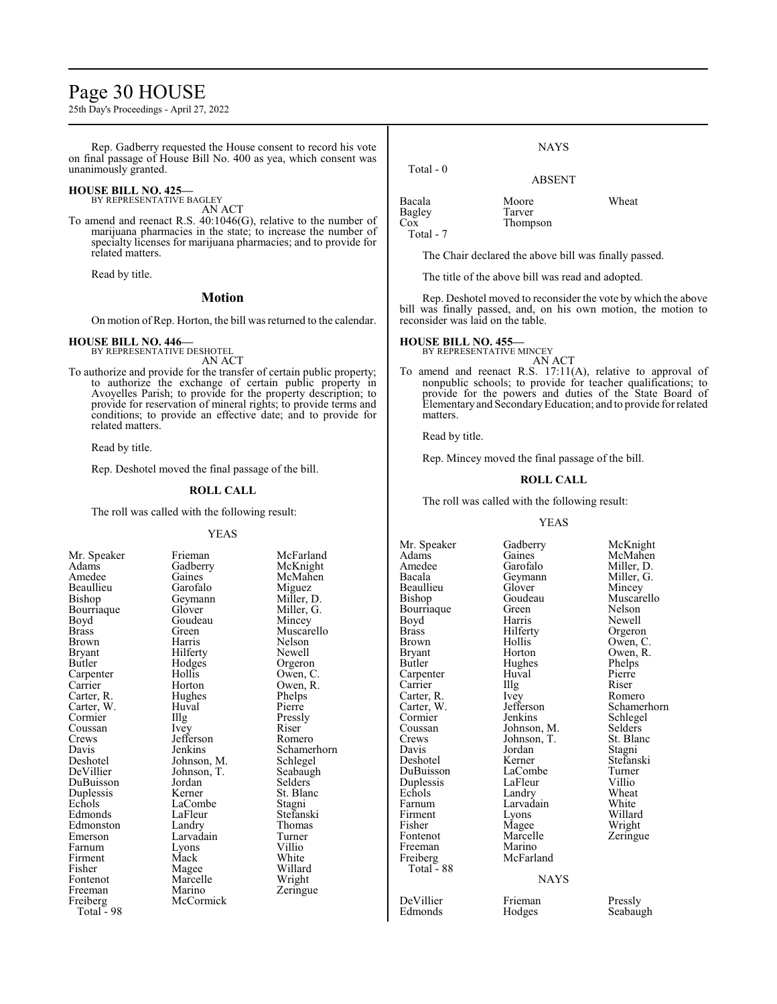### Page 30 HOUSE

25th Day's Proceedings - April 27, 2022

Rep. Gadberry requested the House consent to record his vote on final passage of House Bill No. 400 as yea, which consent was unanimously granted.

#### **HOUSE BILL NO. 425—**

BY REPRESENTATIVE BAGLEY AN ACT

To amend and reenact R.S. 40:1046(G), relative to the number of marijuana pharmacies in the state; to increase the number of specialty licenses for marijuana pharmacies; and to provide for related matters.

Read by title.

#### **Motion**

On motion of Rep. Horton, the bill was returned to the calendar.

#### **HOUSE BILL NO. 446—** BY REPRESENTATIVE DESHOTEL

AN ACT

To authorize and provide for the transfer of certain public property; to authorize the exchange of certain public property in Avoyelles Parish; to provide for the property description; to provide for reservation of mineral rights; to provide terms and conditions; to provide an effective date; and to provide for related matters.

Read by title.

Rep. Deshotel moved the final passage of the bill.

#### **ROLL CALL**

The roll was called with the following result:

#### YEAS

| Mr. Speaker   | Frieman     | McFa       |
|---------------|-------------|------------|
| Adams         | Gadberry    | McKr       |
| Amedee        | Gaines      | <b>McM</b> |
| Beaullieu     | Garofalo    | Migu       |
| Bishop        | Geymann     | Miller     |
| Bourriaque    | Glover      | Miller     |
| Boyd          | Goudeau     | Mince      |
| <b>Brass</b>  | Green       | Musc       |
| Brown         | Harris      | Nelso      |
| <b>Bryant</b> | Hilferty    | Newe       |
| Butler        | Hodges      | Orger      |
| Carpenter     | Hollis      | Owen       |
| Carrier       | Horton      | Owen       |
| Carter, R.    | Hughes      | Phelp      |
| Carter, W.    | Huval       | Pierre     |
| Cormier       | Illg        | Pressl     |
| Coussan       | Ivey        | Riser      |
| Crews         | Jefferson   | Rome       |
| Davis         | Jenkins     | Schan      |
| Deshotel      | Johnson, M. | Schle      |
| DeVillier     | Johnson, T. | Seaba      |
| DuBuisson     | Jordan      | Seldei     |
| Duplessis     | Kerner      | St. Bl     |
| Echols        | LaCombe     | Stagn      |
| Edmonds       | LaFleur     | Stefar     |
| Edmonston     | Landry      | Thom       |
| Emerson       | Larvadain   | Turne      |
| Farnum        | Lyons       | Villio     |
| Firment       | Mack        | White      |
| Fisher        | Magee       | Willa      |
| Fontenot      | Marcelle    | Wrigł      |
| Freeman       | Marino      | Zering     |
| Freiberg      | McCormick   |            |
| Total - 98    |             |            |

Frieman McFarland<br>Gadberry McKnight McMahen<br>Miguez Garofalo Miguez<br>Geymann Miller, D. Miller, G.<br>Mincev Muscarello<br>Nelson Harris Nelson<br>Hilferty Newell Hodges Orgeron<br>Hollis Owen, C Hollis Owen, C.<br>Horton Owen, R. Owen, R.<br>Phelps Huval Pierre<br>Illg Pressl Illg Pressly<br>Ivey Riser Jefferson Romero<br>Jenkins Schamer Schamerhorn<br>Schlegel Johnson, M. Schlegel<br>Johnson, T. Seabaugh Jordan Selders<br>
Kerner St. Blar St. Blanc<br>Stagni LaFleur Stefanski<br>Landry Thomas Thomas<br>Turner Larvadain Turner<br>Lyons Villio Mack White<br>
Mage Willar Willard<br>Wright Zeringue

Bourriaque Green<br>Boyd Harris Freeman<br>Freiberg Total - 88

DeVillier Frieman Pressly<br>Edmonds Hodges Seabau

NAYS

#### ABSENT

Bacala Moore Wheat Bagley Tarver<br>Cox Thomp Total - 7

Total - 0

The Chair declared the above bill was finally passed.

The title of the above bill was read and adopted.

Thompson

Rep. Deshotel moved to reconsider the vote by which the above bill was finally passed, and, on his own motion, the motion to reconsider was laid on the table.

#### **HOUSE BILL NO. 455—**

BY REPRESENTATIVE MINCEY

AN ACT To amend and reenact R.S. 17:11(A), relative to approval of nonpublic schools; to provide for teacher qualifications; to provide for the powers and duties of the State Board of Elementaryand SecondaryEducation; and to provide for related matters.

Read by title.

Rep. Mincey moved the final passage of the bill.

#### **ROLL CALL**

The roll was called with the following result:

#### YEAS

Mr. Speaker Gadberry McKnight<br>
Adams Gaines McMahen Adams Gaines McMahen<br>Amedee Garofalo Miller, D. Amedee Garofalo Miller, D.<br>Bacala Geymann Miller, G. Geymann Miller, Glover Mincey Beaullieu Glover<br>Bishop Goudeau Goudeau Muscarello<br>Green Nelson Boyd Harris Newell<br>Brass Hilferty Orgeror Brass Hilferty Orgeron Brown Hollis Owen, C.<br>Bryant Horton Owen, R. Bryant Horton Owen, R.<br>Butler Hughes Phelps Hughes Phelps<br>Huval Pierre Carpenter Huval Pierre<br>Carrier Hugh Riser Carrier IIIg Riser<br>Carter, R. Ivey Romero Carter, R. Ivey<br>Carter, W. Jefferson Carter, W. Jefferson Schamerhorn<br>
Cormier Jenkins Schlegel Cormier Jenkins Schlegel<br>
Coussan Johnson, M. Selders Coussan Johnson, M. Selders Crews Johnson, T.<br>Davis Jordan Davis Jordan Stagni Deshotel Kerner Stefanski LaCombe Turner<br>
LaFleur Villio Duplessis LaFleur Villio<br>
Echols Landry Wheat Echols Landry Wheat<br>
Farnum Larvadain White Farnum Larvadain<br>Firment Lyons Firment Lyons Willard<br>Fisher Magee Wright Fisher Magee Wright<br>Fontenot Marcelle Zeringu Marcelle Zeringue<br>Marino McFarland NAYS

Seabaugh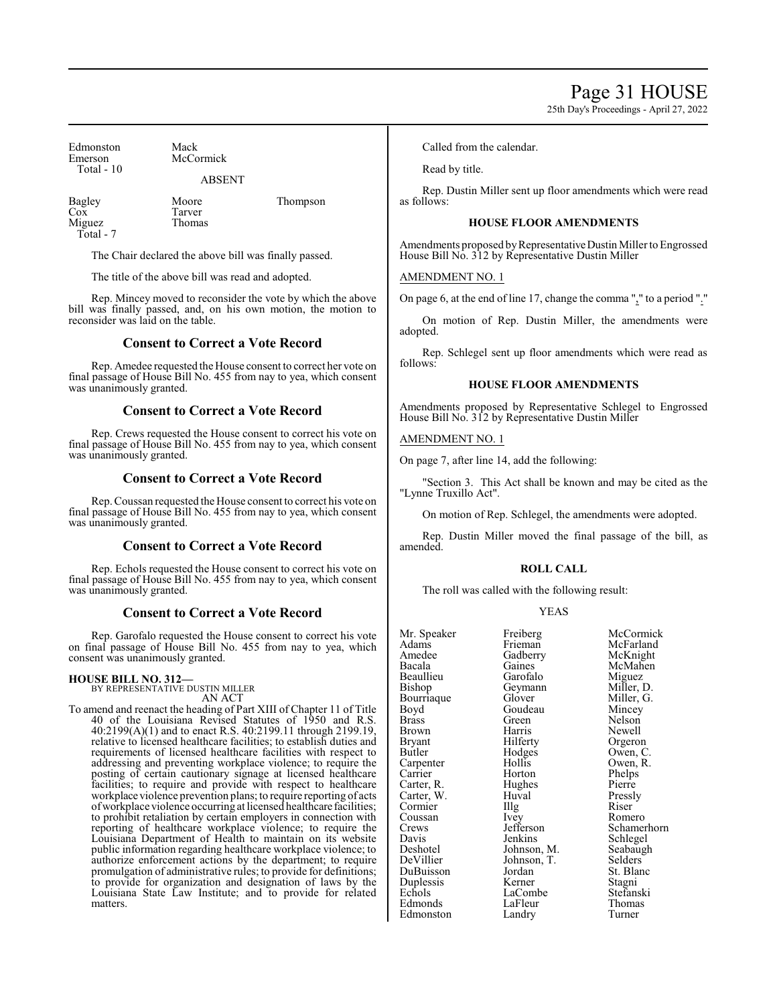## Page 31 HOUSE

25th Day's Proceedings - April 27, 2022

| Edmonston<br>Emerson<br>Total $-10$ | Mack<br>McCormick<br><b>ABSENT</b> |          |
|-------------------------------------|------------------------------------|----------|
|                                     |                                    |          |
| Bagley<br>Cox<br>Miguez             | Moore<br>Tarver<br><b>Thomas</b>   | Thompson |

Total - 7

The Chair declared the above bill was finally passed.

The title of the above bill was read and adopted.

Rep. Mincey moved to reconsider the vote by which the above bill was finally passed, and, on his own motion, the motion to reconsider was laid on the table.

#### **Consent to Correct a Vote Record**

Rep. Amedee requested the House consent to correct her vote on final passage of House Bill No. 455 from nay to yea, which consent was unanimously granted.

#### **Consent to Correct a Vote Record**

Rep. Crews requested the House consent to correct his vote on final passage of House Bill No. 455 from nay to yea, which consent was unanimously granted.

#### **Consent to Correct a Vote Record**

Rep. Coussan requested the House consent to correct his vote on final passage of House Bill No. 455 from nay to yea, which consent was unanimously granted.

#### **Consent to Correct a Vote Record**

Rep. Echols requested the House consent to correct his vote on final passage of House Bill No. 455 from nay to yea, which consent was unanimously granted.

#### **Consent to Correct a Vote Record**

Rep. Garofalo requested the House consent to correct his vote on final passage of House Bill No. 455 from nay to yea, which consent was unanimously granted.

#### **HOUSE BILL NO. 312—**

BY REPRESENTATIVE DUSTIN MILLER AN ACT

To amend and reenact the heading of Part XIII of Chapter 11 of Title 40 of the Louisiana Revised Statutes of 1950 and R.S. 40:2199(A)(1) and to enact R.S. 40:2199.11 through 2199.19, relative to licensed healthcare facilities; to establish duties and requirements of licensed healthcare facilities with respect to addressing and preventing workplace violence; to require the posting of certain cautionary signage at licensed healthcare facilities; to require and provide with respect to healthcare workplace violence prevention plans; to require reporting of acts ofworkplace violence occurring at licensed healthcare facilities; to prohibit retaliation by certain employers in connection with reporting of healthcare workplace violence; to require the Louisiana Department of Health to maintain on its website public information regarding healthcare workplace violence; to authorize enforcement actions by the department; to require promulgation of administrative rules; to provide for definitions; to provide for organization and designation of laws by the Louisiana State Law Institute; and to provide for related matters.

Called from the calendar.

Read by title.

Rep. Dustin Miller sent up floor amendments which were read as follows:

#### **HOUSE FLOOR AMENDMENTS**

Amendments proposed by Representative Dustin Miller to Engrossed House Bill No. 312 by Representative Dustin Miller

#### AMENDMENT NO. 1

On page 6, at the end of line 17, change the comma "," to a period "."

On motion of Rep. Dustin Miller, the amendments were adopted.

Rep. Schlegel sent up floor amendments which were read as follows:

#### **HOUSE FLOOR AMENDMENTS**

Amendments proposed by Representative Schlegel to Engrossed House Bill No. 312 by Representative Dustin Miller

#### AMENDMENT NO. 1

On page 7, after line 14, add the following:

"Section 3. This Act shall be known and may be cited as the "Lynne Truxillo Act".

On motion of Rep. Schlegel, the amendments were adopted.

Rep. Dustin Miller moved the final passage of the bill, as amended.

#### **ROLL CALL**

The roll was called with the following result:

#### YEAS

| Mr. Speaker | Freiberg    | McCormick   |
|-------------|-------------|-------------|
| Adams       | Frieman     | McFarland   |
| Amedee      | Gadberry    | McKnight    |
| Bacala      | Gaines      | McMahen     |
| Beaullieu   | Garofalo    | Miguez      |
| Bishop      |             | Miller, D.  |
|             | Geymann     |             |
| Bourriaque  | Glover      | Miller, G.  |
| Boyd        | Goudeau     | Mincey      |
| Brass       | Green       | Nelson      |
| Brown       | Harris      | Newell      |
| Bryant      | Hilferty    | Orgeron     |
| Butler      | Hodges      | Owen, C.    |
| Carpenter   | Hollis      | Owen, R.    |
| Carrier     | Horton      | Phelps      |
| Carter, R.  | Hughes      | Pierre      |
| Carter, W.  | Huval       | Pressly     |
| Cormier     | Illg        | Riser       |
| Coussan     | <i>lvey</i> | Romero      |
| Crews       | Jefferson   | Schamerhorn |
| Davis       | Jenkins     | Schlegel    |
| Deshotel    | Johnson, M. | Seabaugh    |
| DeVillier   | Johnson, T. | Selders     |
| DuBuisson   | Jordan      | St. Blanc   |
| Duplessis   | Kerner      | Stagni      |
| Echols      | LaCombe     | Stefanski   |
| Edmonds     | LaFleur     | Thomas      |
| Edmonston   | Landry      | Turner      |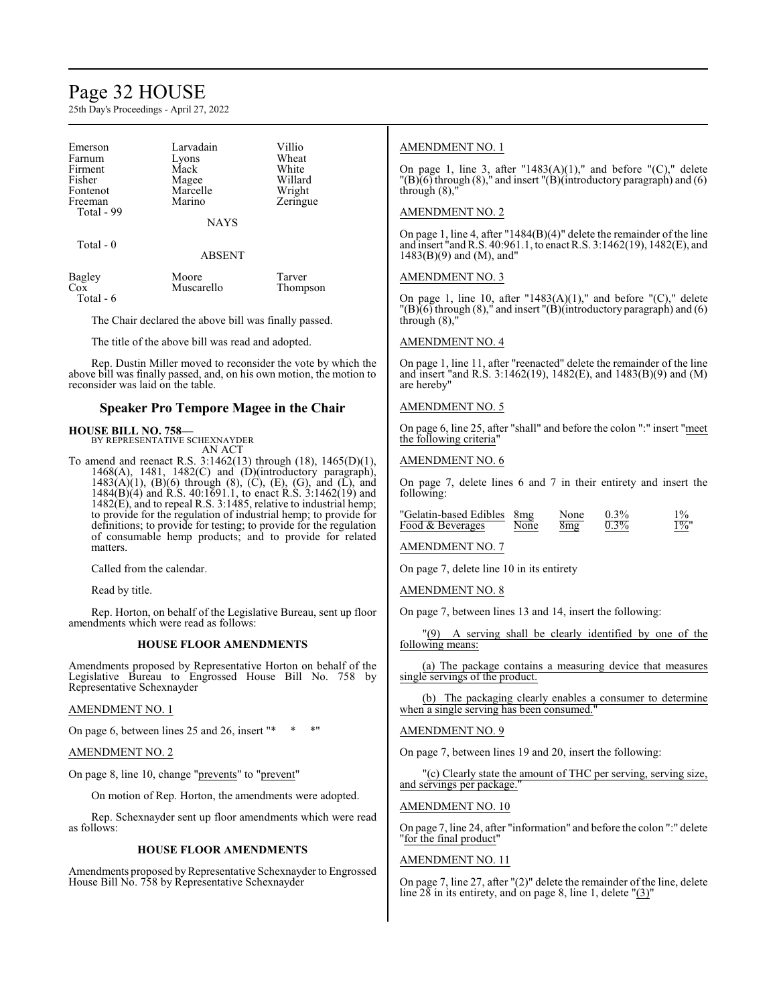### Page 32 HOUSE

25th Day's Proceedings - April 27, 2022

| Emerson<br>Farnum<br>Firment<br>Fisher<br>Fontenot<br>Freeman<br>Total - 99 | Larvadain<br>Lyons<br>Mack<br>Magee<br>Marcelle<br>Marino | Villio<br>Wheat<br>White<br>Willard<br>Wright<br>Zeringue |
|-----------------------------------------------------------------------------|-----------------------------------------------------------|-----------------------------------------------------------|
|                                                                             | <b>NAYS</b>                                               |                                                           |

Total - 0

#### ABSENT

| Bagley      | Moore      | Tarver   |
|-------------|------------|----------|
| $Co\bar{x}$ | Muscarello | Thompson |
| Total - 6   |            |          |

The Chair declared the above bill was finally passed.

The title of the above bill was read and adopted.

Rep. Dustin Miller moved to reconsider the vote by which the above bill was finally passed, and, on his own motion, the motion to reconsider was laid on the table.

#### **Speaker Pro Tempore Magee in the Chair**

#### **HOUSE BILL NO. 758—**

BY REPRESENTATIVE SCHEXNAYDER AN ACT

To amend and reenact R.S. 3:1462(13) through (18), 1465(D)(1), 1468(A), 1481, 1482(C) and (D)(introductory paragraph),  $1483(A)(1)$ , (B)(6) through (8), (C), (E), (G), and (L), and 1484(B)(4) and R.S. 40:1691.1, to enact R.S. 3:1462(19) and 1482(E), and to repeal R.S. 3:1485, relative to industrial hemp; to provide for the regulation of industrial hemp; to provide for definitions; to provide for testing; to provide for the regulation of consumable hemp products; and to provide for related matters.

Called from the calendar.

Read by title.

Rep. Horton, on behalf of the Legislative Bureau, sent up floor amendments which were read as follows:

#### **HOUSE FLOOR AMENDMENTS**

Amendments proposed by Representative Horton on behalf of the Legislative Bureau to Engrossed House Bill No. 758 by Representative Schexnayder

#### AMENDMENT NO. 1

On page 6, between lines  $25$  and  $26$ , insert " $*$ 

#### AMENDMENT NO. 2

On page 8, line 10, change "prevents" to "prevent"

On motion of Rep. Horton, the amendments were adopted.

Rep. Schexnayder sent up floor amendments which were read as follows:

#### **HOUSE FLOOR AMENDMENTS**

Amendments proposed by Representative Schexnayder to Engrossed House Bill No. 758 by Representative Schexnayder

#### AMENDMENT NO. 1

On page 1, line 3, after "1483 $(A)(1)$ ," and before " $(C)$ ," delete  $\Gamma(B)$ (6) through (8)," and insert  $\Gamma(B)$ (introductory paragraph) and (6) through  $(8)$ ,

#### AMENDMENT NO. 2

On page 1, line 4, after "1484(B)(4)" delete the remainder of the line and insert "and R.S. 40:961.1, to enact R.S. 3:1462(19), 1482(E), and 1483(B)(9) and (M), and"

#### AMENDMENT NO. 3

On page 1, line 10, after "1483(A)(1)," and before "(C)," delete  $T(B)(6)$  through  $(8)$ ," and insert  $T(B)$ (introductory paragraph) and  $(6)$ through  $(8)$ ,

#### AMENDMENT NO. 4

On page 1, line 11, after "reenacted" delete the remainder of the line and insert "and R.S. 3:1462(19), 1482(E), and 1483(B)(9) and (M) are hereby"

#### AMENDMENT NO. 5

On page 6, line 25, after "shall" and before the colon ":" insert "meet the following criteria"

#### AMENDMENT NO. 6

On page 7, delete lines 6 and 7 in their entirety and insert the following:

| "Gelatin-based Edibles 8mg |      | None | $0.3\%$ |         |
|----------------------------|------|------|---------|---------|
| Food & Beverages           | None | 8mg  | $0.3\%$ | $1\%$ ' |

#### AMENDMENT NO. 7

On page 7, delete line 10 in its entirety

AMENDMENT NO. 8

On page 7, between lines 13 and 14, insert the following:

"(9) A serving shall be clearly identified by one of the following means:

(a) The package contains a measuring device that measures single servings of the product.

(b) The packaging clearly enables a consumer to determine when a single serving has been consumed."

#### AMENDMENT NO. 9

On page 7, between lines 19 and 20, insert the following:

"(c) Clearly state the amount of THC per serving, serving size, and servings per package.

#### AMENDMENT NO. 10

On page 7, line 24, after "information" and before the colon ":" delete "for the final product"

#### AMENDMENT NO. 11

On page 7, line 27, after "(2)" delete the remainder of the line, delete line  $28$  in its entirety, and on page 8, line 1, delete " $(3)$ "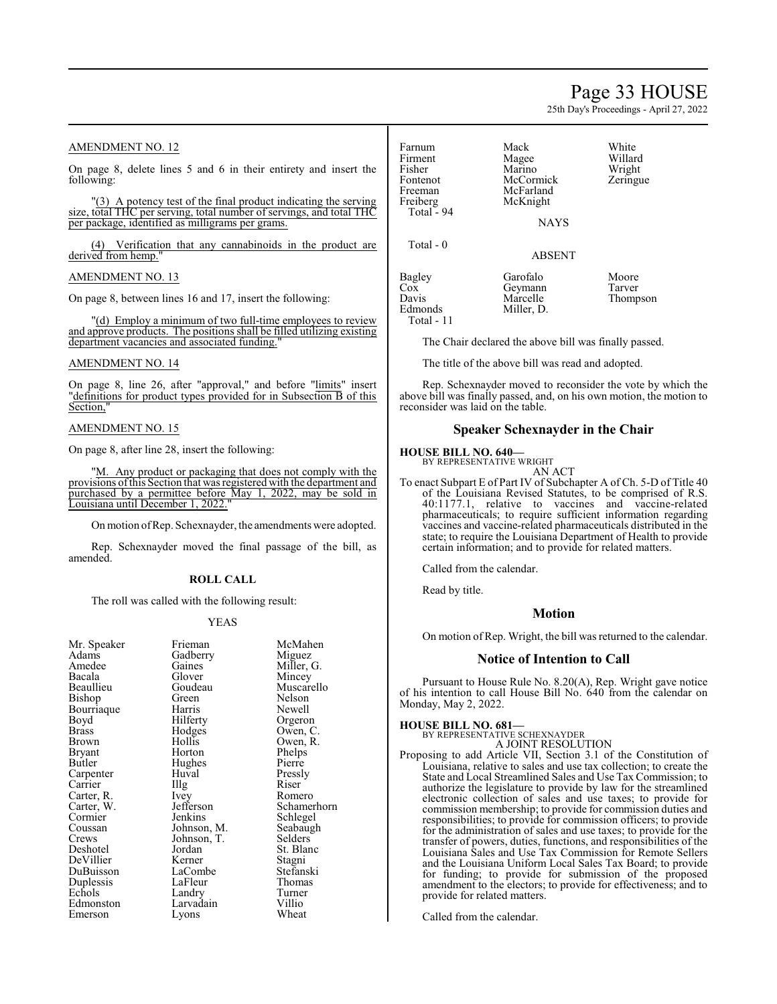### Page 33 HOUSE

25th Day's Proceedings - April 27, 2022

#### AMENDMENT NO. 12

On page 8, delete lines 5 and 6 in their entirety and insert the following:

"(3) A potency test of the final product indicating the serving size, total THC per serving, total number of servings, and total THC per package, identified as milligrams per grams.

(4) Verification that any cannabinoids in the product are derived from hemp.

#### AMENDMENT NO. 13

On page 8, between lines 16 and 17, insert the following:

"(d) Employ a minimum of two full-time employees to review and approve products. The positions shall be filled utilizing existing department vacancies and associated funding.

#### AMENDMENT NO. 14

On page 8, line 26, after "approval," and before "limits" insert "definitions for product types provided for in Subsection B of this Section,"

#### AMENDMENT NO. 15

On page 8, after line 28, insert the following:

"M. Any product or packaging that does not comply with the provisions ofthis Section that was registered with the department and purchased by a permittee before May 1, 2022, may be sold in Louisiana until December 1, 2022.

On motion ofRep. Schexnayder, the amendments were adopted.

Rep. Schexnayder moved the final passage of the bill, as amended.

#### **ROLL CALL**

The roll was called with the following result:

#### YEAS

| Mr. Speaker | Frieman     | McMahen     |
|-------------|-------------|-------------|
| Adams       | Gadberry    | Miguez      |
| Amedee      | Gaines      | Miller, G.  |
| Bacala      | Glover      | Mincey      |
| Beaullieu   | Goudeau     | Muscarello  |
| Bishop      | Green       | Nelson      |
| Bourriaque  | Harris      | Newell      |
| Boyd        | Hilferty    | Orgeron     |
| Brass       | Hodges      | Owen, C.    |
| Brown       | Hollis      | Owen, R.    |
| Bryant      | Horton      | Phelps      |
| Butler      | Hughes      | Pierre      |
| Carpenter   | Huval       | Pressly     |
| Carrier     | Illg        | Riser       |
| Carter, R.  | Ivey        | Romero      |
| Carter, W.  | Jefferson   | Schamerhorn |
| Cormier     | Jenkins     | Schlegel    |
| Coussan     | Johnson, M. | Seabaugh    |
| Crews       | Johnson, T. | Selders     |
| Deshotel    | Jordan      | St. Blanc   |
| DeVillier   | Kerner      | Stagni      |
| DuBuisson   | LaCombe     | Stefanski   |
| Duplessis   | LaFleur     | Thomas      |
| Echols      | Landry      | Turner      |
| Edmonston   | Larvadain   | Villio      |
| Emerson     | Lyons       | Wheat       |
|             |             |             |

| Farnum<br>Firment<br>Fisher<br>Fontenot<br>Freeman<br>Freiberg<br>Total $-94$ | Mack<br>Magee<br>Marino<br>McCormick<br>McFarland<br>McKnight<br><b>NAYS</b> | White<br>Willard<br>Wright<br>Zeringue |
|-------------------------------------------------------------------------------|------------------------------------------------------------------------------|----------------------------------------|
| Total $-0$                                                                    | <b>ABSENT</b>                                                                |                                        |
| Bagley<br>Cox<br>Davis<br>Edmonds<br>Total - 11                               | Garofalo<br>Geymann<br>Marcelle<br>Miller, D.                                | Moore<br>Tarver<br>Thompson            |

The Chair declared the above bill was finally passed.

The title of the above bill was read and adopted.

Rep. Schexnayder moved to reconsider the vote by which the above bill was finally passed, and, on his own motion, the motion to reconsider was laid on the table.

#### **Speaker Schexnayder in the Chair**

#### **HOUSE BILL NO. 640—**

BY REPRESENTATIVE WRIGHT AN ACT

To enact Subpart E of Part IV of Subchapter A of Ch. 5-D of Title 40 of the Louisiana Revised Statutes, to be comprised of R.S. 40:1177.1, relative to vaccines and vaccine-related pharmaceuticals; to require sufficient information regarding vaccines and vaccine-related pharmaceuticals distributed in the state; to require the Louisiana Department of Health to provide certain information; and to provide for related matters.

Called from the calendar.

Read by title.

#### **Motion**

On motion of Rep. Wright, the bill was returned to the calendar.

#### **Notice of Intention to Call**

Pursuant to House Rule No. 8.20(A), Rep. Wright gave notice of his intention to call House Bill No. 640 from the calendar on Monday, May 2, 2022.

#### **HOUSE BILL NO. 681—**

BY REPRESENTATIVE SCHEXNAYDER A JOINT RESOLUTION

Proposing to add Article VII, Section 3.1 of the Constitution of Louisiana, relative to sales and use tax collection; to create the State and Local Streamlined Sales and Use Tax Commission; to authorize the legislature to provide by law for the streamlined electronic collection of sales and use taxes; to provide for commission membership; to provide for commission duties and responsibilities; to provide for commission officers; to provide for the administration of sales and use taxes; to provide for the transfer of powers, duties, functions, and responsibilities of the Louisiana Sales and Use Tax Commission for Remote Sellers and the Louisiana Uniform Local Sales Tax Board; to provide for funding; to provide for submission of the proposed amendment to the electors; to provide for effectiveness; and to provide for related matters.

Called from the calendar.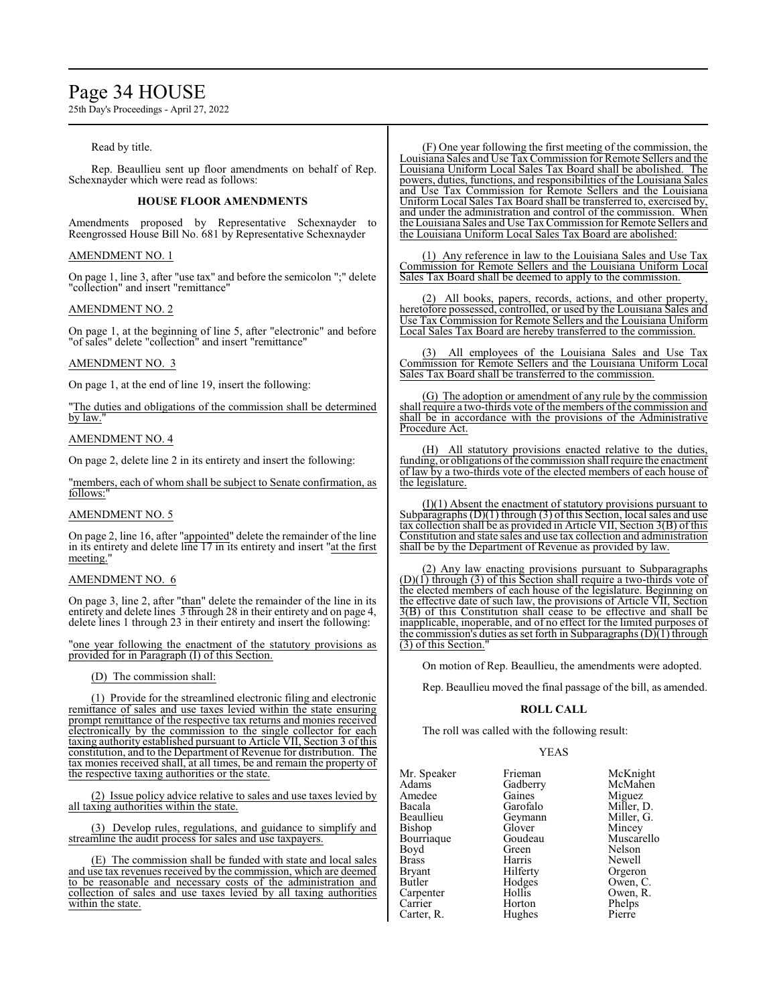### Page 34 HOUSE

25th Day's Proceedings - April 27, 2022

#### Read by title.

Rep. Beaullieu sent up floor amendments on behalf of Rep. Schexnayder which were read as follows:

#### **HOUSE FLOOR AMENDMENTS**

Amendments proposed by Representative Schexnayder to Reengrossed House Bill No. 681 by Representative Schexnayder

#### AMENDMENT NO. 1

On page 1, line 3, after "use tax" and before the semicolon ";" delete "collection" and insert "remittance"

#### AMENDMENT NO. 2

On page 1, at the beginning of line 5, after "electronic" and before "of sales" delete "collection" and insert "remittance"

#### AMENDMENT NO. 3

On page 1, at the end of line 19, insert the following:

"The duties and obligations of the commission shall be determined by law.

#### AMENDMENT NO. 4

On page 2, delete line 2 in its entirety and insert the following:

"members, each of whom shall be subject to Senate confirmation, as follows:

#### AMENDMENT NO. 5

On page 2, line 16, after "appointed" delete the remainder of the line in its entirety and delete line 17 in its entirety and insert "at the first meeting."

#### AMENDMENT NO. 6

On page 3, line 2, after "than" delete the remainder of the line in its entirety and delete lines  $\overline{3}$  through 28 in their entirety and on page 4, delete lines 1 through 23 in their entirety and insert the following:

"one year following the enactment of the statutory provisions as provided for in Paragraph (I) of this Section.

#### (D) The commission shall:

(1) Provide for the streamlined electronic filing and electronic remittance of sales and use taxes levied within the state ensuring prompt remittance of the respective tax returns and monies received electronically by the commission to the single collector for each taxing authority established pursuant to Article VII, Section 3 of this constitution, and to the Department of Revenue for distribution. The tax monies received shall, at all times, be and remain the property of the respective taxing authorities or the state.

(2) Issue policy advice relative to sales and use taxes levied by all taxing authorities within the state.

(3) Develop rules, regulations, and guidance to simplify and streamline the audit process for sales and use taxpayers.

(E) The commission shall be funded with state and local sales and use tax revenues received by the commission, which are deemed to be reasonable and necessary costs of the administration and collection of sales and use taxes levied by all taxing authorities within the state.

(F) One year following the first meeting of the commission, the Louisiana Sales and Use TaxCommission for Remote Sellers and the Louisiana Uniform Local Sales Tax Board shall be abolished. The powers, duties, functions, and responsibilities of the Louisiana Sales and Use Tax Commission for Remote Sellers and the Louisiana Uniform Local Sales Tax Board shall be transferred to, exercised by, and under the administration and control of the commission. When the Louisiana Sales and Use TaxCommission for Remote Sellers and the Louisiana Uniform Local Sales Tax Board are abolished:

(1) Any reference in law to the Louisiana Sales and Use Tax Commission for Remote Sellers and the Louisiana Uniform Local Sales Tax Board shall be deemed to apply to the commission.

(2) All books, papers, records, actions, and other property, heretofore possessed, controlled, or used by the Louisiana Sales and Use Tax Commission for Remote Sellers and the Louisiana Uniform Local Sales Tax Board are hereby transferred to the commission.

All employees of the Louisiana Sales and Use Tax Commission for Remote Sellers and the Louisiana Uniform Local Sales Tax Board shall be transferred to the commission.

(G) The adoption or amendment of any rule by the commission shall require a two-thirds vote of the members of the commission and shall be in accordance with the provisions of the Administrative Procedure Act.

All statutory provisions enacted relative to the duties, funding, or obligations of the commission shall require the enactment of law by a two-thirds vote of the elected members of each house of the legislature.

(I)(1) Absent the enactment of statutory provisions pursuant to Subparagraphs  $(D)(1)$  through  $(3)$  of this Section, local sales and use tax collection shall be as provided in Article VII, Section 3(B) of this Constitution and state sales and use tax collection and administration shall be by the Department of Revenue as provided by law.

(2) Any law enacting provisions pursuant to Subparagraphs  $(D)(1)$  through (3) of this Section shall require a two-thirds vote of the elected members of each house of the legislature. Beginning on the effective date of such law, the provisions of Article VII, Section 3(B) of this Constitution shall cease to be effective and shall be inapplicable, inoperable, and of no effect for the limited purposes of the commission's duties as set forth in Subparagraphs  $(D)(1)$  through (3) of this Section."

On motion of Rep. Beaullieu, the amendments were adopted.

Rep. Beaullieu moved the final passage of the bill, as amended.

#### **ROLL CALL**

The roll was called with the following result:

#### YEAS

Mr. Speaker Frieman McKnight<br>Adams Gadberry McMahen Amedee Gaines<br>Bacala Garofalo Bacala Garofalo Miller, D. Beaullieu Geymann<br>Bishop Glover Bishop Glover Mincey<br>Bourriaque Goudeau Muscare Bourriaque Goudeau Muscarello<br>
Boyd Green Nelson Boyd Green Nelson<br>Brass Harris Newell Brass Harris Newell Bryant Filerty Orgeron<br>Butler Hodges Owen, C Carpenter Hollis Owen,<br>Carrier Horton Phelps

Carter, R.

Gadberry McMah<br>Gaines Miguez Hodges Owen, C.<br>Hollis Owen, R. Horton Phelps<br>Hughes Pierre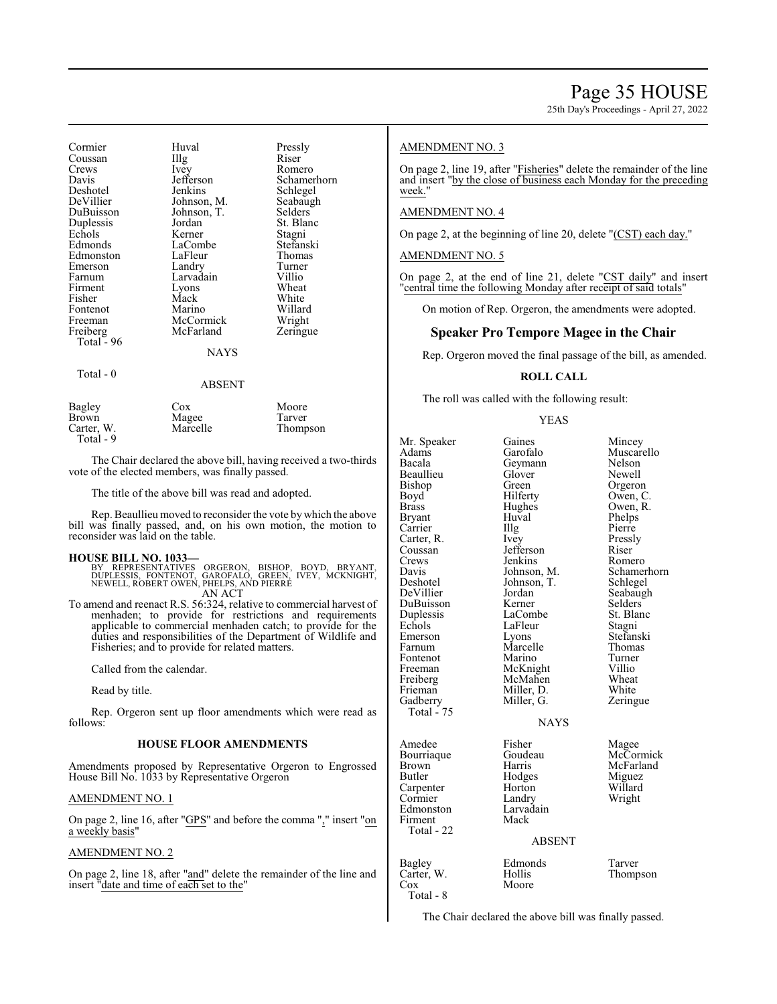25th Day's Proceedings - April 27, 2022

| Cormier<br>Coussan<br>Crews<br>Davis<br>Deshotel<br>DeVillier<br>DuBuisson<br>Duplessis<br>Echols<br>Edmonds<br>Edmonston<br>Emerson<br>Farnum<br>Firment<br>Fisher<br>Fontenot<br>Freeman<br>Freiberg<br>Total - 96<br>Total - 0 | Huval<br>$\prod_{i=1}^{n}$<br>Ivey<br>Jefferson<br>Jenkins<br>Johnson, M.<br>Johnson, T.<br>Jordan<br>Kerner<br>LaCombe<br>LaFleur<br>Landry<br>Larvadain<br>Lyons<br>Mack<br>Marino<br>McCormick<br>McFarland<br>NAYS | Pressly<br>Riser<br>Romero<br>Schamerhorn<br>Schlegel<br>Seabaugh<br>Selders<br>St. Blanc<br>Stagni<br>Stefanski<br>Thomas<br>Turner<br>Villio<br>Wheat<br>White<br>Willard<br>Wright<br>Zeringue |
|-----------------------------------------------------------------------------------------------------------------------------------------------------------------------------------------------------------------------------------|------------------------------------------------------------------------------------------------------------------------------------------------------------------------------------------------------------------------|---------------------------------------------------------------------------------------------------------------------------------------------------------------------------------------------------|
|                                                                                                                                                                                                                                   | <b>ABSENT</b>                                                                                                                                                                                                          |                                                                                                                                                                                                   |
| Bagley<br>Brown<br>Carter, W.                                                                                                                                                                                                     | Cox<br>Magee<br>Marcelle                                                                                                                                                                                               | Moore<br>Tarver<br>Thompson                                                                                                                                                                       |

The Chair declared the above bill, having received a two-thirds vote of the elected members, was finally passed.

The title of the above bill was read and adopted.

Rep. Beaullieu moved to reconsider the vote by which the above bill was finally passed, and, on his own motion, the motion to reconsider was laid on the table.

#### **HOUSE BILL NO. 1033—**

Total - 9

BY REPRESENTATIVES ORGERON, BISHOP, BOYD, BRYANT,<br>DUPLESSIS, FONTENOT, GAROFALO, GREEN, IVEY, MCKNIGHT,<br>NEWELL,ROBERT OWEN,PHELPS,AND PIERRE<br>AN ACT

To amend and reenact R.S. 56:324, relative to commercial harvest of menhaden; to provide for restrictions and requirements applicable to commercial menhaden catch; to provide for the duties and responsibilities of the Department of Wildlife and Fisheries; and to provide for related matters.

Called from the calendar.

Read by title.

Rep. Orgeron sent up floor amendments which were read as follows:

#### **HOUSE FLOOR AMENDMENTS**

Amendments proposed by Representative Orgeron to Engrossed House Bill No. 1033 by Representative Orgeron

#### AMENDMENT NO. 1

On page 2, line 16, after "GPS" and before the comma "," insert "on a weekly basis"

#### AMENDMENT NO. 2

On page 2, line 18, after "and" delete the remainder of the line and insert "date and time of each set to the"

#### AMENDMENT NO. 3

On page 2, line 19, after "Fisheries" delete the remainder of the line and insert "by the close of business each Monday for the preceding week."

#### AMENDMENT NO. 4

On page 2, at the beginning of line 20, delete "(CST) each day."

#### AMENDMENT NO. 5

On page 2, at the end of line 21, delete "CST daily" and insert "central time the following Monday after receipt of said totals"

On motion of Rep. Orgeron, the amendments were adopted.

#### **Speaker Pro Tempore Magee in the Chair**

Rep. Orgeron moved the final passage of the bill, as amended.

#### **ROLL CALL**

The roll was called with the following result:

#### YEAS

Mr. Speaker Gaines Mincey<br>Adams Garofalo Muscar Adams Garofalo Muscarello<br>Bacala Geymann Nelson Beaullieu Gloven<br>Bishop Green Bishop Green Orgeron<br>Boyd Hilferty Owen, C Boyd<br>
Brass Hilferty Owen, C.<br>
Hughes Owen, R. Bryant Huval Phelps Carrier IIIg Pierre<br>Carter, R. Ivey Pressly Carter, R. Ivey Press.<br>Coussan Jefferson Riser Coussan Jefferson Riser<br>Crews Jenkins Romero Crews Jenkins Romero<br>
Davis Johnson, M. Schamerhorn Davis Johnson, M. Schamer<br>
Deshotel Johnson, T. Schlegel Deshotel Johnson, T.<br>DeVillier Jordan DuBuisson Kerner Selders<br>
Duplessis LaCombe St. Blanc Duplessis LaCombe St. Bla<br>
Echols LaFleur Stagni Echols LaFleur<br>Emerson Lyons Emerson Lyons Stefanski<br>Farnum Marcelle Thomas Fontenot Marino Turner<br>
Freeman McKnight Villio Freeman McKnight Villio<br>
Freiberg McMahen Wheat Freiberg McMahen Wheat<br>
Frieman Miller D. White Frieman Miller, D.<br>Gadberry Miller, G. Total - 75 Amedee Fisher Magee<br>Bourriaque Goudeau McCor Bourriaque Goudeau McCormick<br>Brown Harris McFarland Brown Harris McFarland<br>Butler Hodges Miguez Carpenter Horton Willard<br>Cormier Landry Wright Cormier Landry<br>Edmonston Larvadain Edmonston Larva<br>Firment Mack Firment Total - 22  $Cox$ 

Hughes Owen, R.<br>Huval Phelps Jordan Seabaugh<br>Kerner Selders Marcelle Thoma<br>Marino Turner **NAYS** 

Geymann Nelson<br>Glover Newell Zeringue

Hodges Miguez<br>
Horton Willard

#### ABSENT

| Bagley     | Edmonds | Tarver |
|------------|---------|--------|
| Carter, W. | Hollis  | Thomp  |
| Cox        | Moore   |        |
| Total - 8  |         |        |

Thompson

The Chair declared the above bill was finally passed.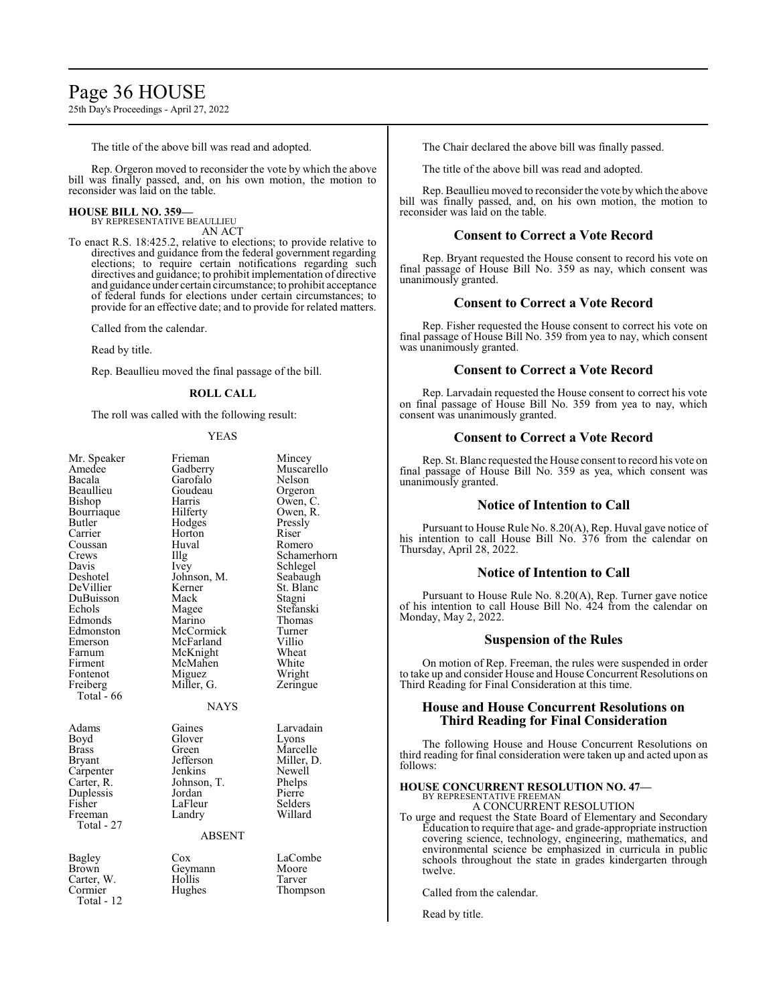## Page 36 HOUSE

25th Day's Proceedings - April 27, 2022

The title of the above bill was read and adopted.

Rep. Orgeron moved to reconsider the vote by which the above bill was finally passed, and, on his own motion, the motion to reconsider was laid on the table.

#### **HOUSE BILL NO. 359—**

BY REPRESENTATIVE BEAULLIEU AN ACT

To enact R.S. 18:425.2, relative to elections; to provide relative to directives and guidance from the federal government regarding elections; to require certain notifications regarding such directives and guidance; to prohibit implementation of directive and guidance under certain circumstance; to prohibit acceptance of federal funds for elections under certain circumstances; to provide for an effective date; and to provide for related matters.

Called from the calendar.

Read by title.

Rep. Beaullieu moved the final passage of the bill.

#### **ROLL CALL**

The roll was called with the following result:

#### YEAS

| Mr. Speaker<br>Amedee<br>Bacala<br>Beaullieu<br>Bishop<br>Bourriaque<br>Butler<br>Carrier<br>Coussan<br>Crews<br>Davis<br>Deshotel<br>DeVillier<br>DuBuisson<br>Echols<br>Edmonds<br>Edmonston<br>Emerson<br>Farnum<br>Firment<br>Fontenot<br>Freiberg | Frieman<br>Gadberry<br>Garofalo<br>Goudeau<br>Harris<br>Hilferty<br>Hodges<br>Horton<br>Huval<br>Illg<br>Ivey<br>Johnson, M.<br>Kerner<br>Mack<br>Magee<br>Marino<br>McCormick<br>McFarland<br>McKnight<br>McMahen<br>Miguez<br>Miller, G. | Mincey<br>Muscarello<br>Nelson<br>Orgeron<br>Owen, C.<br>Owen, R.<br>Pressly<br>Riser<br>Romero<br>Schamerhorn<br>Schlegel<br>Seabaugh<br>St. Blanc<br>Stagni<br>Stefanski<br>Thomas<br>Turner<br>Villio<br>Wheat<br>White<br>Wright<br>Zeringue |
|--------------------------------------------------------------------------------------------------------------------------------------------------------------------------------------------------------------------------------------------------------|--------------------------------------------------------------------------------------------------------------------------------------------------------------------------------------------------------------------------------------------|--------------------------------------------------------------------------------------------------------------------------------------------------------------------------------------------------------------------------------------------------|
| Total $-66$                                                                                                                                                                                                                                            |                                                                                                                                                                                                                                            |                                                                                                                                                                                                                                                  |
|                                                                                                                                                                                                                                                        | <b>NAYS</b>                                                                                                                                                                                                                                |                                                                                                                                                                                                                                                  |
| Adams<br>Boyd<br>Brass<br><b>Bryant</b><br>Carpenter<br>Carter, R.<br>Duplessis<br>Fisher<br>Freeman<br>Total - 27                                                                                                                                     | Gaines<br>Glover<br>Green<br>Jefferson<br>Jenkins<br>Johnson, T.<br>Jordan<br>LaFleur<br>Landry<br><b>ABSENT</b>                                                                                                                           | Larvadain<br>Lyons<br>Marcelle<br>Miller, D.<br>Newell<br>Phelps<br>Pierre<br>Selders<br>Willard                                                                                                                                                 |
| <b>Bagley</b><br>Brown<br>Carter, W.<br>Cormier<br>Total - 12                                                                                                                                                                                          | Cox<br>Geymann<br>Hollis<br>Hughes                                                                                                                                                                                                         | LaCombe<br>Moore<br>Tarver<br>Thompson                                                                                                                                                                                                           |

The Chair declared the above bill was finally passed.

The title of the above bill was read and adopted.

Rep. Beaullieu moved to reconsider the vote bywhich the above bill was finally passed, and, on his own motion, the motion to reconsider was laid on the table.

#### **Consent to Correct a Vote Record**

Rep. Bryant requested the House consent to record his vote on final passage of House Bill No. 359 as nay, which consent was unanimously granted.

#### **Consent to Correct a Vote Record**

Rep. Fisher requested the House consent to correct his vote on final passage of House Bill No. 359 from yea to nay, which consent was unanimously granted.

#### **Consent to Correct a Vote Record**

Rep. Larvadain requested the House consent to correct his vote on final passage of House Bill No. 359 from yea to nay, which consent was unanimously granted.

#### **Consent to Correct a Vote Record**

Rep. St. Blanc requested the House consent to record his vote on final passage of House Bill No. 359 as yea, which consent was unanimously granted.

#### **Notice of Intention to Call**

Pursuant to House Rule No. 8.20(A), Rep. Huval gave notice of his intention to call House Bill No. 376 from the calendar on Thursday, April 28, 2022.

#### **Notice of Intention to Call**

Pursuant to House Rule No. 8.20(A), Rep. Turner gave notice of his intention to call House Bill No. 424 from the calendar on Monday, May 2, 2022.

#### **Suspension of the Rules**

On motion of Rep. Freeman, the rules were suspended in order to take up and consider House and House Concurrent Resolutions on Third Reading for Final Consideration at this time.

#### **House and House Concurrent Resolutions on Third Reading for Final Consideration**

The following House and House Concurrent Resolutions on third reading for final consideration were taken up and acted upon as follows:

### **HOUSE CONCURRENT RESOLUTION NO. 47—** BY REPRESENTATIVE FREEMAN

A CONCURRENT RESOLUTION

To urge and request the State Board of Elementary and Secondary Education to require that age- and grade-appropriate instruction covering science, technology, engineering, mathematics, and environmental science be emphasized in curricula in public schools throughout the state in grades kindergarten through twelve.

Called from the calendar.

Read by title.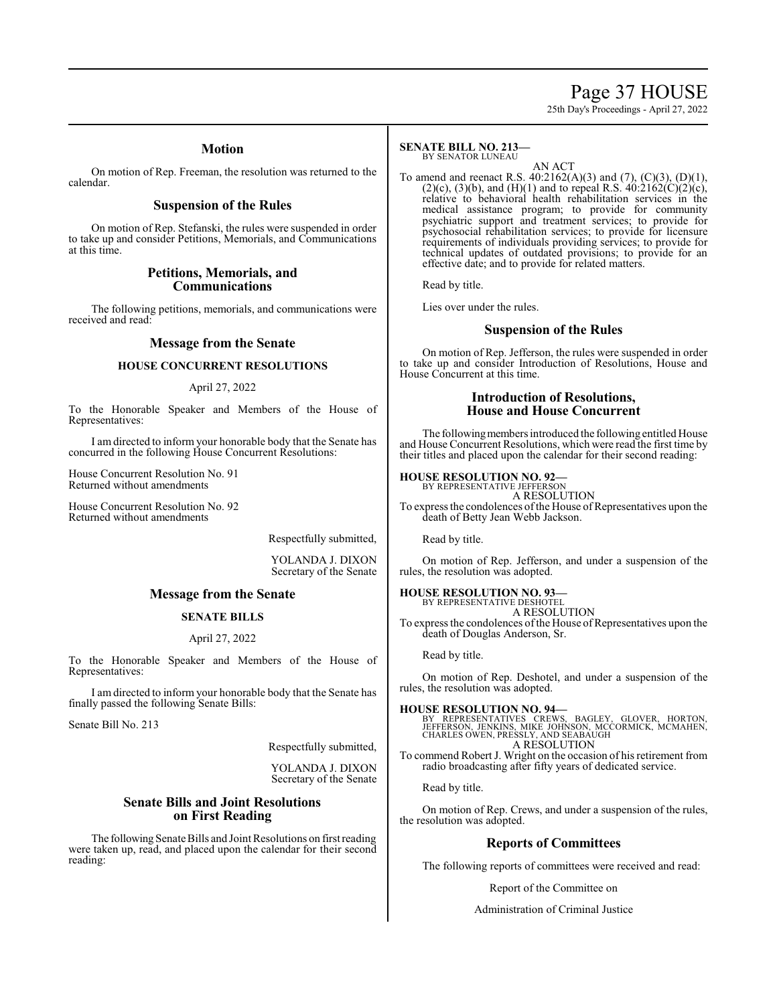### Page 37 HOUSE

25th Day's Proceedings - April 27, 2022

#### **Motion**

On motion of Rep. Freeman, the resolution was returned to the calendar.

#### **Suspension of the Rules**

On motion of Rep. Stefanski, the rules were suspended in order to take up and consider Petitions, Memorials, and Communications at this time.

#### **Petitions, Memorials, and Communications**

The following petitions, memorials, and communications were received and read:

#### **Message from the Senate**

#### **HOUSE CONCURRENT RESOLUTIONS**

#### April 27, 2022

To the Honorable Speaker and Members of the House of Representatives:

I am directed to inform your honorable body that the Senate has concurred in the following House Concurrent Resolutions:

House Concurrent Resolution No. 91 Returned without amendments

House Concurrent Resolution No. 92 Returned without amendments

Respectfully submitted,

YOLANDA J. DIXON Secretary of the Senate

#### **Message from the Senate**

#### **SENATE BILLS**

#### April 27, 2022

To the Honorable Speaker and Members of the House of Representatives:

I am directed to inform your honorable body that the Senate has finally passed the following Senate Bills:

Senate Bill No. 213

Respectfully submitted,

YOLANDA J. DIXON Secretary of the Senate

#### **Senate Bills and Joint Resolutions on First Reading**

The following Senate Bills and Joint Resolutions on first reading were taken up, read, and placed upon the calendar for their second reading:

#### **SENATE BILL NO. 213—** BY SENATOR LUNEAU

AN ACT

To amend and reenact R.S. 40:2162(A)(3) and (7), (C)(3), (D)(1), (2)(c), (3)(b), and (H)(1) and to repeal R.S.  $40:2162(C)(2)(c)$ , relative to behavioral health rehabilitation services in the medical assistance program; to provide for community psychiatric support and treatment services; to provide for psychosocial rehabilitation services; to provide for licensure requirements of individuals providing services; to provide for technical updates of outdated provisions; to provide for an effective date; and to provide for related matters.

Read by title.

Lies over under the rules.

#### **Suspension of the Rules**

On motion of Rep. Jefferson, the rules were suspended in order to take up and consider Introduction of Resolutions, House and House Concurrent at this time.

#### **Introduction of Resolutions, House and House Concurrent**

The following members introduced the following entitled House and House Concurrent Resolutions, which were read the first time by their titles and placed upon the calendar for their second reading:

#### **HOUSE RESOLUTION NO. 92—**

BY REPRESENTATIVE JEFFERSON A RESOLUTION To express the condolences of the House of Representatives upon the

Read by title.

On motion of Rep. Jefferson, and under a suspension of the rules, the resolution was adopted.

#### **HOUSE RESOLUTION NO. 93—**

BY REPRESENTATIVE DESHOTEL A RESOLUTION

death of Betty Jean Webb Jackson.

To express the condolences of the House of Representatives upon the death of Douglas Anderson, Sr.

Read by title.

On motion of Rep. Deshotel, and under a suspension of the rules, the resolution was adopted.

#### **HOUSE RESOLUTION NO. 94—**

BY REPRESENTATIVES CREWS, BAGLEY, GLOVER, HORTON,<br>JEFFERSON, JENKINS, MIKE JOHNSON, MCCORMICK, MCMAHEN,<br>CHARLES OWEN,PRESSLY,AND SEABAUGH A RESOLUTION

To commend Robert J. Wright on the occasion of his retirement from radio broadcasting after fifty years of dedicated service.

Read by title.

On motion of Rep. Crews, and under a suspension of the rules, the resolution was adopted.

#### **Reports of Committees**

The following reports of committees were received and read:

Report of the Committee on

Administration of Criminal Justice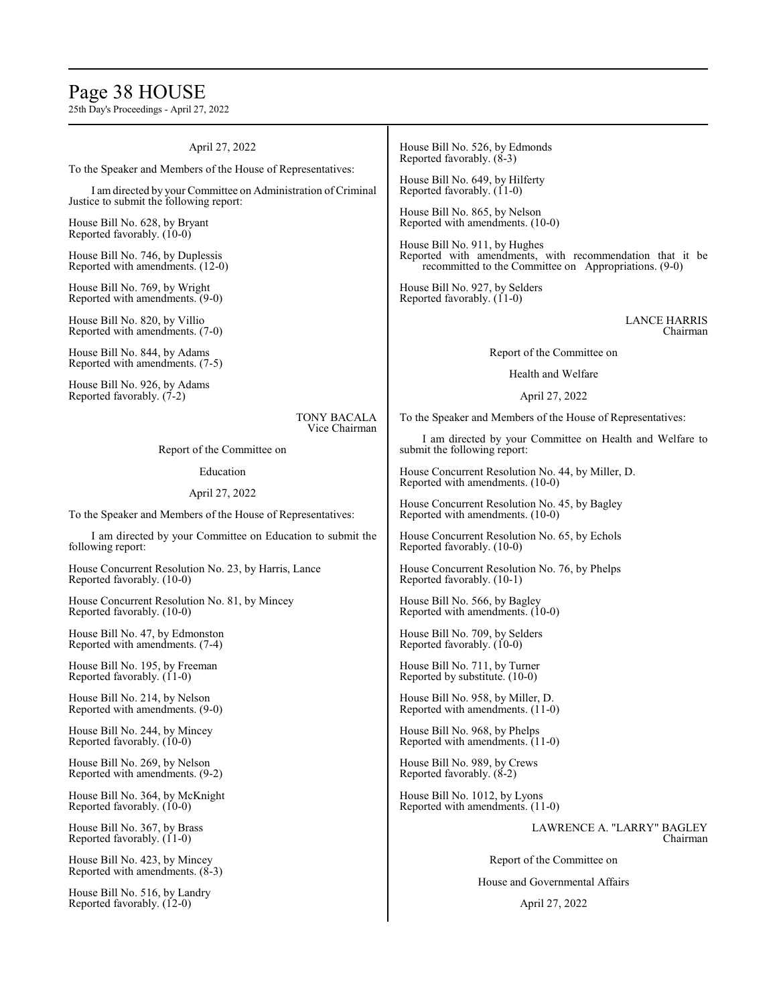### Page 38 HOUSE

25th Day's Proceedings - April 27, 2022

| April 27, 2022                                                                                           | House Bill No. 526, by Edmonds<br>Reported favorably. $(8-3)$                                                                                                                                                                                                                            |  |
|----------------------------------------------------------------------------------------------------------|------------------------------------------------------------------------------------------------------------------------------------------------------------------------------------------------------------------------------------------------------------------------------------------|--|
| To the Speaker and Members of the House of Representatives:                                              |                                                                                                                                                                                                                                                                                          |  |
| I am directed by your Committee on Administration of Criminal<br>Justice to submit the following report: | House Bill No. 649, by Hilferty<br>Reported favorably. (11-0)<br>House Bill No. 865, by Nelson<br>Reported with amendments. (10-0)<br>House Bill No. 911, by Hughes<br>Reported with amendments, with recommendation that it be<br>recommitted to the Committee on Appropriations. (9-0) |  |
| House Bill No. 628, by Bryant<br>Reported favorably. (10-0)                                              |                                                                                                                                                                                                                                                                                          |  |
| House Bill No. 746, by Duplessis<br>Reported with amendments. (12-0)                                     |                                                                                                                                                                                                                                                                                          |  |
| House Bill No. 769, by Wright<br>Reported with amendments. (9-0)                                         | House Bill No. 927, by Selders<br>Reported favorably. (11-0)                                                                                                                                                                                                                             |  |
| House Bill No. 820, by Villio<br>Reported with amendments. (7-0)                                         | <b>LANCE HARRIS</b><br>Chairman                                                                                                                                                                                                                                                          |  |
| House Bill No. 844, by Adams<br>Reported with amendments. (7-5)                                          | Report of the Committee on                                                                                                                                                                                                                                                               |  |
| House Bill No. 926, by Adams                                                                             | Health and Welfare                                                                                                                                                                                                                                                                       |  |
| Reported favorably. (7-2)                                                                                | April 27, 2022                                                                                                                                                                                                                                                                           |  |
| <b>TONY BACALA</b><br>Vice Chairman                                                                      | To the Speaker and Members of the House of Representatives:                                                                                                                                                                                                                              |  |
| Report of the Committee on                                                                               | I am directed by your Committee on Health and Welfare to<br>submit the following report:                                                                                                                                                                                                 |  |
| Education                                                                                                | House Concurrent Resolution No. 44, by Miller, D.<br>Reported with amendments. (10-0)                                                                                                                                                                                                    |  |
| April 27, 2022                                                                                           | House Concurrent Resolution No. 45, by Bagley<br>Reported with amendments. (10-0)<br>House Concurrent Resolution No. 65, by Echols<br>Reported favorably. (10-0)                                                                                                                         |  |
| To the Speaker and Members of the House of Representatives:                                              |                                                                                                                                                                                                                                                                                          |  |
| I am directed by your Committee on Education to submit the<br>following report:                          |                                                                                                                                                                                                                                                                                          |  |
| House Concurrent Resolution No. 23, by Harris, Lance<br>Reported favorably. (10-0)                       | House Concurrent Resolution No. 76, by Phelps<br>Reported favorably. (10-1)                                                                                                                                                                                                              |  |
| House Concurrent Resolution No. 81, by Mincey<br>Reported favorably. (10-0)                              | House Bill No. 566, by Bagley<br>Reported with amendments. (10-0)                                                                                                                                                                                                                        |  |
| House Bill No. 47, by Edmonston<br>Reported with amendments. (7-4)                                       | House Bill No. 709, by Selders<br>Reported favorably. (10-0)                                                                                                                                                                                                                             |  |
| House Bill No. 195, by Freeman<br>Reported favorably. (11-0)                                             | House Bill No. 711, by Turner<br>Reported by substitute. (10-0)                                                                                                                                                                                                                          |  |
| House Bill No. 214, by Nelson<br>Reported with amendments. (9-0)                                         | House Bill No. 958, by Miller, D.<br>Reported with amendments. (11-0)                                                                                                                                                                                                                    |  |
| House Bill No. 244, by Mincey<br>Reported favorably. (10-0)                                              | House Bill No. 968, by Phelps<br>Reported with amendments. (11-0)                                                                                                                                                                                                                        |  |
| House Bill No. 269, by Nelson<br>Reported with amendments. (9-2)                                         | House Bill No. 989, by Crews<br>Reported favorably. (8-2)                                                                                                                                                                                                                                |  |
| House Bill No. 364, by McKnight<br>Reported favorably. (10-0)                                            | House Bill No. 1012, by Lyons<br>Reported with amendments. (11-0)                                                                                                                                                                                                                        |  |
| House Bill No. 367, by Brass<br>Reported favorably. (11-0)                                               | LAWRENCE A. "LARRY" BAGLEY<br>Chairman                                                                                                                                                                                                                                                   |  |
| House Bill No. 423, by Mincey<br>Reported with amendments. $(8-3)$                                       | Report of the Committee on                                                                                                                                                                                                                                                               |  |
| House Bill No. 516, by Landry<br>Reported favorably. (12-0)                                              | House and Governmental Affairs<br>April 27, 2022                                                                                                                                                                                                                                         |  |
|                                                                                                          |                                                                                                                                                                                                                                                                                          |  |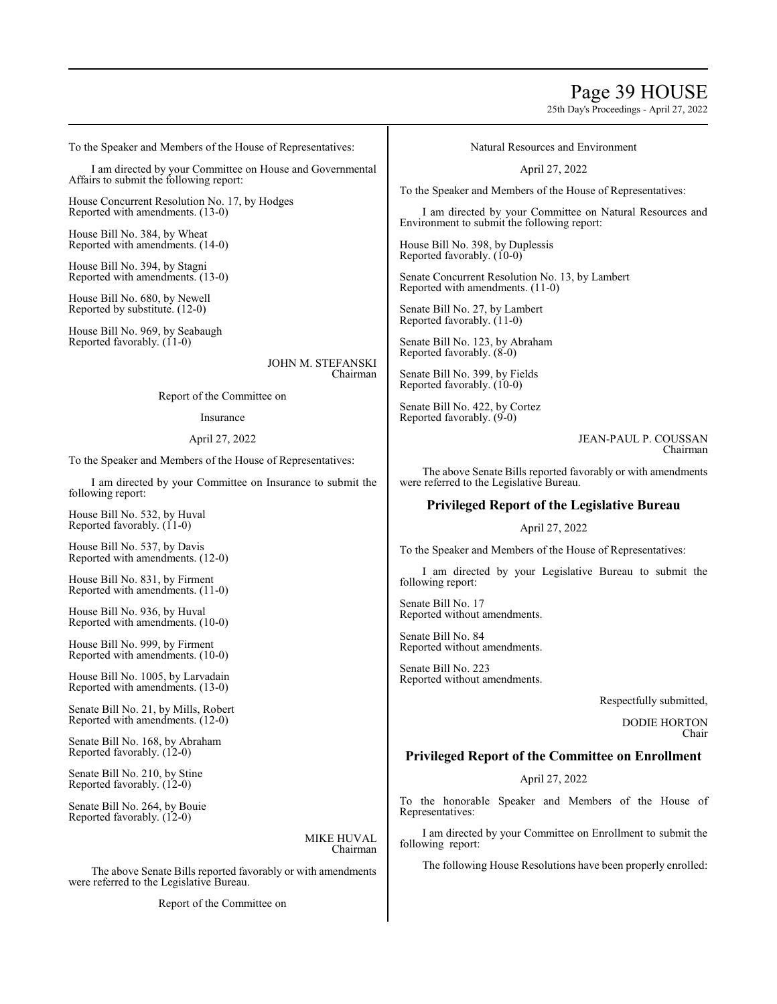### Page 39 HOUSE

25th Day's Proceedings - April 27, 2022

To the Speaker and Members of the House of Representatives:

I am directed by your Committee on House and Governmental Affairs to submit the following report:

House Concurrent Resolution No. 17, by Hodges Reported with amendments. (13-0)

House Bill No. 384, by Wheat Reported with amendments. (14-0)

House Bill No. 394, by Stagni Reported with amendments. (13-0)

House Bill No. 680, by Newell Reported by substitute. (12-0)

House Bill No. 969, by Seabaugh Reported favorably. (11-0)

> JOHN M. STEFANSKI Chairman

Report of the Committee on

Insurance

#### April 27, 2022

To the Speaker and Members of the House of Representatives:

I am directed by your Committee on Insurance to submit the following report:

House Bill No. 532, by Huval Reported favorably. (11-0)

House Bill No. 537, by Davis Reported with amendments. (12-0)

House Bill No. 831, by Firment Reported with amendments. (11-0)

House Bill No. 936, by Huval Reported with amendments. (10-0)

House Bill No. 999, by Firment Reported with amendments. (10-0)

House Bill No. 1005, by Larvadain Reported with amendments. (13-0)

Senate Bill No. 21, by Mills, Robert Reported with amendments. (12-0)

Senate Bill No. 168, by Abraham Reported favorably. (12-0)

Senate Bill No. 210, by Stine Reported favorably. (12-0)

Senate Bill No. 264, by Bouie Reported favorably. (12-0)

> MIKE HUVAL Chairman

The above Senate Bills reported favorably or with amendments were referred to the Legislative Bureau.

Report of the Committee on

Natural Resources and Environment

April 27, 2022

To the Speaker and Members of the House of Representatives:

I am directed by your Committee on Natural Resources and Environment to submit the following report:

House Bill No. 398, by Duplessis Reported favorably. (10-0)

Senate Concurrent Resolution No. 13, by Lambert Reported with amendments. (11-0)

Senate Bill No. 27, by Lambert Reported favorably. (11-0)

Senate Bill No. 123, by Abraham Reported favorably. (8-0)

Senate Bill No. 399, by Fields Reported favorably. (10-0)

Senate Bill No. 422, by Cortez Reported favorably. (9-0)

> JEAN-PAUL P. COUSSAN Chairman

The above Senate Bills reported favorably or with amendments were referred to the Legislative Bureau.

#### **Privileged Report of the Legislative Bureau**

April 27, 2022

To the Speaker and Members of the House of Representatives:

I am directed by your Legislative Bureau to submit the following report:

Senate Bill No. 17 Reported without amendments.

Senate Bill No. 84 Reported without amendments.

Senate Bill No. 223 Reported without amendments.

Respectfully submitted,

DODIE HORTON Chair

#### **Privileged Report of the Committee on Enrollment**

April 27, 2022

To the honorable Speaker and Members of the House of Representatives:

I am directed by your Committee on Enrollment to submit the following report:

The following House Resolutions have been properly enrolled: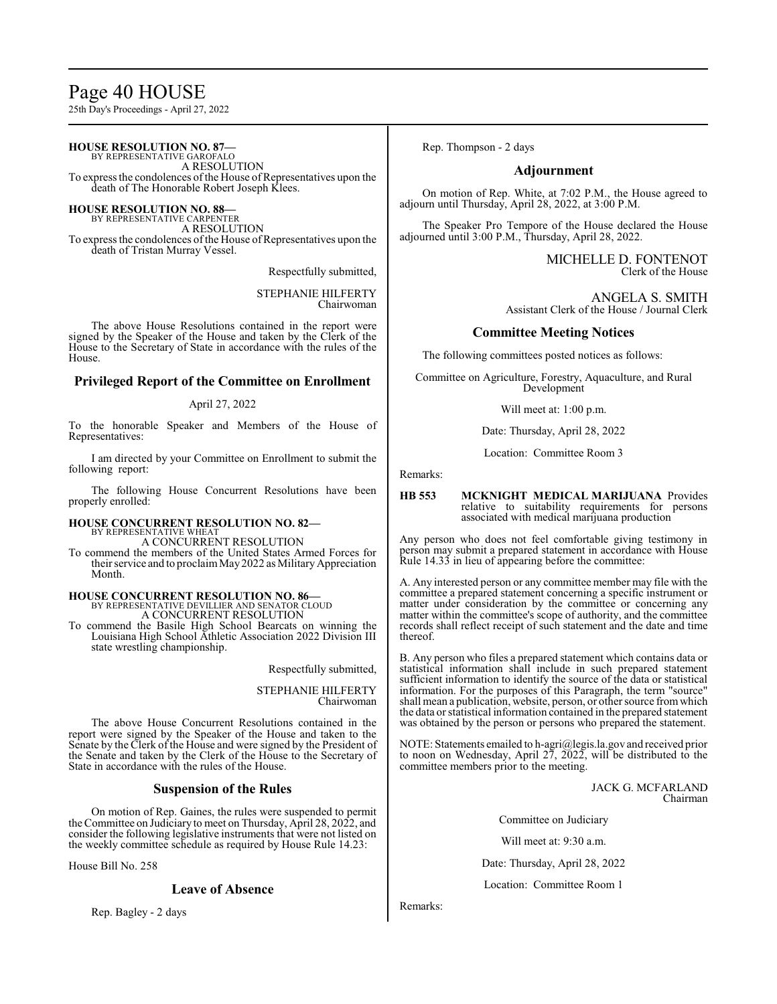## Page 40 HOUSE

25th Day's Proceedings - April 27, 2022

#### **HOUSE RESOLUTION NO. 87—** BY REPRESENTATIVE GAROFALO

A RESOLUTION To express the condolences of the House of Representatives upon the death of The Honorable Robert Joseph Klees.

#### **HOUSE RESOLUTION NO. 88—**

BY REPRESENTATIVE CARPENTER A RESOLUTION

To express the condolences of the House of Representatives upon the death of Tristan Murray Vessel.

Respectfully submitted,

STEPHANIE HILFERTY Chairwoman

The above House Resolutions contained in the report were signed by the Speaker of the House and taken by the Clerk of the House to the Secretary of State in accordance with the rules of the House.

#### **Privileged Report of the Committee on Enrollment**

#### April 27, 2022

To the honorable Speaker and Members of the House of Representatives:

I am directed by your Committee on Enrollment to submit the following report:

The following House Concurrent Resolutions have been properly enrolled:

## **HOUSE CONCURRENT RESOLUTION NO. 82—** BY REPRESENTATIVE WHEAT

A CONCURRENT RESOLUTION

To commend the members of the United States Armed Forces for their service and to proclaim May 2022 as Military Appreciation Month.

#### **HOUSE CONCURRENT RESOLUTION NO. 86—**

BY REPRESENTATIVE DEVILLIER AND SENATOR CLOUD A CONCURRENT RESOLUTION

To commend the Basile High School Bearcats on winning the Louisiana High School Athletic Association 2022 Division III state wrestling championship.

Respectfully submitted,

STEPHANIE HILFERTY Chairwoman

The above House Concurrent Resolutions contained in the report were signed by the Speaker of the House and taken to the Senate by the Clerk of the House and were signed by the President of the Senate and taken by the Clerk of the House to the Secretary of State in accordance with the rules of the House.

#### **Suspension of the Rules**

On motion of Rep. Gaines, the rules were suspended to permit the Committee on Judiciary to meet on Thursday, April 28, 2022, and consider the following legislative instruments that were not listed on the weekly committee schedule as required by House Rule 14.23:

House Bill No. 258

#### **Leave of Absence**

Rep. Bagley - 2 days

Rep. Thompson - 2 days

#### **Adjournment**

On motion of Rep. White, at 7:02 P.M., the House agreed to adjourn until Thursday, April 28, 2022, at 3:00 P.M.

The Speaker Pro Tempore of the House declared the House adjourned until 3:00 P.M., Thursday, April 28, 2022.

> MICHELLE D. FONTENOT Clerk of the House

ANGELA S. SMITH Assistant Clerk of the House / Journal Clerk

#### **Committee Meeting Notices**

The following committees posted notices as follows:

Committee on Agriculture, Forestry, Aquaculture, and Rural Development

Will meet at: 1:00 p.m.

Date: Thursday, April 28, 2022

Location: Committee Room 3

Remarks:

#### **HB 553 MCKNIGHT MEDICAL MARIJUANA** Provides relative to suitability requirements for persons associated with medical marijuana production

Any person who does not feel comfortable giving testimony in person may submit a prepared statement in accordance with House Rule 14.33 in lieu of appearing before the committee:

A. Any interested person or any committee member may file with the committee a prepared statement concerning a specific instrument or matter under consideration by the committee or concerning any matter within the committee's scope of authority, and the committee records shall reflect receipt of such statement and the date and time thereof.

B. Any person who files a prepared statement which contains data or statistical information shall include in such prepared statement sufficient information to identify the source of the data or statistical information. For the purposes of this Paragraph, the term "source" shall mean a publication, website, person, or other source fromwhich the data or statistical information contained in the prepared statement was obtained by the person or persons who prepared the statement.

NOTE: Statements emailed to h-agri@legis.la.gov and received prior to noon on Wednesday, April 27, 2022, will be distributed to the committee members prior to the meeting.

> JACK G. MCFARLAND Chairman

Committee on Judiciary

Will meet at: 9:30 a.m.

Date: Thursday, April 28, 2022

Location: Committee Room 1

Remarks: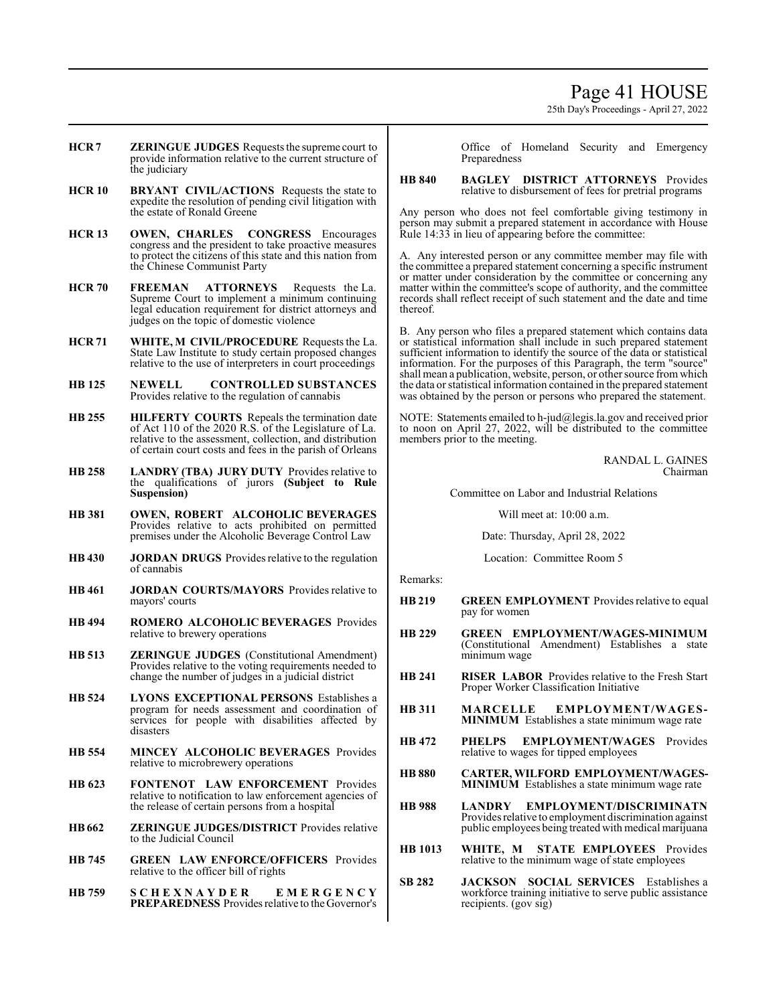### Page 41 HOUSE

25th Day's Proceedings - April 27, 2022

- **HCR 7 ZERINGUE JUDGES** Requests the supreme court to provide information relative to the current structure of the judiciary
- **HCR 10 BRYANT CIVIL/ACTIONS** Requests the state to expedite the resolution of pending civil litigation with the estate of Ronald Greene
- **HCR 13 OWEN, CHARLES CONGRESS** Encourages congress and the president to take proactive measures to protect the citizens of this state and this nation from the Chinese Communist Party
- **HCR 70 FREEMAN ATTORNEYS** Requests the La. Supreme Court to implement a minimum continuing legal education requirement for district attorneys and judges on the topic of domestic violence
- **HCR 71 WHITE, M CIVIL/PROCEDURE** Requests the La. State Law Institute to study certain proposed changes relative to the use of interpreters in court proceedings
- **HB 125 NEWELL CONTROLLED SUBSTANCES**  Provides relative to the regulation of cannabis
- **HB 255 HILFERTY COURTS** Repeals the termination date of Act 110 of the 2020 R.S. of the Legislature of La. relative to the assessment, collection, and distribution of certain court costs and fees in the parish of Orleans
- **HB 258 LANDRY (TBA) JURY DUTY** Provides relative to the qualifications of jurors **(Subject to Rule Suspension)**
- **HB 381 OWEN, ROBERT ALCOHOLIC BEVERAGES**  Provides relative to acts prohibited on permitted premises under the Alcoholic Beverage Control Law
- **HB 430 JORDAN DRUGS** Provides relative to the regulation of cannabis
- **HB 461 JORDAN COURTS/MAYORS** Provides relative to mayors' courts
- **HB 494 ROMERO ALCOHOLIC BEVERAGES** Provides relative to brewery operations
- **HB 513 ZERINGUE JUDGES** (Constitutional Amendment) Provides relative to the voting requirements needed to change the number of judges in a judicial district
- **HB 524 LYONS EXCEPTIONAL PERSONS** Establishes a program for needs assessment and coordination of services for people with disabilities affected by disasters
- **HB 554 MINCEY ALCOHOLIC BEVERAGES** Provides relative to microbrewery operations
- **HB 623 FONTENOT LAW ENFORCEMENT** Provides relative to notification to law enforcement agencies of the release of certain persons from a hospital
- **HB662 ZERINGUE JUDGES/DISTRICT** Provides relative to the Judicial Council
- **HB 745 GREEN LAW ENFORCE/OFFICERS** Provides relative to the officer bill of rights
- **HB 759 S C H E X N A Y D E R E M E R G E N C Y PREPAREDNESS** Provides relative to the Governor's

Office of Homeland Security and Emergency Preparedness

#### **HB 840 BAGLEY DISTRICT ATTORNEYS** Provides relative to disbursement of fees for pretrial programs

Any person who does not feel comfortable giving testimony in person may submit a prepared statement in accordance with House Rule 14:33 in lieu of appearing before the committee:

A. Any interested person or any committee member may file with the committee a prepared statement concerning a specific instrument or matter under consideration by the committee or concerning any matter within the committee's scope of authority, and the committee records shall reflect receipt of such statement and the date and time thereof.

B. Any person who files a prepared statement which contains data or statistical information shall include in such prepared statement sufficient information to identify the source of the data or statistical information. For the purposes of this Paragraph, the term "source" shall mean a publication, website, person, or other source fromwhich the data or statistical information contained in the prepared statement was obtained by the person or persons who prepared the statement.

NOTE: Statements emailed to h-jud@legis.la.gov and received prior to noon on April 27, 2022, will be distributed to the committee members prior to the meeting.

> RANDAL L. GAINES Chairman

Committee on Labor and Industrial Relations

Will meet at: 10:00 a.m.

Date: Thursday, April 28, 2022

Location: Committee Room 5

Remarks:

- **HB 219 GREEN EMPLOYMENT** Provides relative to equal pay for women
- **HB 229 GREEN EMPLOYMENT/WAGES-MINIMUM** (Constitutional Amendment) Establishes a state minimum wage
- **HB 241 RISER LABOR** Provides relative to the Fresh Start Proper Worker Classification Initiative
- **HB 311 MARCELLE EMPLOYMENT/WAGES-MINIMUM** Establishes a state minimum wage rate
- **HB 472 PHELPS EMPLOYMENT/WAGES** Provides relative to wages for tipped employees
- **HB 880 CARTER, WILFORD EMPLOYMENT/WAGES-MINIMUM** Establishes a state minimum wage rate
- **HB 988 LANDRY EMPLOYMENT/DISCRIMINATN**  Provides relative to employment discrimination against public employees being treated with medical marijuana
- **HB 1013 WHITE, M STATE EMPLOYEES** Provides relative to the minimum wage of state employees
- **SB 282 JACKSON SOCIAL SERVICES** Establishes a workforce training initiative to serve public assistance recipients. (gov sig)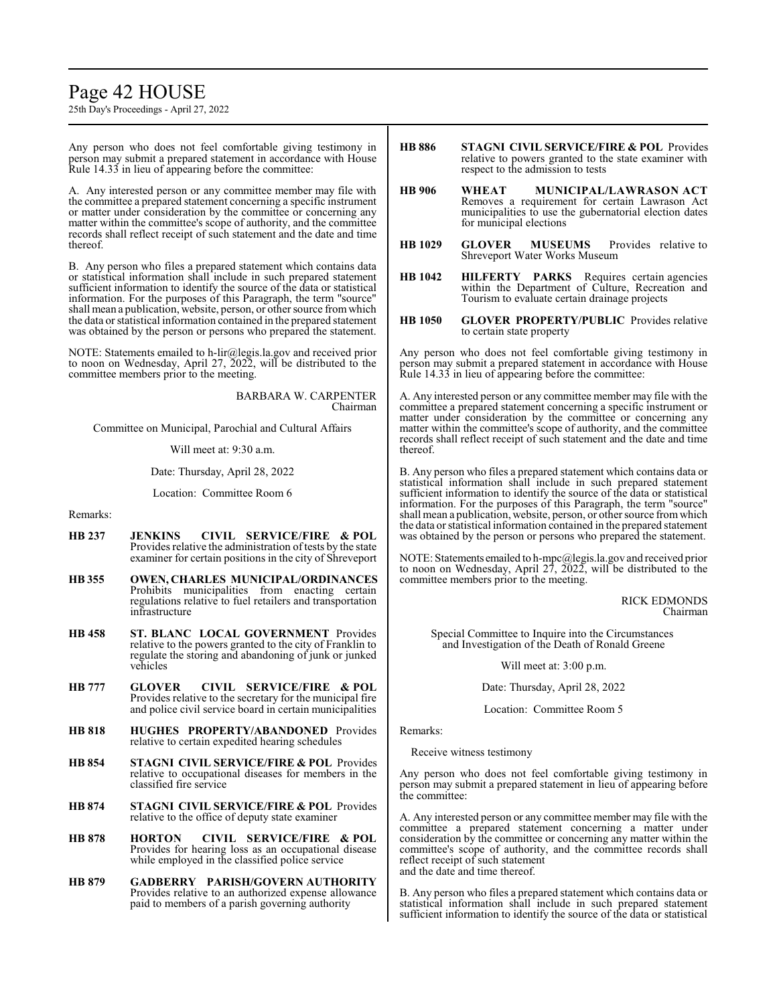### Page 42 HOUSE

25th Day's Proceedings - April 27, 2022

Any person who does not feel comfortable giving testimony in person may submit a prepared statement in accordance with House Rule 14.33 in lieu of appearing before the committee:

A. Any interested person or any committee member may file with the committee a prepared statement concerning a specific instrument or matter under consideration by the committee or concerning any matter within the committee's scope of authority, and the committee records shall reflect receipt of such statement and the date and time thereof.

B. Any person who files a prepared statement which contains data or statistical information shall include in such prepared statement sufficient information to identify the source of the data or statistical information. For the purposes of this Paragraph, the term "source" shall mean a publication, website, person, or other source fromwhich the data or statistical information contained in the prepared statement was obtained by the person or persons who prepared the statement.

NOTE: Statements emailed to h-lir@legis.la.gov and received prior to noon on Wednesday, April 27, 2022, will be distributed to the committee members prior to the meeting.

> BARBARA W. CARPENTER Chairman

Committee on Municipal, Parochial and Cultural Affairs

Will meet at: 9:30 a.m.

Date: Thursday, April 28, 2022

Location: Committee Room 6

#### Remarks:

- **HB 237 JENKINS CIVIL SERVICE/FIRE & POL**  Provides relative the administration of tests by the state examiner for certain positions in the city of Shreveport
- **HB 355 OWEN, CHARLES MUNICIPAL/ORDINANCES**  Prohibits municipalities from enacting certain regulations relative to fuel retailers and transportation infrastructure
- **HB 458 ST. BLANC LOCAL GOVERNMENT** Provides relative to the powers granted to the city of Franklin to regulate the storing and abandoning of junk or junked vehicles
- **HB 777 GLOVER CIVIL SERVICE/FIRE & POL**  Provides relative to the secretary for the municipal fire and police civil service board in certain municipalities
- **HB 818 HUGHES PROPERTY/ABANDONED** Provides relative to certain expedited hearing schedules
- **HB 854 STAGNI CIVIL SERVICE/FIRE & POL** Provides relative to occupational diseases for members in the classified fire service
- **HB 874 STAGNI CIVIL SERVICE/FIRE & POL** Provides relative to the office of deputy state examiner
- **HB 878 HORTON CIVIL SERVICE/FIRE & POL**  Provides for hearing loss as an occupational disease while employed in the classified police service
- **HB 879 GADBERRY PARISH/GOVERN AUTHORITY**  Provides relative to an authorized expense allowance paid to members of a parish governing authority
- **HB 886 STAGNI CIVIL SERVICE/FIRE & POL** Provides relative to powers granted to the state examiner with respect to the admission to tests
- **HB 906 WHEAT MUNICIPAL/LAWRASON ACT**  Removes a requirement for certain Lawrason Act municipalities to use the gubernatorial election dates for municipal elections
- **HB 1029 GLOVER MUSEUMS** Provides relative to Shreveport Water Works Museum
- **HB 1042 HILFERTY PARKS** Requires certain agencies within the Department of Culture, Recreation and Tourism to evaluate certain drainage projects
- **HB 1050 GLOVER PROPERTY/PUBLIC** Provides relative to certain state property

Any person who does not feel comfortable giving testimony in person may submit a prepared statement in accordance with House Rule 14.33 in lieu of appearing before the committee:

A. Any interested person or any committee member may file with the committee a prepared statement concerning a specific instrument or matter under consideration by the committee or concerning any matter within the committee's scope of authority, and the committee records shall reflect receipt of such statement and the date and time thereof.

B. Any person who files a prepared statement which contains data or statistical information shall include in such prepared statement sufficient information to identify the source of the data or statistical information. For the purposes of this Paragraph, the term "source" shall mean a publication, website, person, or other source fromwhich the data or statistical information contained in the prepared statement was obtained by the person or persons who prepared the statement.

NOTE: Statements emailed to h-mpc@legis.la.gov and received prior to noon on Wednesday, April 27, 2022, will be distributed to the committee members prior to the meeting.

> RICK EDMONDS Chairman

Special Committee to Inquire into the Circumstances and Investigation of the Death of Ronald Greene

Will meet at: 3:00 p.m.

Date: Thursday, April 28, 2022

Location: Committee Room 5

Remarks:

Receive witness testimony

Any person who does not feel comfortable giving testimony in person may submit a prepared statement in lieu of appearing before the committee:

A. Any interested person or any committee member may file with the committee a prepared statement concerning a matter under consideration by the committee or concerning any matter within the committee's scope of authority, and the committee records shall reflect receipt of such statement and the date and time thereof.

B. Any person who files a prepared statement which contains data or statistical information shall include in such prepared statement sufficient information to identify the source of the data or statistical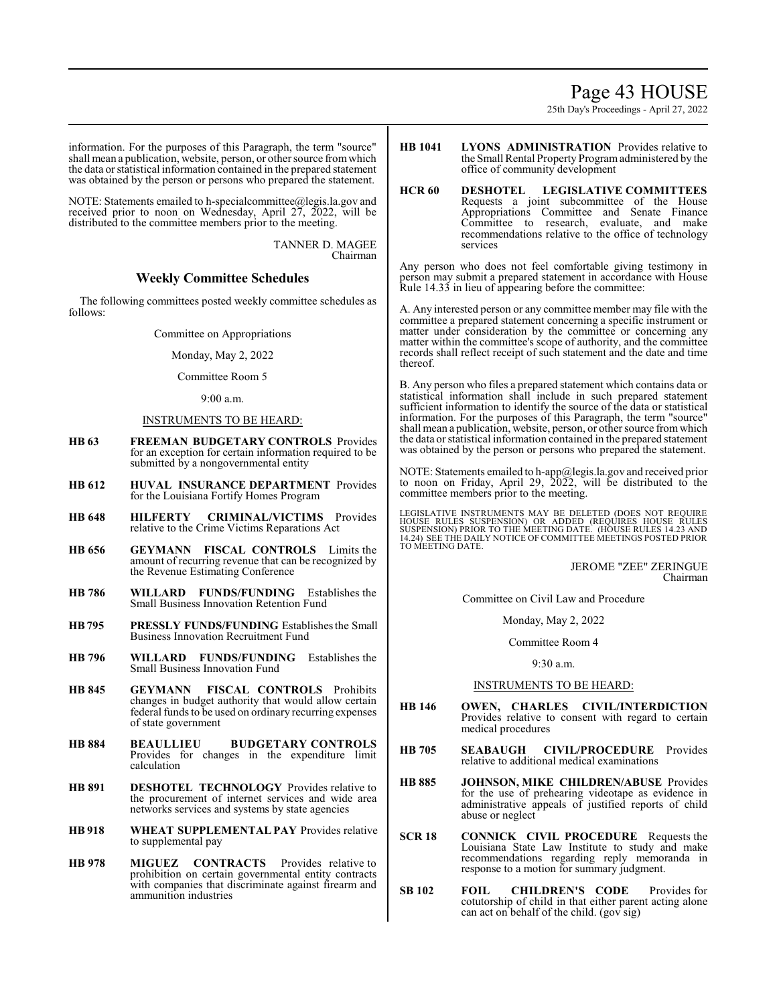### Page 43 HOUSE

25th Day's Proceedings - April 27, 2022

information. For the purposes of this Paragraph, the term "source" shall mean a publication, website, person, or other source fromwhich the data or statistical information contained in the prepared statement was obtained by the person or persons who prepared the statement.

NOTE: Statements emailed to h-specialcommittee@legis.la.gov and received prior to noon on Wednesday, April 27, 2022, will be distributed to the committee members prior to the meeting.

> TANNER D. MAGEE Chairman

### **Weekly Committee Schedules**

The following committees posted weekly committee schedules as follows:

Committee on Appropriations

Monday, May 2, 2022

Committee Room 5

9:00 a.m.

#### INSTRUMENTS TO BE HEARD:

- **HB 63 FREEMAN BUDGETARY CONTROLS** Provides for an exception for certain information required to be submitted by a nongovernmental entity
- **HB 612 HUVAL INSURANCE DEPARTMENT** Provides for the Louisiana Fortify Homes Program
- **HB 648 HILFERTY CRIMINAL/VICTIMS** Provides relative to the Crime Victims Reparations Act
- **HB 656 GEYMANN FISCAL CONTROLS** Limits the amount of recurring revenue that can be recognized by the Revenue Estimating Conference
- **HB 786 WILLARD FUNDS/FUNDING** Establishes the Small Business Innovation Retention Fund
- **HB795 PRESSLY FUNDS/FUNDING** Establishes the Small Business Innovation Recruitment Fund
- **HB 796 WILLARD FUNDS/FUNDING** Establishes the Small Business Innovation Fund
- **HB 845 GEYMANN FISCAL CONTROLS** Prohibits changes in budget authority that would allow certain federal funds to be used on ordinary recurring expenses of state government
- **HB 884 BEAULLIEU BUDGETARY CONTROLS** Provides for changes in the expenditure limit calculation
- **HB 891 DESHOTEL TECHNOLOGY** Provides relative to the procurement of internet services and wide area networks services and systems by state agencies
- **HB 918 WHEAT SUPPLEMENTAL PAY** Provides relative to supplemental pay
- **HB 978 MIGUEZ CONTRACTS** Provides relative to prohibition on certain governmental entity contracts with companies that discriminate against firearm and ammunition industries
- **HB 1041 LYONS ADMINISTRATION** Provides relative to the Small Rental Property Programadministered by the office of community development
- **HCR 60 DESHOTEL LEGISLATIVE COMMITTEES** Requests a joint subcommittee of the House Appropriations Committee and Senate Finance Committee to research, evaluate, and make recommendations relative to the office of technology services

Any person who does not feel comfortable giving testimony in person may submit a prepared statement in accordance with House Rule 14.33 in lieu of appearing before the committee:

A. Any interested person or any committee member may file with the committee a prepared statement concerning a specific instrument or matter under consideration by the committee or concerning any matter within the committee's scope of authority, and the committee records shall reflect receipt of such statement and the date and time thereof.

B. Any person who files a prepared statement which contains data or statistical information shall include in such prepared statement sufficient information to identify the source of the data or statistical information. For the purposes of this Paragraph, the term "source" shall mean a publication, website, person, or other source fromwhich the data or statistical information contained in the prepared statement was obtained by the person or persons who prepared the statement.

NOTE: Statements emailed to h-app@legis.la.gov and received prior to noon on Friday, April 29, 2022, will be distributed to the committee members prior to the meeting.

LEGISLATIVE INSTRUMENTS MAY BE DELETED (DOES NOT REQUIRE<br>HOUSE RULES SUSPENSION) OR ADDED (REQUIRES HOUSE RULES<br>SUSPENSION) PRIOR TO THE MEETING DATE. (HOUSE RULES 14.23 AND<br>14.24) SEE THE DAILY NOTICE OF COMMITTEE MEETING TO MEETING DATE.

> JEROME "ZEE" ZERINGUE Chairman

Committee on Civil Law and Procedure

Monday, May 2, 2022

#### Committee Room 4

9:30 a.m.

#### INSTRUMENTS TO BE HEARD:

- **HB 146 OWEN, CHARLES CIVIL/INTERDICTION** Provides relative to consent with regard to certain medical procedures
- **HB 705 SEABAUGH CIVIL/PROCEDURE** Provides relative to additional medical examinations
- **HB 885 JOHNSON, MIKE CHILDREN/ABUSE** Provides for the use of prehearing videotape as evidence in administrative appeals of justified reports of child abuse or neglect
- **SCR 18 CONNICK CIVIL PROCEDURE** Requests the Louisiana State Law Institute to study and make recommendations regarding reply memoranda in response to a motion for summary judgment.
- **SB 102 FOIL CHILDREN'S CODE** Provides for cotutorship of child in that either parent acting alone can act on behalf of the child. (gov sig)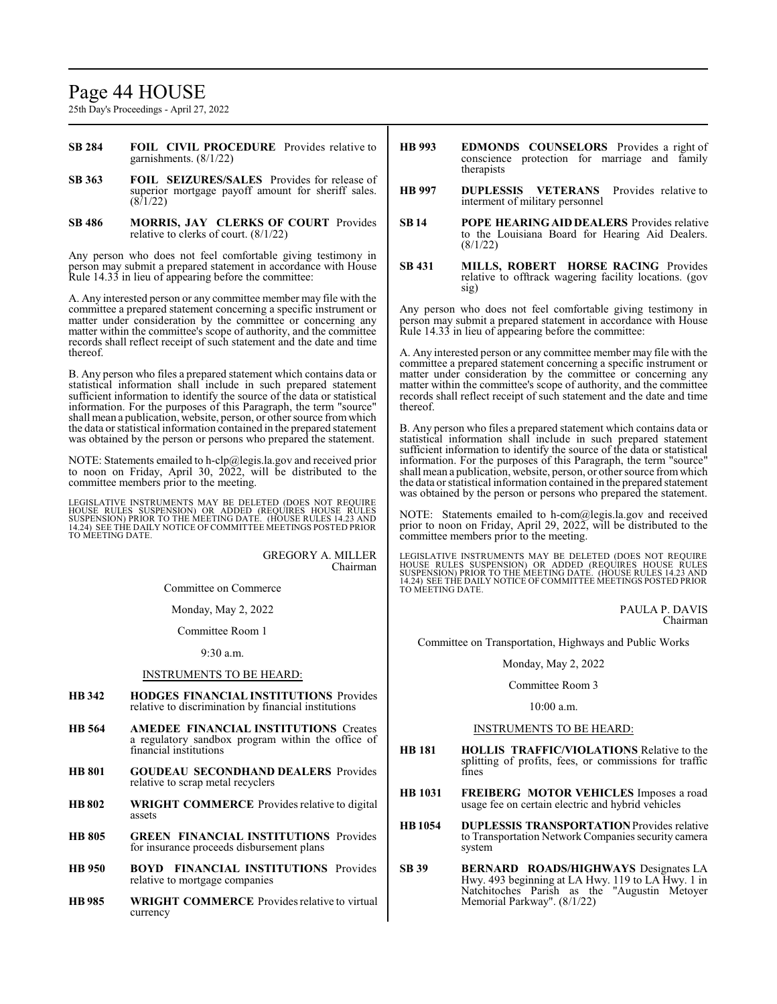### Page 44 HOUSE

25th Day's Proceedings - April 27, 2022

- **SB 284 FOIL CIVIL PROCEDURE** Provides relative to garnishments. (8/1/22)
- **SB 363 FOIL SEIZURES/SALES** Provides for release of superior mortgage payoff amount for sheriff sales.  $(8/1/22)$
- **SB 486 MORRIS, JAY CLERKS OF COURT** Provides relative to clerks of court. (8/1/22)

Any person who does not feel comfortable giving testimony in person may submit a prepared statement in accordance with House Rule 14.33 in lieu of appearing before the committee:

A. Any interested person or any committee member may file with the committee a prepared statement concerning a specific instrument or matter under consideration by the committee or concerning any matter within the committee's scope of authority, and the committee records shall reflect receipt of such statement and the date and time thereof.

B. Any person who files a prepared statement which contains data or statistical information shall include in such prepared statement sufficient information to identify the source of the data or statistical information. For the purposes of this Paragraph, the term "source" shall mean a publication, website, person, or other source fromwhich the data or statistical information contained in the prepared statement was obtained by the person or persons who prepared the statement.

NOTE: Statements emailed to h-clp@legis.la.gov and received prior to noon on Friday, April 30, 2022, will be distributed to the committee members prior to the meeting.

LEGISLATIVE INSTRUMENTS MAY BE DELETED (DOES NOT REQUIRE<br>HOUSE RULES SUSPENSION) OR ADDED (REQUIRES HOUSE RULES<br>SUSPENSION) PRIOR TO THE MEETING DATE. (HOUSE RULES 14.23 AND 14.24) SEE THE DAILY NOTICE OF COMMITTEE MEETINGS POSTED PRIOR TO MEETING DATE.

> GREGORY A. MILLER Chairman

Committee on Commerce

Monday, May 2, 2022

Committee Room 1

9:30 a.m.

#### INSTRUMENTS TO BE HEARD:

- **HB 342 HODGES FINANCIAL INSTITUTIONS** Provides relative to discrimination by financial institutions
- **HB 564 AMEDEE FINANCIAL INSTITUTIONS** Creates a regulatory sandbox program within the office of financial institutions
- **HB 801 GOUDEAU SECONDHAND DEALERS** Provides relative to scrap metal recyclers
- **HB 802 WRIGHT COMMERCE** Provides relative to digital assets
- **HB 805 GREEN FINANCIAL INSTITUTIONS** Provides for insurance proceeds disbursement plans
- **HB 950 BOYD FINANCIAL INSTITUTIONS** Provides relative to mortgage companies
- **HB 985 WRIGHT COMMERCE** Provides relative to virtual currency
- **HB 993 EDMONDS COUNSELORS** Provides a right of conscience protection for marriage and family therapists
- **HB 997 DUPLESSIS VETERANS** Provides relative to interment of military personnel
- **SB 14 POPE HEARING AID DEALERS** Provides relative to the Louisiana Board for Hearing Aid Dealers. (8/1/22)
- **SB 431 MILLS, ROBERT HORSE RACING** Provides relative to offtrack wagering facility locations. (gov sig)

Any person who does not feel comfortable giving testimony in person may submit a prepared statement in accordance with House Rule 14.33 in lieu of appearing before the committee:

A. Any interested person or any committee member may file with the committee a prepared statement concerning a specific instrument or matter under consideration by the committee or concerning any matter within the committee's scope of authority, and the committee records shall reflect receipt of such statement and the date and time thereof.

B. Any person who files a prepared statement which contains data or statistical information shall include in such prepared statement sufficient information to identify the source of the data or statistical information. For the purposes of this Paragraph, the term "source" shall mean a publication, website, person, or other source fromwhich the data or statistical information contained in the prepared statement was obtained by the person or persons who prepared the statement.

NOTE: Statements emailed to h-com@legis.la.gov and received prior to noon on Friday, April 29, 2022, will be distributed to the committee members prior to the meeting.

LEGISLATIVE INSTRUMENTS MAY BE DELETED (DOES NOT REQUIRE HOUSE RULES SUSPENSION) OR ADDED (REQUIRES HOUSE RULES<br>SUSPENSION)PRIOR TO THE MEETING DATE. (HOUSE RULES 14.22 AND<br>14.24) SEE THE DAILY NOTICE OFCOMMITTEE MEETINGS POSTED PRIOR TO MEETING DATE.

> PAULA P. DAVIS Chairman

Committee on Transportation, Highways and Public Works

#### Monday, May 2, 2022

#### Committee Room 3

#### 10:00 a.m.

#### INSTRUMENTS TO BE HEARD:

- **HB 181 HOLLIS TRAFFIC/VIOLATIONS** Relative to the splitting of profits, fees, or commissions for traffic fines
- **HB 1031 FREIBERG MOTOR VEHICLES** Imposes a road usage fee on certain electric and hybrid vehicles
- **HB1054 DUPLESSIS TRANSPORTATION**Provides relative to Transportation Network Companies security camera system
- **SB 39 BERNARD ROADS/HIGHWAYS** Designates LA Hwy. 493 beginning at LA Hwy. 119 to LA Hwy. 1 in Natchitoches Parish as the "Augustin Metoyer Memorial Parkway". (8/1/22)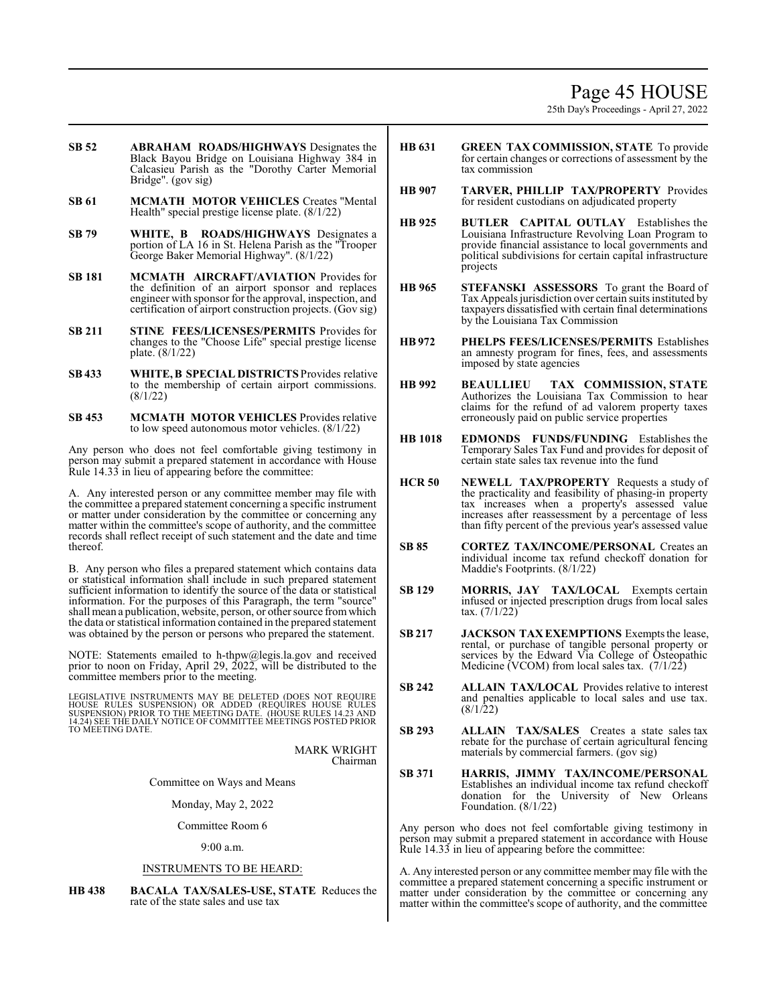### Page 45 HOUSE

25th Day's Proceedings - April 27, 2022

- **SB 52 ABRAHAM ROADS/HIGHWAYS** Designates the Black Bayou Bridge on Louisiana Highway 384 in Calcasieu Parish as the "Dorothy Carter Memorial Bridge". (gov sig)
- **SB 61 MCMATH MOTOR VEHICLES** Creates "Mental Health" special prestige license plate. (8/1/22)
- **SB 79 WHITE, B ROADS/HIGHWAYS** Designates a portion of LA 16 in St. Helena Parish as the "Trooper George Baker Memorial Highway". (8/1/22)
- **SB 181 MCMATH AIRCRAFT/AVIATION** Provides for the definition of an airport sponsor and replaces engineer with sponsor for the approval, inspection, and certification of airport construction projects. (Gov sig)
- **SB 211 STINE FEES/LICENSES/PERMITS** Provides for changes to the "Choose Life" special prestige license plate. (8/1/22)
- **SB 433 WHITE, B SPECIAL DISTRICTS** Provides relative to the membership of certain airport commissions. (8/1/22)
- **SB 453 MCMATH MOTOR VEHICLES** Provides relative to low speed autonomous motor vehicles. (8/1/22)

Any person who does not feel comfortable giving testimony in person may submit a prepared statement in accordance with House Rule 14.33 in lieu of appearing before the committee:

A. Any interested person or any committee member may file with the committee a prepared statement concerning a specific instrument or matter under consideration by the committee or concerning any matter within the committee's scope of authority, and the committee records shall reflect receipt of such statement and the date and time thereof.

B. Any person who files a prepared statement which contains data or statistical information shall include in such prepared statement sufficient information to identify the source of the data or statistical information. For the purposes of this Paragraph, the term "source" shall mean a publication, website, person, or other source fromwhich the data or statistical information contained in the prepared statement was obtained by the person or persons who prepared the statement.

NOTE: Statements emailed to h-thpw@legis.la.gov and received prior to noon on Friday, April 29, 2022, will be distributed to the committee members prior to the meeting.

LEGISLATIVE INSTRUMENTS MAY BE DELETED (DOES NOT REQUIRE HOUSE RULES SUSPENSION) OR ADDED (REQUIRES HOUSE RULES<br>SUSPENSION)PRIOR TO THE MEETING DATE. (HOUSE RULES 14.23 AND<br>14.24)SEE THE DAILY NOTICE OF COMMITTEE MEETINGS POSTED PRIOR TO MEETING DATE.

> MARK WRIGHT Chairman

Committee on Ways and Means

Monday, May 2, 2022

Committee Room 6

9:00 a.m.

#### INSTRUMENTS TO BE HEARD:

**HB 438 BACALA TAX/SALES-USE, STATE** Reduces the rate of the state sales and use tax

- **HB 631 GREEN TAX COMMISSION, STATE** To provide for certain changes or corrections of assessment by the tax commission
- **HB 907 TARVER, PHILLIP TAX/PROPERTY** Provides for resident custodians on adjudicated property
- **HB 925 BUTLER CAPITAL OUTLAY** Establishes the Louisiana Infrastructure Revolving Loan Program to provide financial assistance to local governments and political subdivisions for certain capital infrastructure projects
- **HB 965 STEFANSKI ASSESSORS** To grant the Board of Tax Appeals jurisdiction over certain suits instituted by taxpayers dissatisfied with certain final determinations by the Louisiana Tax Commission
- **HB 972 PHELPS FEES/LICENSES/PERMITS** Establishes an amnesty program for fines, fees, and assessments imposed by state agencies
- **HB 992 BEAULLIEU TAX COMMISSION, STATE** Authorizes the Louisiana Tax Commission to hear claims for the refund of ad valorem property taxes erroneously paid on public service properties
- **HB 1018 EDMONDS FUNDS/FUNDING** Establishes the Temporary Sales Tax Fund and provides for deposit of certain state sales tax revenue into the fund
- **HCR 50 NEWELL TAX/PROPERTY** Requests a study of the practicality and feasibility of phasing-in property tax increases when a property's assessed value increases after reassessment by a percentage of less than fifty percent of the previous year's assessed value
- **SB 85 CORTEZ TAX/INCOME/PERSONAL** Creates an individual income tax refund checkoff donation for Maddie's Footprints. (8/1/22)
- **SB 129 MORRIS, JAY TAX/LOCAL** Exempts certain infused or injected prescription drugs from local sales tax. (7/1/22)
- **SB 217 JACKSON TAXEXEMPTIONS** Exempts the lease, rental, or purchase of tangible personal property or services by the Edward Via College of Osteopathic Medicine (VCOM) from local sales tax. (7/1/22)
- **SB 242 ALLAIN TAX/LOCAL** Provides relative to interest and penalties applicable to local sales and use tax.  $(8/1/22)$
- **SB 293 ALLAIN TAX/SALES** Creates a state sales tax rebate for the purchase of certain agricultural fencing materials by commercial farmers. (gov sig)
- **SB 371 HARRIS, JIMMY TAX/INCOME/PERSONAL** Establishes an individual income tax refund checkoff donation for the University of New Orleans Foundation. (8/1/22)

Any person who does not feel comfortable giving testimony in person may submit a prepared statement in accordance with House Rule 14.33 in lieu of appearing before the committee:

A. Any interested person or any committee member may file with the committee a prepared statement concerning a specific instrument or matter under consideration by the committee or concerning any matter within the committee's scope of authority, and the committee